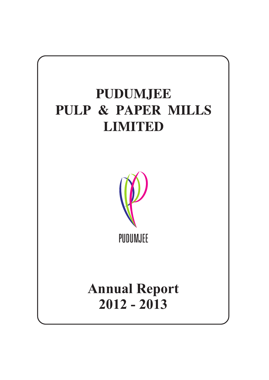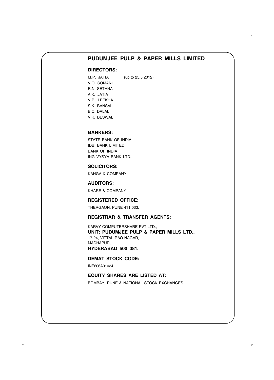$\bar{\Gamma}$ 

É

# **DIRECTORS:**

 $\mathbf{r}$ 

 $\overline{\phantom{a}}$ 

- M.P. JATIA (up to 25.5.2012)
- V.O. SOMANI R.N. SETHNA A.K. JATIA V.P. LEEKHA S.K. BANSAL B.C. DALAL
- V.K. BESWAL

# **BANKERS:**

STATE BANK OF INDIA IDBI BANK LIMITED BANK OF INDIA ING VYSYA BANK LTD.

# **SOLICITORS:**

KANGA & COMPANY

**AUDITORS:** KHARE & COMPANY

# **REGISTERED OFFICE:**

THERGAON, PUNE 411 033.

# **REGISTRAR & TRANSFER AGENTS:**

KARVY COMPUTERSHARE PVT.LTD., **UNIT: PUDUMJEE PULP & PAPER MILLS LTD.,** 17-24, VITTAL RAO NAGAR, MADHAPUR, **HYDERABAD 500 081.**

### **DEMAT STOCK CODE:**

INE606A01024

## **EQUITY SHARES ARE LISTED AT:**

BOMBAY, PUNE & NATIONAL STOCK EXCHANGES.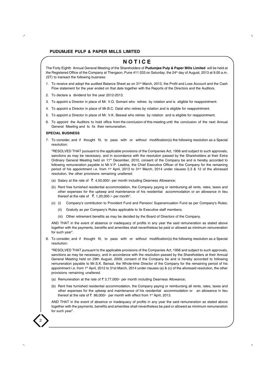### **NOTICE**

The Forty Eighth Annual General Meeting of the Shareholders of **Pudumjee Pulp & Paper Mills Limited** will be held at the Registered Office of the Company at Thergaon, Pune 411 033 on Saturday, the 24<sup>th</sup> day of August, 2013 at 9.00 a.m. (ST) to transact the following business:

- 1. To receive and adopt the audited Balance Sheet as on 31<sup>st</sup> March, 2013, the Profit and Loss Account and the Cash Flow statement for the year ended on that date together with the Reports of the Directors and the Auditors.
- 2. To declare a dividend for the year 2012-2013.
- 3. To appoint a Director in place of Mr. V.O. Somani who retires by rotation and is eligible for reappointment.
- 4. To appoint a Director in place of Mr.B.C. Dalal who retires by rotation and is eligible for reappointment.
- 5. To appoint a Director in place of Mr. V.K. Beswal who retires by rotation and is eligible for reappointment.
- 6. To appoint the Auditors to hold office from the conclusion of this meeting until the conclusion of the next Annual General Meeting and to fix their remuneration.

#### **SPECIAL BUSINESS**

2

7. To consider, and if thought fit, to pass with or without modification(s) the following resolution as a Special resolution:

"RESOLVED THAT pursuant to the applicable provisions of the Companies Act, 1956 and subject to such approvals, sanctions as may be necessary, and in accordance with the resolution passed by the Shareholders at their Extra Ordinary General Meeting held on 11th December, 2010, consent of the Company be and is hereby accorded to following remuneration payable to Mr.V.P. Leekha, the Chief Executive Officer of the Company for the remaining period of his appointment i.e. from 1<sup>st</sup> April, 2013 to 31<sup>st</sup> March, 2014 under clauses 2,3 & 12 of the aforesaid resolution, the other provisions remaining unaltered:

- (a) Salary at the rate of  $\overline{5}$ . 4,50,000/- per month including Dearness Allowance;
- (b) Rent free furnished residential accommodation, the Company paying or reimbursing all rents, rates, taxes and other expenses for the upkeep and maintenance of his residential accommodation or an allowance in lieu thereof at the rate of  $\overline{5}$ . 1,20,000 /- per month".
- (c) (i) Company's contribution to Provident Fund and Pension/ Superannuation Fund as per Company's Rules;
	- (ii) Gratuity as per Company's Rules applicable to its Executive staff members;
	- (iii) Other retirement benefits as may be decided by the Board of Directors of the Company.

AND THAT in the event of absence or inadequacy of profits in any year the said remuneration as stated above together with the payments, benefits and amenities shall nevertheless be paid or allowed as minimum remuneration for such year".

8. To consider, and if thought fit, to pass with or without modification(s) the following resolution as a Special resolution:

"RESOLVED THAT pursuant to the applicable provisions of the Companies Act, 1956 and subject to such approvals, sanctions as may be necessary, and in accordance with the resolution passed by the Shareholders at their Annual General Meeting held on 29th August, 2009, consent of the Company be and is hereby accorded to following remuneration payable to Mr.S.K. Bansal, the Whole-time Director of the Company for the remaining period of his appointment i.e. from 1<sup>st</sup> April, 2012 to 31st March, 2014 under clauses (a) & (c) of the aforesaid resolution, the other provisions remaining unaltered.

- (a) Remuneration at the rate of  $\bar{\tau}$  3,77,000/- per month including Dearness Allowance;
- (b) Rent free furnished residential accommodation, the Company paying or reimbursing all rents, rates, taxes and other expenses for the upkeep and maintenance of his residential accommodation or an allowance in lieu thereof at the rate of  $\bar{\tau}$  86,000/- per month with effect from 1<sup>st</sup> April, 2013.

AND THAT in the event of absence or inadequacy of profits in any year the said remuneration as stated above together with the payments, benefits and amenities shall nevertheless be paid or allowed as minimum remuneration for such year".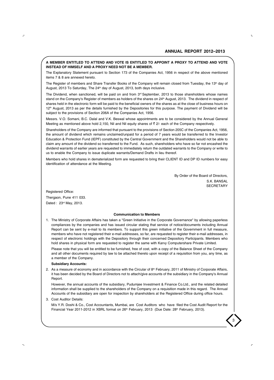### **A MEMBER ENTITLED TO ATTEND AND VOTE IS ENTITLED TO APPOINT A PROXY TO ATTEND AND VOTE INSTEAD OF HIMSELF AND A PROXY NEED NOT BE A MEMBER.**

The Explanatory Statement pursuant to Section 173 of the Companies Act, 1956 in respect of the above mentioned items 7 & 8 are annexed hereto.

The Register of members and Share Transfer Books of the Company will remain closed from Tuesday, the 13th day of August, 2013 To Saturday, The 24<sup>th</sup> day of August, 2013, both days inclusive.

The Dividend, when sanctioned, will be paid on and from  $3<sup>rd</sup>$  September, 2013 to those shareholders whose names stand on the Company's Register of members as holders of the shares on 24<sup>th</sup> August, 2013. The dividend in respect of shares held in the electronic form will be paid to the beneficial owners of the shares as at the close of business hours on 12<sup>th</sup> August, 2013 as per the details furnished by the Depositories for this purpose. The payment of Dividend will be subject to the provisions of Section 206A of the Companies Act, 1956.

Messrs. V.O. Somani, B.C. Dalal and V.K. Beswal whose appointments are to be considered by the Annual General Meeting as mentioned above hold 2,150, Nil and Nil equity shares of  $\bar{\tau}$  2/- each of the Company respectively.

Shareholders of the Company are informed that pursuant to the provisions of Section 205C of the Companies Act, 1956, the amount of dividend which remains unclaimed/unpaid for a period of 7 years would be transferred to the Investor Education & Protection Fund (IEPF) constituted by the Central Government and the Shareholders would not be able to claim any amount of the dividend so transferred to the Fund. As such, shareholders who have so far not encashed the dividend warrants of earlier years are requested to immediately return the outdated warrants to the Company or write to us to enable the Company to issue duplicate warrants/Demand Drafts in lieu thereof.

Members who hold shares in dematerialized form are requested to bring their CLIENT ID and DP ID numbers for easy identification of attendance at the Meeting.

By Order of the Board of Directors, S.K. BANSAL S.K. BANSAL S.K. BANSAL S.K. BANSAL S.K. BANSAL S.K. BANSAL S.K. BANSAL S.K. BANSAL S.K. BANSAL S. **SECRETARY** 

3

Registered Office: Thergaon, Pune 411 033. Dated : 23<sup>rd</sup> May, 2013.

#### **Communication to Members**

1. The Ministry of Corporate Affairs has taken a "Green Initiative in the Corporate Governance" by allowing paperless compliances by the companies and has issued circular stating that service of notice/documents including Annual Report can be sent by e-mail to its members. To support this green initiative of the Government in full measure, members who have not registered their e-mail addresses, so far, are requested to register their e-mail addresses, in respect of electronic holdings with the Depository through their concerned Depository Participants. Members who hold shares in physical form are requested to register the same with Karvy Computershare Private Limited.

Please note that you will be entitled to be furnished, free of cost, with a copy of the Balance Sheet of the Company and all other documents required by law to be attached thereto upon receipt of a requisition from you, any time, as a member of the Company.

#### **Subsidiary Accounts:**

2. As a measure of economy and in accordance with the Circular of 8th February, 2011 of Ministry of Corporate Affairs, it has been decided by the Board of Directors not to attach/give accounts of the subsidiary in the Company's Annual **Report** 

However, the annual accounts of the subsidiary, Pudumjee Investment & Finance Co.Ltd., and the related detailed information shall be supplied to the shareholders of the Company on a requisition made in this regard. The Annual Accounts of the subsidiary are open for inspection by shareholders at the Registered Office during office hours.

3. Cost Auditor Details:

M/s Y.R. Doshi & Co., Cost Accountants, Mumbai, are Cost Auditors who have filed the Cost Audit Report for the Financial Year 2011-2012 in XBRL format on 26<sup>th</sup> February, 2013 (Due Date: 28<sup>th</sup> February, 2013).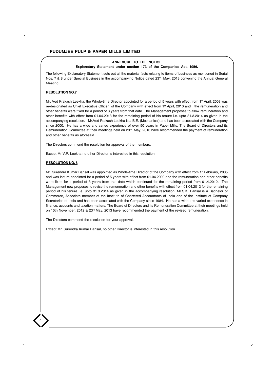### **ANNEXURE TO THE NOTICE Explanatory Statement under section 173 of the Companies Act, 1956.**

The following Explanatory Statement sets out all the material facts relating to items of business as mentioned in Serial Nos. 7 & 8 under Special Business in the accompanying Notice dated 23<sup>rd</sup> May, 2013 convening the Annual General Meeting.

#### **RESOLUTION NO.7**

Mr. Ved Prakash Leekha, the Whole-time Director appointed for a period of 5 years with effect from 1st April, 2009 was re-designated as Chief Executive Officer of the Company with effect from 1<sup>st</sup> April, 2010 and the remuneration and other benefits were fixed for a period of 3 years from that date. The Management proposes to allow remuneration and other benefits with effect from 01.04.2013 for the remaining period of his tenure i.e. upto 31.3.2014 as given in the accompanying resolution. Mr.Ved Prakash Leekha is a B.E. (Mechanical) and has been associated with the Company since 2000. He has a wide and varied experience of over 50 years in Paper Mills. The Board of Directors and its Remuneration Committee at their meetings held on 23<sup>rd</sup> May, 2013 have recommended the payment of remuneration and other benefits as aforesaid.

The Directors commend the resolution for approval of the members.

Except Mr.V.P. Leekha no other Director is interested in this resolution.

#### **RESOLUTION NO. 8**

4

Mr. Surendra Kumar Bansal was appointed as Whole-time Director of the Company with effect from 1<sup>st</sup> February, 2005 and was last re-appointed for a period of 5 years with effect from 01.04.2009 and the remuneration and other benefits were fixed for a period of 3 years from that date which continued for the remaining period from 01.4.2012. The Management now proposes to revise the remuneration and other benefits with effect from 01.04.2012 for the remaining period of his tenure i.e. upto 31.3.2014 as given in the accompanying resolution. Mr.S.K. Bansal is a Bachelor of Commerce, Associate member of the Institute of Chartered Accountants of India and of the Institute of Company Secretaries of India and has been associated with the Company since 1984. He has a wide and varied experience in finance, accounts and taxation matters. The Board of Directors and its Remuneration Committee at their meetings held on 10th November, 2012 & 23<sup>rd</sup> May, 2013 have recommended the payment of the revised remuneration.

The Directors commend the resolution for your approval.

Except Mr. Surendra Kumar Bansal, no other Director is interested in this resolution.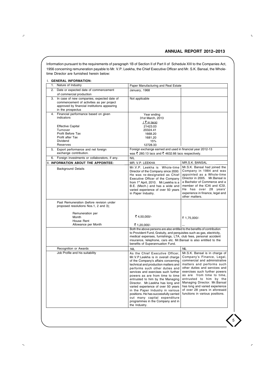Information pursuant to the requirements of paragraph 1B of Section II of Part II of Schedule XIII to the Companies Act, 1956 concerning remuneration payable to Mr. V.P. Leekha, the Chief Executive Officer and Mr. S.K. Bansal, the Wholetime Director are furnished herein below:

I. **GENERAL INFORMATION:**

 $\bar{\omega}$ 

 $\overline{\phantom{a}}$ 

|    | 1. Nature of Industry                                                                                                                                        | Paper Manufacturing and Real Estate                                                                                                                                                                                                                                                                                                                                                                                                                                                                                                                |                                                                                                                                                                                                                                                                                                                                                                                           |
|----|--------------------------------------------------------------------------------------------------------------------------------------------------------------|----------------------------------------------------------------------------------------------------------------------------------------------------------------------------------------------------------------------------------------------------------------------------------------------------------------------------------------------------------------------------------------------------------------------------------------------------------------------------------------------------------------------------------------------------|-------------------------------------------------------------------------------------------------------------------------------------------------------------------------------------------------------------------------------------------------------------------------------------------------------------------------------------------------------------------------------------------|
|    | 2. Date or expected date of commencement<br>of commercial production                                                                                         | January, 1968                                                                                                                                                                                                                                                                                                                                                                                                                                                                                                                                      |                                                                                                                                                                                                                                                                                                                                                                                           |
| 3. | In case of new companies, expected date of<br>commencement of activities as per project<br>approved by financial institutions appearing<br>in the prospectus | Not applicable                                                                                                                                                                                                                                                                                                                                                                                                                                                                                                                                     |                                                                                                                                                                                                                                                                                                                                                                                           |
| 4. | Financial performance based on given<br>indicators<br><b>Effective Capital</b>                                                                               | Year ending<br>31st March, 2013<br>(₹in lacs)<br>21423.03                                                                                                                                                                                                                                                                                                                                                                                                                                                                                          |                                                                                                                                                                                                                                                                                                                                                                                           |
|    | Turnover<br>Profit Before Tax<br>Profit after Tax<br>Dividend<br>Reserves                                                                                    | 20324.41<br>1668.20<br>1681.20<br>15%<br>12728.33                                                                                                                                                                                                                                                                                                                                                                                                                                                                                                  |                                                                                                                                                                                                                                                                                                                                                                                           |
|    | 5. Export performance and net foreign<br>exchange contribution.                                                                                              | Foreign exchange earned and used in financial year 2012-13<br>was ₹ 260.13 lacs and ₹ 4632.66 lacs respectively.                                                                                                                                                                                                                                                                                                                                                                                                                                   |                                                                                                                                                                                                                                                                                                                                                                                           |
|    | 6. Foreign investments or collaborators, if any.                                                                                                             | <b>NIL</b>                                                                                                                                                                                                                                                                                                                                                                                                                                                                                                                                         |                                                                                                                                                                                                                                                                                                                                                                                           |
|    | II. INFORMATION ABOUT THE APPOINTEE:                                                                                                                         | MR. V.P. LEEKHA                                                                                                                                                                                                                                                                                                                                                                                                                                                                                                                                    | MR.S.K. BANSAL                                                                                                                                                                                                                                                                                                                                                                            |
|    | <b>Background Details</b>                                                                                                                                    | Mr.V.P. Leekha is Whole-time<br>Director of the Company since 2000.<br>He was re-designated as Chief<br>Executive Officer of the Company<br>from 1 <sup>st</sup> April, 2010. Mr. Leekha is a<br>B.E. (Mech.) and has a wide and<br>varied experience of over 50 years<br>in Paper Industry.                                                                                                                                                                                                                                                       | Mr.S.K. Bansal had joined the<br>Company in 1984 and was<br>appointed as a Whole-time<br>Director in 2005. Mr. Bansal is<br>a Bachelor of Commerce and a<br>member of the ICAI and ICSI.<br>He has over 28 years'<br>experience in finance, legal and<br>other matters.                                                                                                                   |
|    | Past Remuneration (before revision under<br>proposed resolutions Nos.1, 2 and 3);<br>Remuneration per<br>Month                                               | ₹4,50,000/-                                                                                                                                                                                                                                                                                                                                                                                                                                                                                                                                        | ₹ 1,75,000/-                                                                                                                                                                                                                                                                                                                                                                              |
|    | House Rent<br>Allowance per Month                                                                                                                            | ₹1,20,000/-                                                                                                                                                                                                                                                                                                                                                                                                                                                                                                                                        |                                                                                                                                                                                                                                                                                                                                                                                           |
|    |                                                                                                                                                              | Both the above persons are also entitled to the benefits of contribution<br>to Provident Fund, Gratuity, and perquisites such as gas, electricity,<br>medical expenses, furnishings, LTA, club fees, personal accident<br>insurance, telephone, cars etc. Mr. Bansal is also entitled to the<br>benefits of Superannuation Fund.                                                                                                                                                                                                                   |                                                                                                                                                                                                                                                                                                                                                                                           |
|    | Recognition or Awards                                                                                                                                        | <b>NIL</b>                                                                                                                                                                                                                                                                                                                                                                                                                                                                                                                                         | <b>NIL</b>                                                                                                                                                                                                                                                                                                                                                                                |
|    | Job Profile and his suitability                                                                                                                              | As the Chief Executive Officer,<br>Mr.V.P.Leekha is in overall charge<br>of the Company's affairs concerning<br>technical and production matters and<br>performs such other duties and<br>services and exercises such further<br>powers as are from time to time<br>entrusted to him by the Managing<br>Director. Mr. Leekha has long and<br>varied experience of over 50 years<br>in the Paper Industry in various<br>positions. He has successfully carried<br>out many capital expenditure<br>programmes in the Company and in<br>the Industry. | Mr.S.K. Bansal is in charge of<br>Company's Finance, Legal,<br>commercial and administrative<br>matters and performs such<br>other duties and services and<br>exercises such further powers<br>as are from time to time,<br>entrusted to him by the<br>Managing Director. Mr.Bansal<br>has long and varied experience<br>of over 28 years in aforesaid<br>functions in various positions. |

5

 $\bar{c}$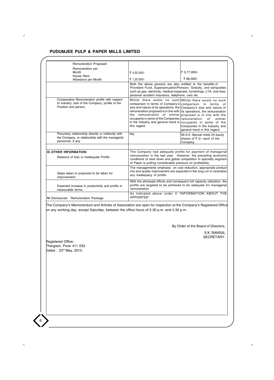| Remuneration Proposed<br>Remuneration per                                                                                                                                                                   |                                                                                                                                                                                                                                                                                                                                                                                                                                                                      |                                                                                 |
|-------------------------------------------------------------------------------------------------------------------------------------------------------------------------------------------------------------|----------------------------------------------------------------------------------------------------------------------------------------------------------------------------------------------------------------------------------------------------------------------------------------------------------------------------------------------------------------------------------------------------------------------------------------------------------------------|---------------------------------------------------------------------------------|
| Month                                                                                                                                                                                                       | ₹ 4,50,000/-                                                                                                                                                                                                                                                                                                                                                                                                                                                         | ₹ 3,77,000/-                                                                    |
| House Rent<br>Allowance per Month                                                                                                                                                                           | ₹ 1,20,000/-                                                                                                                                                                                                                                                                                                                                                                                                                                                         | ₹ 86,000/-                                                                      |
|                                                                                                                                                                                                             | Both the above persons are also entitled to the benefits of<br>Provident Fund, Superannuation/Pension, Gratuity, and perquisites<br>such as gas, electricity, medical expenses, furnishings, LTA, club fees,<br>personal accident insurance, telephone, cars etc.                                                                                                                                                                                                    |                                                                                 |
| Comparative Remuneration profile with respect<br>to industry, size of the Company, profile of the<br>Position and person.                                                                                   | Whilst there exists no such Whilst there exists no such<br>comparison in terms of Company's comparison in terms of<br>size and nature of its operations, the Company's size and nature of<br>remuneration proposed is in line with lits operations, the remuneration<br>the remuneration of similar proposed is in line with the<br>occupants in some of the Companies remuneration<br>in the Industry and general trend in occupants in some of the<br>this regard. | similar<br>of<br>Companies in the Industry and<br>general trend in this regard. |
| Pecuniary relationship directly or indirectly with<br>the Company, or relationship with the managerial<br>personnel, if any.                                                                                | <b>NIL</b>                                                                                                                                                                                                                                                                                                                                                                                                                                                           | Mr.S.K. Bansal holds 20 equity<br>shares of ₹ 2/- each of the<br>Company.       |
| III. OTHER INFORMATION:<br>Reasons of loss or inadequate Profits                                                                                                                                            | The Company had adequate profits for payment of managerial<br>remuneration in the last year. However, the prevailing economic<br>conditions of slow down and global competition in specialty segment<br>of Paper is putting considerable pressure on profitability.                                                                                                                                                                                                  |                                                                                 |
| Steps taken or proposed to be taken for<br>improvement.                                                                                                                                                     | The managements emphasis on cost reduction, appropriate product<br>mix and quality improvement are expected in the long run to neutralize<br>any inadequacy of profits.                                                                                                                                                                                                                                                                                              |                                                                                 |
| Expected increase in productivity and profits in<br>measurable terms.                                                                                                                                       | With the aforesaid efforts and consequent full capacity utilization, the<br>profits are targeted to be achieved to be adequate for managerial<br>remuneration.                                                                                                                                                                                                                                                                                                       |                                                                                 |
| <b>IV.</b> Disclosures: Remuneration Package                                                                                                                                                                | As indicated above under II "INFORMATION ABOUT THE<br>APPOINTEE".                                                                                                                                                                                                                                                                                                                                                                                                    |                                                                                 |
| The Company's Memorandum and Articles of Association are open for inspection at the Company's Registered Office<br>bn any working day, except Saturday, between the office hours of 2.30 p.m. and 4.30 p.m. |                                                                                                                                                                                                                                                                                                                                                                                                                                                                      |                                                                                 |
|                                                                                                                                                                                                             |                                                                                                                                                                                                                                                                                                                                                                                                                                                                      |                                                                                 |
|                                                                                                                                                                                                             |                                                                                                                                                                                                                                                                                                                                                                                                                                                                      |                                                                                 |
|                                                                                                                                                                                                             |                                                                                                                                                                                                                                                                                                                                                                                                                                                                      |                                                                                 |
|                                                                                                                                                                                                             |                                                                                                                                                                                                                                                                                                                                                                                                                                                                      |                                                                                 |
|                                                                                                                                                                                                             |                                                                                                                                                                                                                                                                                                                                                                                                                                                                      |                                                                                 |
|                                                                                                                                                                                                             |                                                                                                                                                                                                                                                                                                                                                                                                                                                                      |                                                                                 |
| <b>Registered Office:</b><br>Thergaon, Pune 411 033.<br>Dated: 23 <sup>rd</sup> May, 2013.                                                                                                                  |                                                                                                                                                                                                                                                                                                                                                                                                                                                                      |                                                                                 |
|                                                                                                                                                                                                             |                                                                                                                                                                                                                                                                                                                                                                                                                                                                      | By Order of the Board of Directors,<br>S.K. BANSAL<br>SECRETARY.                |
|                                                                                                                                                                                                             |                                                                                                                                                                                                                                                                                                                                                                                                                                                                      |                                                                                 |

 $\bar{\mathbb{Q}}$ 

ř.

 $\overline{\mathcal{A}}$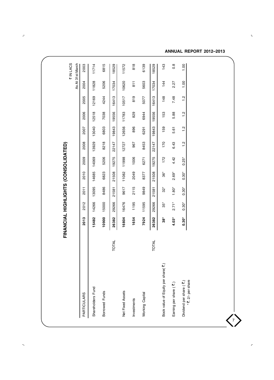| 11828<br>5206<br>2004<br>10620<br>5603<br>17034<br>1.00<br>17034<br>811<br>144<br>2.27<br>12169<br>16413<br>2005<br>4244<br>16413<br>10517<br>819<br>148<br>7.48<br>$\frac{2}{1}$<br>5077<br>2006<br>12518<br>7038<br>19556<br>11783<br>829<br>19556<br>6944<br>153<br>5.88<br>$\frac{2}{1}$<br>13040<br>12656<br>6803<br>19843<br>896<br>19843<br>159<br>$\frac{2}{1}$<br>2007<br>6291<br>5.61<br>13929<br>2008<br>8218<br>8453<br>6.43<br>170<br>$\frac{2}{1}$<br>22147<br>12727<br>967<br>22147<br>14069<br>5206<br>172<br>2009<br>19275<br>11998<br>1006<br>19275<br>6271<br>4.42<br>$0.25*$<br>14685<br>2010<br>6823<br>21508<br>2049<br>21508<br>11082<br>8377<br>$0.30*$<br>$36*$<br>$2.69*$<br>13095<br>8486<br>9849<br>9617<br>2115<br>2011<br>21581<br>$1.80*$<br>$0.30*$<br>21581<br>$32^*$<br>14266<br>15000<br>2012<br>29266<br>11595<br>29266<br>16476<br>1195<br>$2.71*$<br>$0.30*$<br>$35^*$<br>10900<br>15482<br>2013<br>26382<br>16804<br>1654<br>7924<br>26382<br>$4.03*$<br>$38*$<br>$0.30*$<br><b>TOTAL</b><br><b>TOTAL</b><br>Book value of Equity per share( ₹.)<br>Dividend per share ( ₹.)<br>Earning per share (₹.)<br>Shareholders Fund<br>Borrowed Funds<br>Net Fixed Assets<br>Working Capital<br><b>PARTICULARS</b><br>Investments | As At 31st March<br>* ₹. 2/- per share |  | FINANCIAL HIGHLIGHTS (CONSOLIDATED) |  |  |  |  | ₹ IN LACS        |
|------------------------------------------------------------------------------------------------------------------------------------------------------------------------------------------------------------------------------------------------------------------------------------------------------------------------------------------------------------------------------------------------------------------------------------------------------------------------------------------------------------------------------------------------------------------------------------------------------------------------------------------------------------------------------------------------------------------------------------------------------------------------------------------------------------------------------------------------------------------------------------------------------------------------------------------------------------------------------------------------------------------------------------------------------------------------------------------------------------------------------------------------------------------------------------------------------------------------------------------------------------------|----------------------------------------|--|-------------------------------------|--|--|--|--|------------------|
|                                                                                                                                                                                                                                                                                                                                                                                                                                                                                                                                                                                                                                                                                                                                                                                                                                                                                                                                                                                                                                                                                                                                                                                                                                                                  |                                        |  |                                     |  |  |  |  |                  |
|                                                                                                                                                                                                                                                                                                                                                                                                                                                                                                                                                                                                                                                                                                                                                                                                                                                                                                                                                                                                                                                                                                                                                                                                                                                                  |                                        |  |                                     |  |  |  |  | 2003             |
|                                                                                                                                                                                                                                                                                                                                                                                                                                                                                                                                                                                                                                                                                                                                                                                                                                                                                                                                                                                                                                                                                                                                                                                                                                                                  |                                        |  |                                     |  |  |  |  | 11714            |
|                                                                                                                                                                                                                                                                                                                                                                                                                                                                                                                                                                                                                                                                                                                                                                                                                                                                                                                                                                                                                                                                                                                                                                                                                                                                  |                                        |  |                                     |  |  |  |  | 6815             |
|                                                                                                                                                                                                                                                                                                                                                                                                                                                                                                                                                                                                                                                                                                                                                                                                                                                                                                                                                                                                                                                                                                                                                                                                                                                                  |                                        |  |                                     |  |  |  |  | 18529            |
|                                                                                                                                                                                                                                                                                                                                                                                                                                                                                                                                                                                                                                                                                                                                                                                                                                                                                                                                                                                                                                                                                                                                                                                                                                                                  |                                        |  |                                     |  |  |  |  | 11572            |
|                                                                                                                                                                                                                                                                                                                                                                                                                                                                                                                                                                                                                                                                                                                                                                                                                                                                                                                                                                                                                                                                                                                                                                                                                                                                  |                                        |  |                                     |  |  |  |  | 818              |
|                                                                                                                                                                                                                                                                                                                                                                                                                                                                                                                                                                                                                                                                                                                                                                                                                                                                                                                                                                                                                                                                                                                                                                                                                                                                  |                                        |  |                                     |  |  |  |  | 6139             |
|                                                                                                                                                                                                                                                                                                                                                                                                                                                                                                                                                                                                                                                                                                                                                                                                                                                                                                                                                                                                                                                                                                                                                                                                                                                                  |                                        |  |                                     |  |  |  |  | 18529            |
|                                                                                                                                                                                                                                                                                                                                                                                                                                                                                                                                                                                                                                                                                                                                                                                                                                                                                                                                                                                                                                                                                                                                                                                                                                                                  |                                        |  |                                     |  |  |  |  | 143              |
|                                                                                                                                                                                                                                                                                                                                                                                                                                                                                                                                                                                                                                                                                                                                                                                                                                                                                                                                                                                                                                                                                                                                                                                                                                                                  |                                        |  |                                     |  |  |  |  | $0.\overline{8}$ |
|                                                                                                                                                                                                                                                                                                                                                                                                                                                                                                                                                                                                                                                                                                                                                                                                                                                                                                                                                                                                                                                                                                                                                                                                                                                                  |                                        |  |                                     |  |  |  |  | 1.00             |
|                                                                                                                                                                                                                                                                                                                                                                                                                                                                                                                                                                                                                                                                                                                                                                                                                                                                                                                                                                                                                                                                                                                                                                                                                                                                  |                                        |  |                                     |  |  |  |  |                  |
|                                                                                                                                                                                                                                                                                                                                                                                                                                                                                                                                                                                                                                                                                                                                                                                                                                                                                                                                                                                                                                                                                                                                                                                                                                                                  |                                        |  |                                     |  |  |  |  |                  |

 $\bar{\omega}$ 

# **ANNUAL REPORT 2012–2013**

r.

 $\bar{t}_\perp$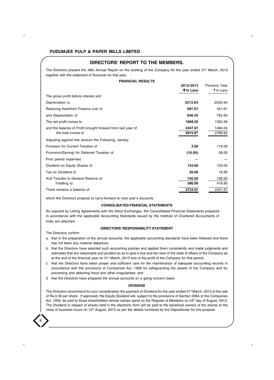### **DIRECTORS' REPORT TO THE MEMBERS.**

The Directors present the 48th Annual Report on the working of the Company for the year ended 31<sup>st</sup> March, 2013 together with the statement of Accounts for that year.

| <b>FINANCIAL RESULTS</b>                                    |           |               |
|-------------------------------------------------------------|-----------|---------------|
|                                                             | 2012-2013 | Previous Year |
|                                                             | ₹ In Lacs | ₹ In Lacs     |
| The gross profit before interest and                        |           |               |
| Depreciation is                                             | 3213.63   | 2526.83       |
| Reducing therefrom Finance cost of                          | 697.01    | 441.61        |
| and Depreciation of                                         | 848.42    | 782.64        |
| The net profit comes to                                     | 1668.20   | 1302.58       |
| and the balance of Profit brought forward from last year of | 2347.67   | 1464.04       |
| the total comes to                                          | 4015.87   | 2766.62       |
| Adjusting against this amount the Following, namely:        |           |               |
| Provision for Current Taxation of                           | 3.00      | 118.00        |
| Provision/(Saving) for Deferred Taxation of                 | (16.00)   | 58.00         |
| Prior period expenses                                       |           |               |
| Dividend on Equity Shares of                                | 123.00    | 123.00        |
| Tax on Dividend of                                          | 20.90     | 19.95         |
| And Transfer to General Reserve of                          | 150.00    | 100.00        |
| Totalling to                                                | 280.90    | 418.95        |
| There remains a balance of                                  | 3734.97   | 2347.67       |

which the Directors propose to carry-forward to next year's accounts.

#### **CONSOLIDATED FINANCIAL STATEMENTS**

As required by Listing Agreements with the Stock Exchanges, the Consolidated Financial Statements prepared in accordance with the applicable Accounting Standards issued by the Institute of Chartered Accountants of India are attached.

# **DIRECTORS' RESPONSIBILITY STATEMENT**

- The Directors confirm
- a. that in the preparation of the annual accounts, the applicable accounting standards have been followed and there has not been any material departure;
- b. that the Directors have selected such accounting policies and applied them consistently and made judgments and estimates that are reasonable and prudent so as to give a true and fair view of the state of affairs of the Company as at the end of the financial year on 31st March, 2013 and of the profit of the Company for that period;
- c. that the Directors have taken proper and sufficient care for the maintenance of adequate accounting records in accordance with the provisions of Companies Act, 1956 for safeguarding the assets of the Company and for preventing and detecting fraud and other irregularities; and
- d. that the Directors have prepared the annual accounts on a going concern basis.

#### **DIVIDEND**

The Directors recommend for your consideration the payment of Dividend for the year ended  $31<sup>st</sup> March$ , 2013 at the rate of Re.0.30 per share. If approved, the Equity Dividend will, subject to the provisions of Section 206A of the Companies Act, 1956, be paid to those shareholders whose names stand on the Register of Members on 24<sup>th</sup> day of August, 2013. The Dividend in respect of shares held in the electronic form will be paid to the beneficial owners of the shares at the close of business hours on 12<sup>th</sup> August, 2013 as per the details furnished by the Depositories for this purpose.

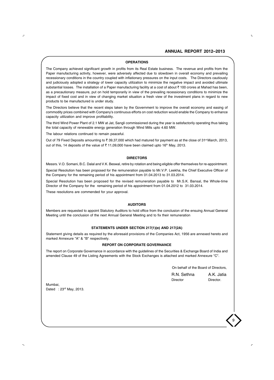#### **OPERATIONS**

The Company achieved significant growth in profits from its Real Estate business. The revenue and profits from the Paper manufacturing activity, however, were adversely affected due to slowdown in overall economy and prevailing recessionary conditions in the country coupled with inflationary pressures on the input costs. The Directors cautiously and judiciously adopted a strategy of lower capacity utilization to minimize the negative impact and avoided ultimate substantial losses. The installation of a Paper manufacturing facility at a cost of about ₹ 100 crores at Mahad has been, as a precautionary measure, put on hold temporarily in view of the prevailing recessionary conditions to minimize the impact of fixed cost and in view of changing market situation a fresh view of the investment plans in regard to new products to be manufactured is under study.

The Directors believe that the recent steps taken by the Government to improve the overall economy and easing of commodity prices combined with Company's continuous efforts on cost reduction would enable the Company to enhance capacity utilization and improve profitability.

The third Wind Power Plant of 2.1 MW at Jat, Sangli commissioned during the year is satisfactorily operating thus taking the total capacity of renewable energy generation through Wind Mills upto 4.60 MW.

The labour relations continued to remain peaceful.

Out of 79 Fixed Deposits amounting to  $\bar{x}$  39,37,000 which had matured for payment as at the close of 31<sup>st</sup> March, 2013, out of this, 14 deposits of the value of  $\overline{5}$  11,09,000 have been claimed upto 16<sup>th</sup> May, 2013.

### **DIRECTORS**

Messrs. V.O. Somani, B.C. Dalal and V.K. Beswal, retire by rotation and being eligible offer themselves for re-appointment.

Special Resolution has been proposed for the remuneration payable to Mr.V.P. Leekha, the Chief Executive Officer of the Company for the remaining period of his appointment from 01.04.2013 to 31.03.2014.

Special Resolution has been proposed for the revised remuneration payable to Mr.S.K. Bansal, the Whole-time Director of the Company for the remaining period of his appointment from 01.04.2012 to 31.03.2014.

These resolutions are commended for your approval.

#### **AUDITORS**

Members are requested to appoint Statutory Auditors to hold office from the conclusion of the ensuing Annual General Meeting until the conclusion of the next Annual General Meeting and to fix their remuneration

#### **STATEMENTS UNDER SECTION 217(1)(e) AND 217(2A)**

Statement giving details as required by the aforesaid provisions of the Companies Act, 1956 are annexed hereto and marked Annexure "A" & "B" respectively.

#### **REPORT ON CORPORATE GOVERNANCE**

The report on Corporate Governance in accordance with the guidelines of the Securities & Exchange Board of India and amended Clause 49 of the Listing Agreements with the Stock Exchanges is attached and marked Annexure "C".

On behalf of the Board of Directors,

9

R.N. Sethna A.K. Jatia Director Director.

Mumbai, Dated : 23<sup>rd</sup> May, 2013.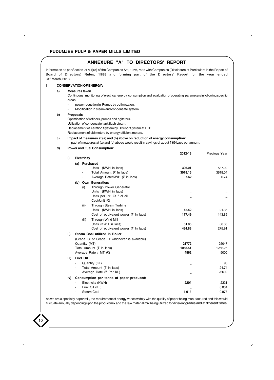$\mathbb{D}^1$ 

| 31 <sup>st</sup> March, 2013. |                                                                                                                                                                                                                                         | Information as per Section 217(1)(e) of the Companies Act, 1956, read with Companies (Disclosure of Particulars in the Report of<br>Board of Directors) Rules, 1988 and forming part of the Directors' Report for the year ended |                           |
|-------------------------------|-----------------------------------------------------------------------------------------------------------------------------------------------------------------------------------------------------------------------------------------|----------------------------------------------------------------------------------------------------------------------------------------------------------------------------------------------------------------------------------|---------------------------|
| J.                            | <b>CONSERVATION OF ENERGY:</b>                                                                                                                                                                                                          |                                                                                                                                                                                                                                  |                           |
| a)                            | Measures taken<br>areas:<br>power reduction in Pumps by optimisation.<br>$\blacksquare$<br>Modification in steam and condensate system.<br>$\overline{\phantom{a}}$                                                                     | Continuous monitoring of electrical energy consumption and evaluation of operating parameters in following specific                                                                                                              |                           |
| b)                            | <b>Proposals</b><br>Optimisation of refiners, pumps and agitators.<br>Utilisation of condensate tank flash steam.<br>Replacement of Aeration System by Diffusor System at ETP.<br>Replacement of old motors by energy efficient motors. |                                                                                                                                                                                                                                  |                           |
| c)                            |                                                                                                                                                                                                                                         | Impact of measures at (a) and (b) above on reduction of energy consumption:<br>Impact of measures at (a) and (b) above would result in savings of about $\bar{\tau}$ 69 Lacs per annum.                                          |                           |
| d)                            | <b>Power and Fuel Consumption:</b><br>i)<br><b>Electricity</b>                                                                                                                                                                          | 2012-13                                                                                                                                                                                                                          | <b>Previous Year</b>      |
|                               | (a) Purchased<br>Units (KWH in lacs)<br>Total Amount (₹ In lacs)<br>Average Rate/KWH (₹ in lacs)<br>$\overline{\phantom{a}}$                                                                                                            | 396.01<br>3018.16<br>7.62                                                                                                                                                                                                        | 537.02<br>3618.04<br>6.74 |
|                               | (b) Own Generation:<br>Through Power Generator<br>(i)<br>Units (KWH in lacs)<br>Units per Ltr. Of fuel oil<br>Cost/Unit (₹)                                                                                                             |                                                                                                                                                                                                                                  |                           |
|                               | <b>Through Steam Turbine</b><br>(ii)<br>Units (KWH in lacs)<br>Cost of equivalent power $(\bar{\tau}$ In lacs)<br>Through Wind Mill<br>(iii)                                                                                            | 15.42<br>117.49                                                                                                                                                                                                                  | 21.35<br>143.89           |
|                               | Units (KWH in lacs)<br>Cost of equivalent power $(\bar{\tau})$ In lacs)                                                                                                                                                                 | 61.85<br>484.88                                                                                                                                                                                                                  | 38.35<br>275.91           |
|                               | Steam Coal utilized in Boiler<br>ii)<br>(Grade 'C' or Grade 'D' whichever is available)<br>Quantity (MT)<br>Total Amount (₹ In lacs)<br>Average Rate / MT $(3)$                                                                         | 21772<br>1058.51<br>4862                                                                                                                                                                                                         | 25047<br>1252.25<br>5000  |
|                               | Fuel Oil<br>iii)<br>Quantity (KL)<br>Total Amount (₹ In lacs)<br>Average Rate (₹ Per KL)                                                                                                                                                |                                                                                                                                                                                                                                  | 93<br>24.74<br>26602      |
|                               | Consumption per tonne of paper produced:<br>iv)<br>Electricity (KWH)                                                                                                                                                                    | 2204                                                                                                                                                                                                                             | 2331                      |

 $\bar{\mathbf{r}}_{\mu}$ 

 $\mathbf{r}^{\perp}$ 

As we are a specialty paper mill, the requirement of energy varies widely with the quality of paper being manufactured and this would fluctuate annually depending upon the product mix and the raw material mix being utilized for different grades and at different times.

10

 $\overline{a}$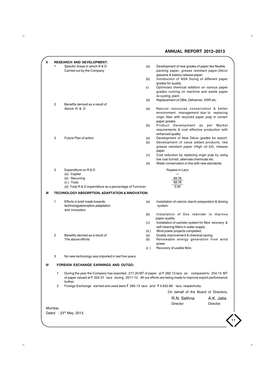# **ANNUAL REPORT 2012–2013**

| $\mathbf{u}$ |                | <b>RESEARCH AND DEVELOPMENT:</b>                                                                                                                                                                                                   |            |                                                                                                                                                         |            |
|--------------|----------------|------------------------------------------------------------------------------------------------------------------------------------------------------------------------------------------------------------------------------------|------------|---------------------------------------------------------------------------------------------------------------------------------------------------------|------------|
|              | 1              | Specific Areas in which R & D<br>Carried out by the Company                                                                                                                                                                        | (a)        | Development of new grades of paper like flexible<br>packing paper, grease resistant paper, Décor<br>glassine & bakery release paper.                    |            |
|              |                |                                                                                                                                                                                                                                    | (b)        | Introduction of ASA Sizing of different paper                                                                                                           |            |
|              |                |                                                                                                                                                                                                                                    | c)         | grades for quality.<br>Optimized chemical addition on various paper<br>grades running on machine and waste paper<br>re-cycling plant.                   |            |
|              |                |                                                                                                                                                                                                                                    | (d)        | Replacement of OBA, Defoamer, DSR etc.                                                                                                                  |            |
|              | 2              | Benefits derived as a result of<br>Above R & D                                                                                                                                                                                     | (a)        | Natural resources conservation & better<br>environment management due to replacing<br>virgin fiber with recycled paper pulp in certain<br>paper grades. |            |
|              |                |                                                                                                                                                                                                                                    | (b)        | Product Development as per Market<br>requirements & cost effective production with<br>enhanced quality.                                                 |            |
|              | 3              | Future Plan of action                                                                                                                                                                                                              | (a)        | Development of New Décor grades for export.                                                                                                             |            |
|              |                |                                                                                                                                                                                                                                    | (b)        | Development of value added products, like<br>grease resistant paper (High oil kit), release<br>paper.                                                   |            |
|              |                |                                                                                                                                                                                                                                    | (c)<br>(d) | Cost reduction by replacing virgin pulp by using<br>low cost furnish, alternate chemicals etc.<br>Water conservation in line with new standards.        |            |
|              | 3              |                                                                                                                                                                                                                                    |            |                                                                                                                                                         |            |
|              |                | Expenditure on R & D<br>(a) Capital                                                                                                                                                                                                |            | Rupees in Lacs                                                                                                                                          |            |
|              |                | (b) Recurring                                                                                                                                                                                                                      |            | 69.78                                                                                                                                                   |            |
|              |                | (c) Total<br>(d) Total R & D expenditure as a percentage of Turnover                                                                                                                                                               |            | 69.78<br>0.34                                                                                                                                           |            |
| Ш            |                | TECHNOLOGY ABSORPTION, ADAPTATION & INNOVATION:                                                                                                                                                                                    |            |                                                                                                                                                         |            |
|              | 1              | Efforts in brief made towards                                                                                                                                                                                                      | (a)        | Installation of catonic starch preparation & dosing                                                                                                     |            |
|              |                | technologyabsorption, adaptation<br>and innovation                                                                                                                                                                                 |            | system.                                                                                                                                                 |            |
|              |                |                                                                                                                                                                                                                                    | (b)        | Installation of Dox rewinder to improve<br>paper quality.<br>Installation of canister system for fibre recovery &                                       |            |
|              |                |                                                                                                                                                                                                                                    | (c)        | self cleaning filters in water supply.                                                                                                                  |            |
|              |                |                                                                                                                                                                                                                                    | (d)        | Wind power projects completed.                                                                                                                          |            |
|              | $\overline{c}$ | Benefits derived as a result of<br>The above efforts                                                                                                                                                                               | (a)<br>(b) | Quality improvement & chemical saving<br>Renewable energy generation from wind<br>power                                                                 |            |
|              |                |                                                                                                                                                                                                                                    | (c)        | Recovery of usable fibre.                                                                                                                               |            |
|              | 3              | No new technology was imported in last five years.                                                                                                                                                                                 |            |                                                                                                                                                         |            |
| IV           |                | FOREIGN EXCHANGE EARNINGS AND OUTGO:                                                                                                                                                                                               |            |                                                                                                                                                         |            |
|              | 1              | During the year the Company has exported 277.20 MT of paper at ₹ 260.13 lacs as compared to 254.13 MT<br>of paper valued at ₹ 202.57 lacs during 2011-12. All out efforts are being made to improve export performance<br>further. |            |                                                                                                                                                         |            |
|              | $\overline{c}$ | Foreign Exchange earned and used were ₹ 260.13 lacs and ₹4,632.66 lacs, respectively.                                                                                                                                              |            |                                                                                                                                                         |            |
|              |                |                                                                                                                                                                                                                                    |            | On behalf of the Board of Directors,                                                                                                                    |            |
|              |                |                                                                                                                                                                                                                                    |            | R.N. Sethna                                                                                                                                             | A.K. Jatia |
|              |                |                                                                                                                                                                                                                                    |            | Director                                                                                                                                                | Director.  |
|              | Mumbai,        | Dated : $23^{\text{rd}}$ May, 2013.                                                                                                                                                                                                |            |                                                                                                                                                         |            |
|              |                |                                                                                                                                                                                                                                    |            |                                                                                                                                                         |            |
|              |                |                                                                                                                                                                                                                                    |            |                                                                                                                                                         |            |

 $\bar{\omega}$ 

 $\bar{t}_\perp$ 

 $\bar{c}$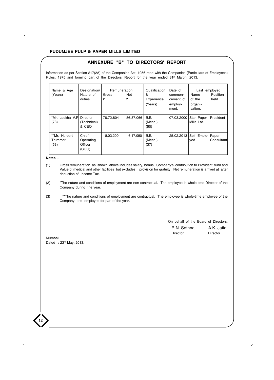### **ANNEXURE "B" TO DIRECTORS' REPORT**

Information as per Section 217(2A) of the Companies Act, 1956 read with the Companies (Particulars of Employees) Rules, 1975 and forming part of the Directors' Report for the year ended 31<sup>st</sup> March, 2013.

| Name & Age<br>(Years)             | Designation/<br>Nature of<br>duties    | Remuneration<br>Gross<br>₹ | <b>Net</b><br>₹ | Qualification<br>&<br>Experience<br>(Years) | Date of<br>commen-<br>cement of<br>employ-<br>ment. | Last employed<br>Name<br>of the<br>organi-<br>sation. | Position<br>held |
|-----------------------------------|----------------------------------------|----------------------------|-----------------|---------------------------------------------|-----------------------------------------------------|-------------------------------------------------------|------------------|
| *Mr. Leekha V.Pl Director<br>(73) | (Technical)<br>& CEO                   | 76,72,804                  | 56,87,066       | B.E.<br>(Mech.)<br>(50)                     | 07.03.2000                                          | Star Paper<br>Mills Ltd.                              | President        |
| **Mr. Hurbert<br>Trummer<br>(53)  | Chief<br>Operating<br>Officer<br>(COO) | 8,03,200                   | 6,17,090        | B.E.<br>(Mech.)<br>(37)                     | 25.02.2013                                          | Self Emplo- Paper<br>ved                              | Consultantl      |

#### **Notes -**

L.

- (1) Gross remuneration as shown above includes salary, bonus, Company's contribution to Provident fund and Value of medical and other facilities but excludes provision for gratuity. Net remuneration is arrived at after deduction of Income Tax.
- (2) \*The nature and conditions of employment are non contractual. The employee is whole-time Director of the Company during the year.
- (3) \*\*The nature and conditions of employment are contractual. The employee is whole-time employee of the Company and employed for part of the year.

 On behalf of the Board of Directors, R.N. Sethna A.K. Jatia Director **Director.** 

Mumbai Dated : 23rd May, 2013.



 $\bar{L}$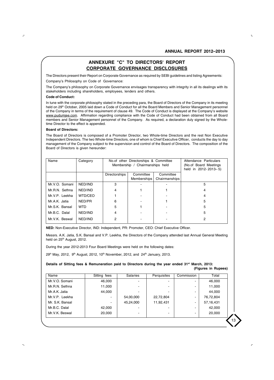# **ANNEXURE "C" TO DIRECTORS' REPORT CORPORATE GOVERNANCE DISCLOSURES**

The Directors present their Report on Corporate Governance as required by SEBI guidelines and listing Agreements:

Company's Philosophy on Code of Governance:

The Company's philosophy on Corporate Governance envisages transparency with integrity in all its dealings with its stakeholders including shareholders, employees, lenders and others.

#### **Code of Conduct:**

In tune with the corporate philosophy stated in the preceding para, the Board of Directors of the Company in its meeting held on 29<sup>th</sup> October, 2005 laid down a Code of Conduct for all the Board Members and Senior Management personnel of the Company in terms of the requirement of clause 49. The Code of Conduct is displayed at the Company's website www.pudumjee.com. Affirmation regarding compliance with the Code of Conduct had been obtained from all Board members and Senior Management personnel of the Company. As required, a declaration duly signed by the Wholetime Director to the effect is appended.

### **Board of Directors:**

The Board of Directors is composed of a Promoter Director, two Whole-time Directors and the rest Non Executive Independent Directors. The two Whole-time Directors, one of whom is Chief Executive Officer, conducts the day to day management of the Company subject to the supervision and control of the Board of Directors. The composition of the Board of Directors is given hereunder:

| Name           | Category   |               | No.of other Directorships & Committee<br>Membership / Chairmanships held |                            | Attendance Particulars<br>(No.of Board Meetings)<br>held in 2012-2013-5) |
|----------------|------------|---------------|--------------------------------------------------------------------------|----------------------------|--------------------------------------------------------------------------|
|                |            | Directorships | Committee<br>Memberships                                                 | Committee<br>Chairmanships |                                                                          |
| Mr.V.O. Somani | NED/IND    | 3             |                                                                          |                            | 5                                                                        |
| Mr.R.N. Sethna | NED/IND    | 4             |                                                                          |                            |                                                                          |
| Mr.V.P. Leekha | WTD/CEO    |               |                                                                          |                            | 4                                                                        |
| Mr.A.K. Jatia  | NED/PR     | 6             |                                                                          |                            | 5                                                                        |
| Mr.S.K. Bansal | <b>WTD</b> | 5             |                                                                          |                            | 5                                                                        |
| Mr.B.C. Dalal  | NED/IND    | 4             |                                                                          |                            | 5                                                                        |
| Mr.V.K. Beswal | NED/IND    | 2             |                                                                          |                            | 2                                                                        |

**NED:** Non-Executive Director, IND: Independent, PR: Promoter, CEO: Chief Executive Officer.

Messrs. A.K. Jatia, S.K. Bansal and V.P. Leekha, the Directors of the Company attended last Annual General Meeting held on 25<sup>th</sup> August, 2012.

During the year 2012-2013 Four Board Meetings were held on the following dates:

29<sup>th</sup> May, 2012, 9<sup>th</sup> August, 2012, 10<sup>th</sup> November, 2012, and 24<sup>th</sup> January, 2013.

### **Details of Sitting fees & Remuneration paid to Directors during the year ended 31st March, 2013: (Figures in Rupees)**

| Name            | Sitting fees | <b>Salaries</b> | Perquisites              | Commission | Total     |    |
|-----------------|--------------|-----------------|--------------------------|------------|-----------|----|
| Mr.V.O. Somani  | 46,000       |                 |                          |            | 46,000    |    |
| Mr.R.N. Sethna  | 11,000       |                 | $\overline{\phantom{a}}$ |            | 11,000    |    |
| Mr.A.K. Jatia   | 44.000       |                 | $\overline{\phantom{a}}$ |            | 44.000    |    |
| Mr.V.P. Leekha  | ۰.           | 54,00,000       | 22,72,804                |            | 76,72,804 |    |
| Mr. S.K. Bansal |              | 45,24,000       | 11,92,431                |            | 57,16,431 |    |
| Mr.B.C. Dalal   | 42,000       |                 | $\overline{\phantom{a}}$ |            | 42,000    |    |
| Mr.V.K. Beswal  | 20,000       |                 | $\overline{\phantom{a}}$ |            | 20,000    |    |
|                 |              |                 |                          |            |           | 13 |
|                 |              |                 |                          |            |           |    |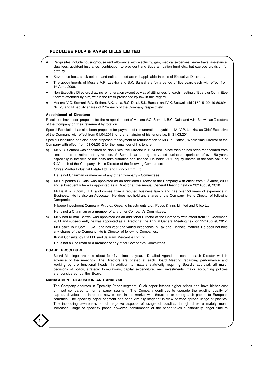- Perquisites include housing/house rent allowance with electricity, gas, medical expenses, leave travel assistance, club fees, accident insurance, contribution to provident and Superannuation fund etc., but exclude provision for gratuity.
- Severance fees, stock options and notice period are not applicable in case of Executive Directors.
- The appointments of Messrs V.P. Leekha and S.K. Bansal are for a period of five years each with effect from 1st April, 2009.
- Non Executive Directors draw no remuneration except by way of sitting fees for each meeting of Board or Committee thereof attended by him, within the limits prescribed by law in this regard.
- z Messrs. V.O. Somani, R.N. Sethna, A.K. Jatia, B.C. Dalal, S.K. Bansal and V.K. Beswal held 2150, 5120, 19,50,894, Nil, 20 and Nil equity shares of  $\bar{\tau}$  2/- each of the Company respectively.

#### **Appointment of Directors:**

Resolution have been proposed for the re-appointment of Messrs V.O. Somani, B.C. Dalal and V.K. Beswal as Directors of the Company on their retirement by rotation.

Special Resolution has also been proposed for payment of remuneration payable to Mr.V.P. Leekha as Chief Executive of the Company with effect from 01.04.2013 for the remainder of his tenure i.e. till 31.03.2014.

Special Resolution has also been proposed for payment of remuneration to Mr.S.K. Bansal, Whole-time Director of the Company with effect from 01.04.2012 for the remainder of his tenure.

a) Mr.V.O. Somani was appointed as Non-Executive Director in 1974 and since then he has been reappointed from time to time on retirement by rotation. Mr.Somani has a long and varied business experience of over 50 years especially in the field of business administration and finance. He holds 2150 equity shares of the face value of  $\bar{\tau}$  2/- each of the Company. He is Director of the following Companies:

Shree Madhu Industrial Estate Ltd., and Evinco Exim Ltd.,

He is not Chairman or member of any other Company's Committees.

b) Mr.Bhupendra C. Dalal was appointed as an additional Director of the Company with effect from 13th June, 2009 and subsequently he was appointed as a Director at the Annual General Meeting held on 28<sup>th</sup> August, 2010.

Mr.Dalal is B.Com., LL.B and comes from a reputed business family and has over 50 years of experience in Business. He is also an Advocate. He does not hold any shares of the Company. He is Director of following **Companies** 

Nildeep Investment Company Pvt.Ltd., Oceanic Investments Ltd., Foods & Inns Limited and Cifco Ltd.

He is not a Chairman or a member of any other Company's Committees.

c) Mr.Vinod Kumar Beswal was appointed as an additional Director of the Company with effect from 1st December, 2011 and subsequently he was appointed as a Director at the Annual General Meeting held on 25<sup>th</sup> August, 2012. Mr.Beswal is B.Com., FCA., and has vast and varied experience in Tax and Financial matters. He does not hold

Kunal Consultancy Pvt.Ltd. and Jalaram Mercantile Pvt.Ltd.

He is not a Chairman or a member of any other Company's Committees.

any shares of the Company. He is Director of following Companies:

#### **BOARD PROCEDURE:**

14

Board Meetings are held about four-five times a year. Detailed Agenda is sent to each Director well in advance of the meetings. The Directors are briefed at each Board Meeting regarding performance and working by the functional heads. In addition to matters statutorily requiring Board's approval, all major decisions of policy, strategic formulations, capital expenditure, new investments, major accounting policies are considered by the Board.

### **MANAGEMENT DISCUSSION AND ANALYSIS:**

The Company operates in Specialty Paper segment. Such paper fetches higher prices and have higher cost of input compared to normal paper segment. The Company continues to upgrade the existing quality of papers, develop and introduce new papers in the market with thrust on exporting such papers to European countries. The specialty paper segment has been virtually stagnant in view of wide spread usage of plastics. The increasing awareness about negative aspects of usage of plastics, though does ultimately mean increased usage of specialty paper, however, consumption of the paper takes substantially longer time to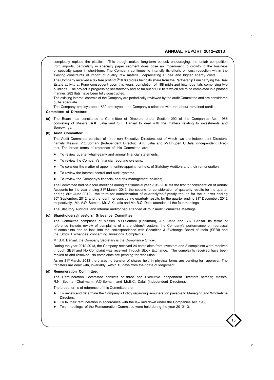completely replace the plastics. This though makes long-term outlook encouraging, the unfair competition from imports, particularly in specialty paper segment does pose an impediment to growth in the business of specialty paper in short-term. The Company continues to intensify its efforts on cost reduction within the existing constraints of import of quality raw material, depreciating Rupee and higher energy costs.

The Company received a tax free profit of  $\bar{\zeta}$ 16.60 crores being its share from the Partnership Firm carrying the Real Estate activity at Pune consequent upon this years' completion of 188 mid-sized luxurious flats comprising two buildings. The project is progressing satisfactorily and so far out of 658 flats which are to be completed in a phased manner, 282 flats have been fully constructed.

The existing internal controls of the Company are periodically reviewed by the audit Committee and are considered quite adequate.

The Company employs about 530 employees and Company's relations with the labour remained cordial.

#### **Committee of Directors:**

**(a)** The Board has constituted a Committee of Directors under Section 292 of the Companies Act, 1956 consisting of Messrs. A.K. Jatia and S.K. Bansal to deal with the matters relating to investments and Borrowings.

#### **(b) Audit Committee:**

The Audit Committee consists of three non Executive Directors, out of which two are independent Directors, namely Messrs. V.O.Somani (Independent Director), A.K. Jatia and Mr.Bhupen C.Dalal (Independent Director). The broad terms of reference of this Committee are:

- To review quarterly/half-yearly and annual financial statements.
- To review the Company's financial reporting systems.
- To consider the matter of appointment/re-appointment etc. of Statutory Auditors and their remuneration.
- To review the internal control and audit systems.
- To review the Company's financial and risk management policies;

The Committee had held four meetings during the financial year 2012-2013 viz the first for consideration of Annual Accounts for the year ending 31<sup>st</sup> March, 2012, the second for consideration of quarterly results for the quarter ending 30<sup>th</sup> June,2012, the third for consideration of quarterly/half-yearly results for the quarter ending 30<sup>th</sup> September, 2012, and the fourth for considering quarterly results for the quarter ending 31<sup>st</sup> December, 2012 respectively. Mr. V.O. Somani, Mr. A.K. Jatia and Mr. B.C. Dalal attended all the four meetings.

The Statutory Auditors and Internal Auditor had attended all four Audit Committee Meetings.

#### **(c) Shareholders'/Investors' Grievance Committee:**

The Committee comprises of Messrs. V.O.Somani (Chairman), A.K. Jatia and S.K. Bansal. Its terms of reference include review of complaints of shareholders/investors, the Company's performance on redressal of complaints and to look into the correspondence with Securities & Exchange Board of India (SEBI) and the Stock Exchanges concerning Investor's Complaints.

Mr.S.K. Bansal, the Company Secretary is the Compliance Officer.

During the year 2012-2013, the Company received 24 complaints from investors and 3 complaints were received through SEBI and No Complaint was received through Stock Exchange. The complaints received have been replied to and resolved. No complaints are pending for resolution.

As on 31st March, 2013 there was no transfer of shares held in physical forms are pending for approval. The transfers are dealt with, invariably, within 15 days from their date of lodgement.

#### **(d) Remuneration Committee:**

The Remuneration Committee consists of three non Executive Independent Directors namely; Messrs. R.N. Sethna (Chairman), V.O.Somani and Mr.B.C. Dalal (Independent Directors).

The broad terms of reference of this Committee are:

- To review and determine the Company's Policy regarding remuneration payable to Managing and Whole-time Directors;
- To fix their remuneration in accordance with the law laid down under the Companies Act, 1956
- Two meetings of the Remuneration Committee were held during the year 2012-13.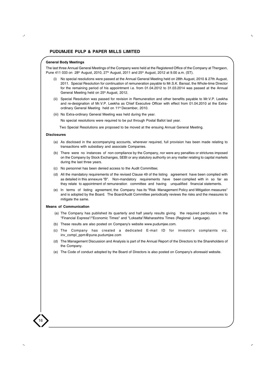### **General Body Meetings**

The last three Annual General Meetings of the Company were held at the Registered Office of the Company at Thergaon, Pune 411 033 on 28<sup>th</sup> August, 2010, 27<sup>th</sup> August, 2011 and 25<sup>th</sup> August, 2012 at 9.00 a.m. (ST).

- No special resolutions were passed at the Annual General Meeting held on 28th August, 2010 & 27th August, 2011. Special Resolution for continuation of remuneration payable to Mr.S.K. Bansal, the Whole-time Director for the remaining period of his appointment i.e. from 01.04.2012 to 31.03.2014 was passed at the Annual General Meeting held on 25<sup>th</sup> August, 2012.
- (ii) Special Resolution was passed for revision in Remuneration and other benefits payable to Mr.V.P. Leekha and re-designation of Mr.V.P. Leekha as Chief Executive Officer with effect from 01.04.2010 at the Extraordinary General Meeting held on 11<sup>th</sup> December, 2010.
- (iii) No Extra-ordinary General Meeting was held during the year.

No special resolutions were required to be put through Postal Ballot last year.

Two Special Resolutions are proposed to be moved at the ensuing Annual General Meeting.

### **Disclosures**

- (a) As disclosed in the accompanying accounts, wherever required, full provision has been made relating to transactions with subsidiary and associate Companies.
- (b) There were no instances of non compliance by the Company, nor were any penalties or strictures imposed on the Company by Stock Exchanges, SEBI or any statutory authority on any matter relating to capital markets during the last three years.
- (c) No personnel has been denied access to the Audit Committee;
- (d) All the mandatory requirements of the revised Clause 49 of the listing agreement have been complied with as detailed in this annexure "B". Non-mandatory requirements have been complied with in so far as they relate to appointment of remuneration committee and having unqualified financial statements.
- (e) In terms of listing agreement, the Company has its "Risk Management Policy and Mitigation measures" and is adopted by the Board. The Board/Audit Committee periodically reviews the risks and the measures to mitigate the same.

#### **Means of Communication**

- (a) The Company has published its quarterly and half yearly results giving the required particulars in the "Financial Express"/"Economic Times" and "Loksatta"/Maharashtra Times (Regional Language).
- (b) These results are also posted on Company's website www.pudumjee.com.
- (c) The Company has created a dedicated E-mail ID for investor's complaints viz. inv\_compl\_ppm@pune.pudumjee.com
- (d) The Management Discussion and Analysis is part of the Annual Report of the Directors to the Shareholders of the Company.
- (e) The Code of conduct adopted by the Board of Directors is also posted on Company's aforesaid website.

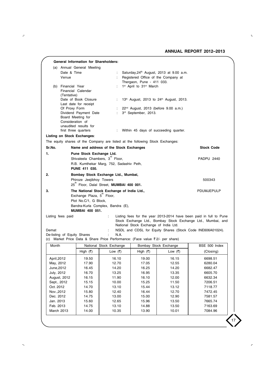|                        |                             | General Information for Shareholders:  |                                                                                      |                                                                          |                                                      |                                                                    |
|------------------------|-----------------------------|----------------------------------------|--------------------------------------------------------------------------------------|--------------------------------------------------------------------------|------------------------------------------------------|--------------------------------------------------------------------|
|                        |                             | (a) Annual General Meeting             |                                                                                      |                                                                          |                                                      |                                                                    |
|                        | Date & Time                 |                                        | ÷                                                                                    |                                                                          | Saturday, 24 <sup>th</sup> August, 2013 at 9.00 a.m. |                                                                    |
|                        | Venue                       |                                        |                                                                                      | Registered Office of the Company at                                      |                                                      |                                                                    |
|                        | (b) Financial Year          |                                        |                                                                                      | Thergaon, Pune - 411 033.<br>1st April to 31st March                     |                                                      |                                                                    |
|                        |                             | Financial Calendar                     |                                                                                      |                                                                          |                                                      |                                                                    |
|                        | (Tentative)                 |                                        |                                                                                      |                                                                          |                                                      |                                                                    |
|                        |                             | Date of Book Closure                   | ÷                                                                                    |                                                                          | 13th August, 2013 to 24th August, 2013.              |                                                                    |
|                        |                             | Last date for receipt                  |                                                                                      |                                                                          |                                                      |                                                                    |
|                        | Of Proxy Form               | Dividend Payment Date                  | ÷                                                                                    | 22 <sup>nd</sup> August, 2013 (before 9.00 a.m.)<br>3rd September, 2013. |                                                      |                                                                    |
|                        | Board Meeting for           |                                        |                                                                                      |                                                                          |                                                      |                                                                    |
|                        | Consideration of            |                                        |                                                                                      |                                                                          |                                                      |                                                                    |
|                        |                             | unaudited results for                  |                                                                                      |                                                                          |                                                      |                                                                    |
|                        | first three quarters        |                                        |                                                                                      |                                                                          | : Within 45 days of succeeding quarter.              |                                                                    |
|                        |                             | Listing on Stock Exchanges:            |                                                                                      |                                                                          |                                                      |                                                                    |
|                        |                             |                                        | The equity shares of the Company are listed at the following Stock Exchanges:        |                                                                          |                                                      |                                                                    |
| Sr.No.                 |                             |                                        | Name and address of the Stock Exchanges                                              |                                                                          |                                                      | <b>Stock Code</b>                                                  |
| 1.                     |                             | Pune Stock Exchange Ltd.               |                                                                                      |                                                                          |                                                      |                                                                    |
|                        |                             |                                        | Shivaleela Chambers, 3 <sup>rd</sup> Floor,                                          |                                                                          |                                                      | PADPU 2440                                                         |
|                        |                             | PUNE 411 030.                          | R.B. Kumthekar Marg, 752, Sadashiv Peth,                                             |                                                                          |                                                      |                                                                    |
| 2.                     |                             |                                        | Bombay Stock Exchange Ltd., Mumbai,                                                  |                                                                          |                                                      |                                                                    |
|                        |                             | Phiroze Jeejibhoy Towers               |                                                                                      |                                                                          |                                                      | 500343                                                             |
|                        |                             |                                        | 25 <sup>th</sup> Floor, Dalal Street, MUMBAI 400 001.                                |                                                                          |                                                      |                                                                    |
| 3.                     |                             |                                        | The National Stock Exchange of India Ltd.,                                           |                                                                          |                                                      | PDUMJEPULP                                                         |
|                        |                             | Exchange Plaza, 5 <sup>th</sup> Floor, |                                                                                      |                                                                          |                                                      |                                                                    |
|                        |                             | Plot No.C/1, G Block,                  |                                                                                      |                                                                          |                                                      |                                                                    |
|                        |                             |                                        | Bandra-Kurla Complex, Bandra (E),                                                    |                                                                          |                                                      |                                                                    |
|                        |                             | <b>MUMBAI 400 051.</b>                 |                                                                                      |                                                                          |                                                      |                                                                    |
|                        | Listing fees paid           |                                        | ÷                                                                                    |                                                                          |                                                      | Listing fees for the year 2013-2014 have been paid in full to Pune |
|                        |                             |                                        |                                                                                      |                                                                          |                                                      | Stock Exchange Ltd., Bombay Stock Exchange Ltd., Mumbai, and       |
|                        |                             |                                        |                                                                                      | National Stock Exchange of India Ltd.                                    |                                                      |                                                                    |
| Demat                  |                             |                                        |                                                                                      |                                                                          |                                                      | NSDL and CDSL for Equity Shares (Stock Code INE606A01024).         |
|                        | De-listing of Equity Shares |                                        | N.A.<br>(c) Market Price Data & Share Price Performance: (Face value ₹2/- per share) |                                                                          |                                                      |                                                                    |
| Month                  |                             |                                        | National Stock Exchange                                                              |                                                                          | Bombay Stock Exchange                                | BSE 500 Index                                                      |
|                        |                             | High $(\bar{x})$                       | Low (₹)                                                                              | High $(\vec{\tau})$                                                      | Low $(\vec{\tau})$                                   | (Closing)                                                          |
| April, 2012            |                             | 19.50                                  | 16.10                                                                                | 19.00                                                                    | 16.15                                                | 6698.51                                                            |
| May, 2012              |                             | 17.90                                  | 12.70                                                                                | 17.05                                                                    | 12.55                                                | 6280.04                                                            |
| June, 2012             |                             | 16.45                                  | 14.20                                                                                | 16.25                                                                    | 14.20                                                | 6682.47                                                            |
| July, 2012             |                             | 16.70                                  | 13.25                                                                                | 16.95                                                                    | 13.35                                                | 6605.70                                                            |
|                        | August, 2012                | 16.15                                  | 11.90                                                                                | 16.10                                                                    | 12.00                                                | 6632.34                                                            |
|                        |                             | 15.15                                  | 10.00                                                                                | 15.25                                                                    | 11.50                                                | 7206.51                                                            |
| Sept., 2012            |                             | 14.70                                  | 13.10<br>12.40                                                                       | 15.44                                                                    | 13.12                                                | 7118.77                                                            |
| Oct. 2012              |                             |                                        |                                                                                      | 16.44                                                                    | 12.70                                                | 7472.45                                                            |
| Nov., 2012             |                             | 15.80                                  |                                                                                      |                                                                          |                                                      |                                                                    |
| Dec. 2012              |                             | 14.75                                  | 13.00                                                                                | 15.00                                                                    | 12.90                                                | 7581.57                                                            |
| Jan. 2013<br>Feb. 2013 |                             | 15.60<br>14.75                         | 12.65<br>13.10                                                                       | 15.96<br>14.88                                                           | 13.50<br>13.50                                       | 7665.74<br>7163.69                                                 |

 $\bar{\omega}$ 

 $\bar{c}$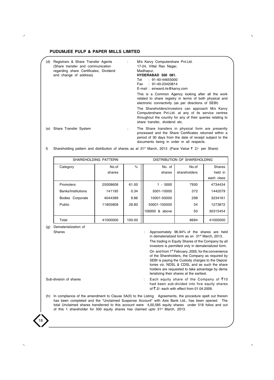| (d) | Registrars & Share Transfer Agents<br>(Share transfer and communication<br>regarding share Certificates, Dividend<br>and change of address) | ÷ | M/s Karvy Computershare Pvt.Ltd.<br>17-24, Vittal Rao Nagar,<br>Madhapur,<br><b>HYDERABAD 500 081.</b><br>$: 91-40-44655000$<br>Tel<br>$: 91-40-23420814$<br>Fax<br>E-mail: einward.ris@karvy.com                      |
|-----|---------------------------------------------------------------------------------------------------------------------------------------------|---|------------------------------------------------------------------------------------------------------------------------------------------------------------------------------------------------------------------------|
|     |                                                                                                                                             |   | This is a Common Agency looking after all the work<br>related to share registry in terms of both physical and<br>electronic connectivity (as per directions of SEBI)                                                   |
|     |                                                                                                                                             |   | The Shareholders/investors can approach M/s Karvy<br>Computershare Pvt.Ltd. at any of its service centres<br>throughout the country for any of their queries relating to<br>share transfer, dividend etc.              |
|     | (e) Share Transfer System                                                                                                                   | ÷ | The Share transfers in physical form are presently<br>processed and the Share Certificates returned within a<br>period of 30 days from the date of receipt subject to the<br>documents being in order in all respects. |

f) Shareholding pattern and distribution of shares as at 31<sup>st</sup> March, 2013 :(Face Value  $\bar{\tau}$  2/- per Share)

|                     | SHAREHOLDING PATTERN |        |                   | DISTRIBUTION OF SHAREHOLDING |            |
|---------------------|----------------------|--------|-------------------|------------------------------|------------|
| Category            | No.of                | $\%$   | No. of            | No.of                        | Shares     |
|                     | shares               |        | shares            | shareholders                 | held in    |
|                     |                      |        |                   |                              | each class |
| Promoters           | 25008608             | 61.00  | $-5000$           | 7930                         | 4734434    |
| Banks/Institutions  | 141195               | 0.34   | 5001-10000        | 372                          | 1442079    |
| Corporate<br>Bodies | 4044389              | 9.86   | 10001-50000       | 298                          | 3234161    |
| Public              | 11805808             | 28.80  | 50001-100000      | 34                           | 1273872    |
|                     |                      |        | & above<br>100000 | 50                           | 30315454   |
| Total               | 41000000             | 100.00 |                   | 8684                         | 41000000   |

(g) Dematerialization of

| Shares | Approximately 96.94% of the shares are held<br>٠<br>in dematerialized form as on 31 <sup>st</sup> March, 2013.                                                                                                                                                                                                          |
|--------|-------------------------------------------------------------------------------------------------------------------------------------------------------------------------------------------------------------------------------------------------------------------------------------------------------------------------|
|        | The trading in Equity Shares of the Company by all<br>investors is permitted only in dematerialized form.                                                                                                                                                                                                               |
|        | On and from 1 <sup>st</sup> February, 2005, for the convenience<br>of the Shareholders, the Company as required by<br>SEBI is paying the Custody charges to the Deposi<br>tories viz. NDSL & CDSL and as such the share<br>holders are requested to take advantage by dema<br>terializing their shares at the earliest. |
|        |                                                                                                                                                                                                                                                                                                                         |

 $\bar{\bar{\bar{L}}}_\mu$ 

r.

Sub-division of shares **in the Company of ₹10** (Sub-division of shares in the Company of ₹10 had been sub-divided into five equity shares of  $\overline{\zeta}$  2/- each with effect from 01.04.2009.

(h) In compliance of the amendment to Clause 5A(II) to the Listing Agreements, the procedure spelt out therein has been completed and the "Unclaimed Suspense Account" with Axis Bank Ltd., has been opened. The total Unclaimed shares transferred to this account were 4,00,585 equity shares under 518 folios and out of this 1 shareholder for 500 equity shares has claimed upto 31<sup>st</sup> March, 2013.

 $\bar{\omega}$ 

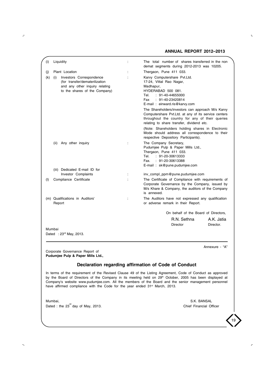$\bar{\mathbf{r}}$ 

| Liquidity<br>(i)  |                                                                                                                                                 | t                    | The total number of shares transferred in the non                                                                                                                                                                                                                                                                                                                                                                               |
|-------------------|-------------------------------------------------------------------------------------------------------------------------------------------------|----------------------|---------------------------------------------------------------------------------------------------------------------------------------------------------------------------------------------------------------------------------------------------------------------------------------------------------------------------------------------------------------------------------------------------------------------------------|
|                   |                                                                                                                                                 |                      | demat segments during 2012-2013 was 10205.                                                                                                                                                                                                                                                                                                                                                                                      |
| (i)<br>(k)<br>(i) | Plant Location<br>Investors Correspondence<br>(for transfer/dematerilization<br>and any other inquiry relating<br>to the shares of the Company) | t<br>÷               | Thergaon, Pune 411 033.<br>Karvy Computershare Pvt.Ltd.<br>17-24, Vittal Rao Nagar,<br>Madhapur,<br>HYDERABAD 500 081.<br>Tel.<br>$: 91-40-44655000$<br>Fax<br>$: 91-40-23420814$<br>E-mail: einward.ris@karvy.com<br>The Shareholders/investors can approach M/s Karvy<br>Computershare Pvt.Ltd. at any of its service centers<br>throughout the country for any of their queries<br>relating to share transfer, dividend etc. |
|                   |                                                                                                                                                 |                      | (Note: Shareholders holding shares in Electronic<br>Mode should address all correspondence to their<br>respective Depository Participants).                                                                                                                                                                                                                                                                                     |
|                   | (ii) Any other inquiry                                                                                                                          | ÷                    | The Company Secretary,<br>Pudumjee Pulp & Paper Mills Ltd.,<br>Thergaon, Pune 411 033.<br>$: 91 - 20 - 30613333$<br>Tel.<br>Fax.<br>$: 91 - 20 - 30613388$<br>E-mail: sk@pune.pudumjee.com                                                                                                                                                                                                                                      |
|                   | (iii) Dedicated E-mail ID for                                                                                                                   |                      |                                                                                                                                                                                                                                                                                                                                                                                                                                 |
|                   | Investor Complaints                                                                                                                             | ÷                    | inv_compl_ppm@pune.pudumjee.com                                                                                                                                                                                                                                                                                                                                                                                                 |
| (1)               | Compliance Certificate                                                                                                                          | ÷                    | The Certificate of Compliance with requirements of<br>Corporate Governance by the Company, issued by<br>M/s Khare & Company, the auditors of the Company<br>is annexed.                                                                                                                                                                                                                                                         |
| Report            | (m) Qualifications in Auditors'                                                                                                                 | $\ddot{\phantom{a}}$ | The Auditors have not expressed any qualification<br>or adverse remark in their Report.                                                                                                                                                                                                                                                                                                                                         |
|                   |                                                                                                                                                 |                      | On behalf of the Board of Directors.                                                                                                                                                                                                                                                                                                                                                                                            |
|                   |                                                                                                                                                 |                      | R.N. Sethna<br>A.K. Jatia<br><b>Director</b><br>Director.                                                                                                                                                                                                                                                                                                                                                                       |
| Mumbai            | Dated : 23rd May, 2013.                                                                                                                         |                      |                                                                                                                                                                                                                                                                                                                                                                                                                                 |
|                   | Corporate Governance Report of<br>Pudumjee Pulp & Paper Mills Ltd.,                                                                             |                      | Annexure - "A"                                                                                                                                                                                                                                                                                                                                                                                                                  |

# **Declaration regarding affirmation of Code of Conduct**

In terms of the requirement of the Revised Clause 49 of the Listing Agreement, Code of Conduct as approved by the Board of Directors of the Company in its meeting held on 29<sup>th</sup> October, 2005 has been displayed at Company's website www.pudumjee.com. All the members of the Board and the senior management personnel have affirmed compliance with the Code for the year ended 31<sup>st</sup> March, 2013.

Mumbai, S.K. BANSAL Dated : the  $23^{rd}$  day of May, 2013.

 $\mathbb{D}$ 

Chief Financial Officer

 $\mathbf{r}$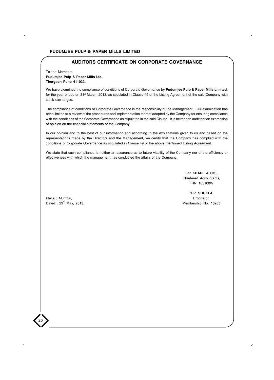### **AUDITORS CERTIFICATE ON CORPORATE GOVERNANCE**

To the Members, **Pudumjee Pulp & Paper Mills Ltd., Thergaon Pune 411033.**

L)

We have examined the compliance of conditions of Corporate Governance by **Pudumjee Pulp & Paper Mills Limited,** for the year ended on 31st March, 2013, as stipulated in Clause 49 of the Listing Agreement of the said Company with stock exchanges.

The compliance of conditions of Corporate Governance is the responsibility of the Management. Our examination has been limited to a review of the procedures and implementation thereof adopted by the Company for ensuring compliance with the conditions of the Corporate Governance as stipulated in the said Clause. It is neither an audit nor an expression of opinion on the financial statements of the Company.

In our opinion and to the best of our information and according to the explanations given to us and based on the representations made by the Directors and the Management, we certify that the Company has complied with the conditions of Corporate Governance as stipulated in Clause 49 of the above mentioned Listing Agreement.

We state that such compliance is neither an assurance as to future viability of the Company nor of the efficiency or effectiveness with which the management has conducted the affairs of the Company.

> **For KHARE & CO.,** Chartered Accountants, FRN 105100W

Place : Mumbai, et al., et al., et al., et al., et al., et al., et al., et al., et al., et al., et al., et al., et al., et al., et al., et al., et al., et al., et al., et al., et al., et al., et al., et al., et al., et al. Dated : 23<sup>rd</sup> May, 2013. Nembership No. 16203

**Y.P. SHUKLA**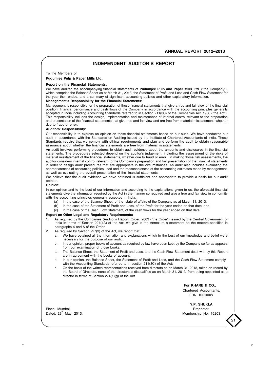### **INDEPENDENT AUDITOR'S REPORT**

To the Members of

# **Pudumjee Pulp & Paper Mills Ltd.,**

#### **Report on the Financial Statements:**

We have audited the accompanying financial statements of **Pudumjee Pulp and Paper Mills Ltd.** ("the Company"), which comprise the Balance Sheet as at March 31, 2013, the Statement of Profit and Loss and Cash Flow Statement for the year then ended, and a summary of significant accounting policies and other explanatory information.

### **Management's Responsibility for the Financial Statements:**

Management is responsible for the preparation of these financial statements that give a true and fair view of the financial position, financial performance and cash flows of the Company in accordance with the accounting principles generally accepted in India including Accounting Standards referred to in Section 211(3C) of the Companies Act, 1956 ("the Act"). This responsibility includes the design, implementation and maintenance of internal control relevant to the preparation and presentation of the financial statements that give true and fair view and are free from material misstatement, whether due to fraud or error.

#### **Auditors' Responsibility:**

Our responsibility is to express an opinion on these financial statements based on our audit. We have conducted our audit in accordance with the Standards on Auditing issued by the Institute of Chartered Accountants of India. Those Standards require that we comply with ethical requirements and plan and perform the audit to obtain reasonable assurance about whether the financial statements are free from material misstatements.

An audit involves performing procedures to obtain audit evidence about the amounts and disclosures in the financial statements. The procedures selected depend on the auditor's judgement, including the assessment of the risks of material misstatement of the financial statements, whether due to fraud or error. In making those risk assessments, the auditor considers internal control relevant to the Company's preparation and fair presentation of the financial statements in order to design audit procedures that are appropriate in the circumstances. An audit also includes evaluating the appropriateness of accounting policies used and the reasonableness of the accounting estimates made by management, as well as evaluating the overall presentation of the financial statements.

We believe that the audit evidence we have obtained is sufficient and appropriate to provide a basis for our audit opinion.

### **Opinion:**

In our opinion and to the best of our information and according to the explanations given to us, the aforesaid financial statements give the information required by the Act in the manner so required and give a true and fair view in conformity with the accounting principles generally accepted in India:

- (a) In the case of the Balance Sheet, of the state of affairs of the Company as at March 31, 2013;
- (b) In the case of the Statement of Profit and Loss, of the Profit for the year ended on that date; and
- (c) In the case of the Cash Flow Statement, of the cash flows for the year ended on that date.

### **Report on Other Legal and Regulatory Requirements:**

- 1. As required by the Companies (Auditor's Report) Order, 2003 ("the Order") issued by the Central Government of India in terms of Section 227(4A) of the Act, we give in the Annexure a statement on the matters specified in paragraphs 4 and 5 of the Order.
- 2. As required by Section 227(3) of the Act, we report that:
	- a. We have obtained all the information and explanations which to the best of our knowledge and belief were necessary for the purpose of our audit;
	- b. In our opinion, proper books of account as required by law have been kept by the Company so far as appears from our examination of those books.
	- c. The Balance Sheet, the Statement of Profit and Loss, and the Cash Flow Statement dealt with by this Report are in agreement with the books of account.
	- d. In our opinion, the Balance Sheet, the Statement of Profit and Loss, and the Cash Flow Statement comply with the Accounting Standards referred to in section 211(3C) of the Act;
	- On the basis of the written representations received from directors as on March 31, 2013, taken on record by the Board of Directors, none of the directors is disqualified as on March 31, 2013, from being appointed as a director in terms of Section 274(1)(g) of the Act.

**For KHARE & CO.,**

Chartered Accountants, FRN 105100W

Place: Mumbai, Proprietor. Charles and the extension of the extending of the extending of the extending of the extending of the extending of the extending of the extending of the extending of the extending of the extending

**Y.P. SHUKLA** Membership No. 16203

21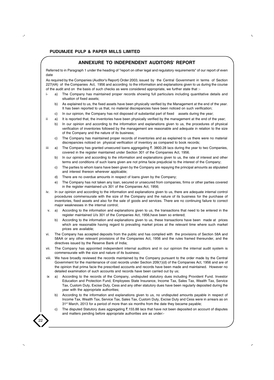## **ANNEXURE TO INDEPENDENT AUDITORS' REPORT**

Referred to in Paragraph 1 under the heading of "report on other legal and regulatory requirements" of our report of even date

As required by the Companies (Auditor's Report) Order 2003, issued by the Central Government in terms of Section 227(4A) of the Companies Act, 1956 and according to the information and explanations given to us during the course of the audit and on the basis of such checks as were considered appropriate, we further state that :-

- i- a) The Company has maintained proper records showing full particulars including quantitative details and situation of fixed assets;
	- b) As explained to us, the fixed assets have been physically verified by the Management at the end of the year. It has been reported to us that, no material discrepancies have been noticed on such verification;
	- c) In our opinion, the Company has not disposed of substantial part of fixed assets during the year;
- ii a) It is reported that, the inventories have been physically verified by the management at the end of the year;
	- b) In our opinion and according to the information and explanations given to us, the procedures of physical verification of inventories followed by the management are reasonable and adequate in relation to the size of the Company and the nature of its business;
	- c) The Company has maintained proper records of inventories and as explained to us there were no material discrepancies noticed on physical verification of inventory as compared to book records;
- iii a) The Company has granted unsecured loans aggregating  $\bar{\tau}$ . 3800.28 lacs during the year to two Companies, covered in the register maintained under Section 301 of the Companies Act, 1956.
	- b) In our opinion and according to the information and explanations given to us, the rate of interest and other terms and conditions of such loans given are not prima facie prejudicial to the interest of the Company;
	- c) The parties to whom loans have been given by the Company are repaying the principal amounts as stipulated and interest thereon wherever applicable;
	- d) There are no overdue amounts in respect of loans given by the Company;
	- e) The Company has not taken any loan, secured or unsecured from companies, firms or other parties covered in the register maintained u/s 301 of the Companies Act, 1956;
- iv. In our opinion and according to the information and explanations given to us, there are adequate internal control procedures commensurate with the size of the Company and the nature of its business for the purchase of inventories, fixed assets and also for the sale of goods and services. There are no continuing failure to correct major weaknesses in the internal control;
- v. a) According to the information and explanations given to us, the transactions that need to be entered in the register maintained U/s 301 of the Companies Act, 1956,have been so entered;
	- b) According to the information and explanations given to us, these transactions have been made at prices which are reasonable having regard to prevailing market prices at the relevant time where such market prices are available;
- vi. The Company has accepted deposits from the public and has complied with the provisions of Section 58A and 58AA or any other relevant provisions of the Companies Act, 1956 and the rules framed thereunder, and the directives issued by the Reserve Bank of India;
- vii. The Company has appointed independent internal auditors and in our opinion the internal audit system is commensurate with the size and nature of its business;
- viii. We have broadly reviewed the records maintained by the Company pursuant to the order made by the Central Government for the maintenance of cost records under Section 209(1)(d) of the Companies Act, 1956 and are of the opinion that prima facie the prescribed accounts and records have been made and maintained. However no detailed examination of such accounts and records have been carried out by us;
- ix a) According to the records of the Company, undisputed statutory dues including Provident Fund. Investor Education and Protection Fund, Employees State Insurance, Income Tax, Sales Tax, Wealth Tax, Service Tax, Custom Duty, Excise Duty, Cess and any other statutory dues have been regularly deposited during the year with the appropriate authorities;
	- b) According to the information and explanations given to us, no undisputed amounts payable in respect of Income Tax, Wealth Tax, Service Tax, Sales Tax, Custom Duty, Excise Duty and Cess were in arrears as on 31<sup>st</sup> March, 2013 for a period of more than six months from the date they became payable;
	- c) The disputed Statutory dues aggregating  $\bar{\tau}$ .155.88 lacs that have not been deposited on account of disputes and matters pending before appropriate authorities are as under:-

22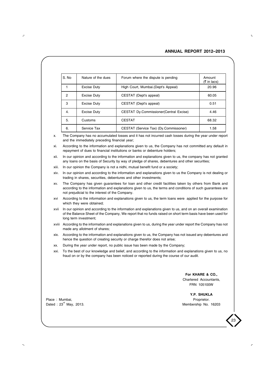| S. No | Nature of the dues | Forum where the dispute is pending             | Amount<br>(₹ in lacs) |
|-------|--------------------|------------------------------------------------|-----------------------|
|       | <b>Excise Duty</b> | High Court, Mumbai. (Dept's Appeal)            | 20.96                 |
| 2     | <b>Excise Duty</b> | CESTAT (Dept's appeal)                         | 60.05                 |
| 3     | <b>Excise Duty</b> | CESTAT (Dept's appeal)                         | 0.51                  |
| 4.    | <b>Excise Duty</b> | <b>CESTAT Dy.Commissioner (Central Excise)</b> | 4.46                  |
| 5.    | Customs            | <b>CESTAT</b>                                  | 68.32                 |
| 6.    | Service Tax        | CESTAT (Service Tax) (Dy.Commissoner)          | 1.58                  |

x. The Company has no accumulated losses and it has not incurred cash losses during the year under report and the immediately preceding financial year;

xi. According to the information and explanations given to us, the Company has not committed any default in repayment of dues to financial institutions or banks or debenture holders;

xii. In our opinion and according to the information and explanations given to us, the company has not granted any loans on the basis of Security by way of pledge of shares, debentures and other securities;

xiii. In our opinion the Company is not a nidhi, mutual benefit fund or a society;

xiv. In our opinion and according to the information and explanations given to us the Company is not dealing or trading in shares, securities, debentures and other investments;

xv. The Company has given guarantees for loan and other credit facilities taken by others from Bank and according to the information and explanations given to us, the terms and conditions of such guarantees are not prejudicial to the interest of the Company.

- xvi According to the information and explanations given to us, the term loans were applied for the purpose for which they were obtained;
- xvii In our opinion and according to the information and explanations given to us, and on an overall examination of the Balance Sheet of the Company, We report that no funds raised on short term basis have been used for long term investment;
- xviii According to the information and explanations given to us, during the year under report the Company has not made any allotment of shares;
- xix. According to the information and explanations given to us, the Company has not issued any debentures and hence the question of creating security or charge therefor does not arise;
- xx. During the year under report, no public issue has been made by the Company;
- xxi. To the best of our knowledge and belief, and according to the information and explanations given to us, no fraud on or by the company has been noticed or reported during the course of our audit.

### **For KHARE & CO.,** Chartered Accountants, FRN 105100W

**Y.P. SHUKLA**

23

Place : Mumbai, Proprietor. Dated : 23<sup>rd</sup> May, 2013. No. 16203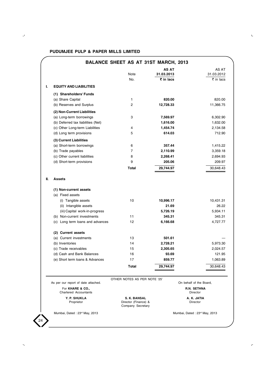|     |                                           | <b>BALANCE SHEET AS AT 31ST MARCH, 2013</b> |            |                                |
|-----|-------------------------------------------|---------------------------------------------|------------|--------------------------------|
|     |                                           |                                             | AS AT      | AS AT                          |
|     |                                           | Note                                        | 31.03.2013 | 31.03.2012                     |
|     |                                           | No.                                         | ₹ in lacs  | ₹ in lacs                      |
| L.  | <b>EQUITY AND LIABILITIES</b>             |                                             |            |                                |
|     | (1) Shareholders' Funds                   |                                             |            |                                |
|     | (a) Share Capital                         | 1                                           | 820.00     | 820.00                         |
|     | (b) Reserves and Surplus                  | $\mathbf{2}$                                | 12,728.33  | 11,366.75                      |
|     | (2) Non-Current Liabilities               |                                             |            |                                |
|     | (a) Long-term borrowings                  | 3                                           | 7,569.97   | 6,302.90                       |
|     | (b) Deferred tax liabilities (Net)        |                                             | 1,616.00   | 1,632.00                       |
|     | (c) Other Long-term Liabilities           | 4                                           | 1,454.74   | 2,134.58                       |
|     | (d) Long term provisions                  | 5                                           | 614.03     | 712.90                         |
|     | (3) Current Liabilities                   |                                             |            |                                |
|     | (a) Short-term borrowings                 | 6                                           | 357.44     | 1,415.22                       |
|     | (b) Trade payables                        | $\overline{7}$                              | 2,110.99   | 3,359.18                       |
|     | (c) Other current liabilities             | 8                                           | 2,268.41   | 2,694.93                       |
|     | (d) Short-term provisions                 | 9                                           | 205.06     | 209.97                         |
|     |                                           | <b>Total</b>                                | 29,744.97  | 30,648.43                      |
| II. | <b>Assets</b>                             |                                             |            |                                |
|     | (1) Non-current assets                    |                                             |            |                                |
|     | (a) Fixed assets                          |                                             |            |                                |
|     | (i) Tangible assets                       | 10                                          | 10,996.17  | 10,431.31                      |
|     | (ii) Intangible assets                    |                                             | 21.69      | 26.22                          |
|     | (iii) Capital work-in-progress            |                                             | 5,726.19   | 5,934.11                       |
|     | (b) Non-current investments               | 11                                          | 345.31     | 345.31                         |
|     | (c) Long term loans and advances          | 12                                          | 6,166.68   | 4,727.77                       |
|     | (2) Current assets                        |                                             |            |                                |
|     | (a) Current investments                   | 13                                          | 501.61     |                                |
|     | (b) Inventories                           | 14                                          | 2,728.21   | 5,973.30                       |
|     | (c) Trade receivables                     | 15                                          | 2,305.65   | 2,024.57                       |
|     | (d) Cash and Bank Balances                | 16                                          | 93.69      | 121.95                         |
|     | (e) Short term loans & Advances           | 17                                          | 859.77     | 1,063.89                       |
|     |                                           | <b>Total</b>                                | 29,744.97  | 30,648.43                      |
|     |                                           | OTHER NOTES AS PER NOTE '25'                |            |                                |
|     | As per our report of date attached.       |                                             |            | On behalf of the Board,        |
|     | For KHARE & CO.,<br>Chartered Accountants |                                             |            | R.N. SETHNA<br><b>Director</b> |
|     | Y. P. SHUKLA                              | S. K. BANSAL                                |            | A. K. JATIA                    |
|     | Proprietor                                | Director (Finance) &<br>Company Secretary   |            | Director                       |
|     |                                           |                                             |            |                                |

# **PUDUMJEE PULP & PAPER MILLS LIMITED**

 $\omega^{\dagger}$ 

 $\bar{\mathcal{A}}_1$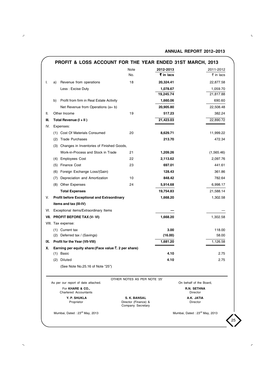$\bar{\mathbf{r}}_{\perp}$ 

 $\bar{c}$ 

**ANNUAL REPORT 2012–2013**

|     |     | PROFIT & LOSS ACCOUNT FOR THE YEAR ENDED 31ST MARCH, 2013                   |                                                           |                        |                               |
|-----|-----|-----------------------------------------------------------------------------|-----------------------------------------------------------|------------------------|-------------------------------|
|     |     |                                                                             | Note<br>No.                                               | 2012-2013<br>₹ in lacs | 2011-2012<br>₹ in lacs        |
| I.  | a)  | Revenue from operations                                                     | 18                                                        | 20,324.41              | 22,877.58                     |
|     |     | Less: Excise Duty                                                           |                                                           | 1,078.67               | 1,059.70                      |
|     |     |                                                                             |                                                           | 19,245.74              | 21,817.88                     |
|     | b)  | Profit from firm in Real Estate Activity                                    |                                                           | 1,660.06               | 690.60                        |
|     |     | Net Revenue from Operations (a+ b)                                          |                                                           | 20,905.80              | 22,508.48                     |
| II. |     | Other Income                                                                | 19                                                        | 517.23                 | 382.24                        |
| Ш.  |     | Total Revenue (I + II)                                                      |                                                           | 21,423.03              | 22,890.72                     |
| IV. |     | Expenses:                                                                   |                                                           |                        |                               |
|     |     | (1) Cost Of Materials Consumed                                              | 20                                                        | 8,629.71               | 11,999.22                     |
|     |     | (2) Trade Purchases                                                         |                                                           | 213.70                 | 472.34                        |
|     |     | (3) Changes in Inventories of Finished Goods,                               |                                                           |                        |                               |
|     |     | Work-in-Process and Stock in Trade                                          | 21                                                        | 1,209.26               | (1,565.46)                    |
|     |     | (4) Employees Cost                                                          | 22                                                        | 2,113.62               | 2,097.76                      |
|     | (5) | <b>Finance Cost</b>                                                         | 23                                                        | 697.01                 | 441.61                        |
|     | (6) | Foreign Exchange Loss/(Gain)                                                |                                                           | 128.43                 | 361.86                        |
|     | (7) | Depreciation and Amortization                                               | 10                                                        | 848.42                 | 782.64                        |
|     |     | (8) Other Expenses                                                          | 24                                                        | 5,914.68               | 6,998.17                      |
|     |     | <b>Total Expenses</b>                                                       |                                                           | 19,754.83              | 21,588.14                     |
| V.  |     | <b>Profit before Exceptional and Extraordinary</b>                          |                                                           | 1,668.20               | 1,302.58                      |
|     |     | items and tax (III-IV)                                                      |                                                           |                        |                               |
| VI. |     | Exceptional items/Extraordinary Items                                       |                                                           |                        |                               |
|     |     | VII. PROFIT BEFORE TAX (V- VI)                                              |                                                           | 1,668.20               | 1,302.58                      |
|     |     | VIII. Tax expense:                                                          |                                                           |                        |                               |
|     |     | (1) Current tax                                                             |                                                           | 3.00                   | 118.00                        |
|     |     | (2) Deferred tax / (Savings)                                                |                                                           | (16.00)                | 58.00                         |
|     |     | IX. Profit for the Year (VII-VIII)                                          |                                                           | 1,681.20               | 1,126.58                      |
| Х.  |     | Earning per equity share: (Face value $\bar{f}$ . 2 per share)<br>(1) Basic |                                                           | 4.10                   | 2.75                          |
|     |     | (2) Diluted                                                                 |                                                           | 4.10                   | 2.75                          |
|     |     | (See Note No.25.16 of Note "25")                                            |                                                           |                        |                               |
|     |     |                                                                             |                                                           |                        |                               |
|     |     | As per our report of date attached.                                         | OTHER NOTES AS PER NOTE '25'                              |                        | On behalf of the Board,       |
|     |     | For KHARE & CO.,                                                            |                                                           |                        | R.N. SETHNA                   |
|     |     | <b>Chartered Accountants</b>                                                |                                                           |                        | Director                      |
|     |     | Y. P. SHUKLA<br>Proprietor                                                  | S. K. BANSAL<br>Director (Finance) &<br>Company Secretary |                        | A.K. JATIA<br>Director        |
|     |     | Mumbai, Dated: 23rd May, 2013                                               |                                                           |                        | Mumbai, Dated: 23rd May, 2013 |

 $\bar{\omega}$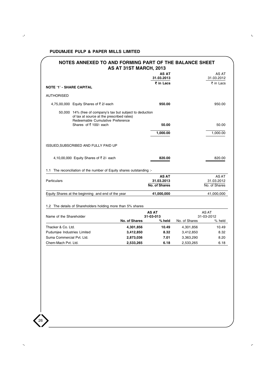|                                 |                                                                                                                                             |               | <b>AS AT</b><br>31.03.2013 |               | AS AT<br>31.03.2012         |
|---------------------------------|---------------------------------------------------------------------------------------------------------------------------------------------|---------------|----------------------------|---------------|-----------------------------|
|                                 |                                                                                                                                             |               | ₹ in Lacs                  |               | ₹ in Lacs                   |
| <b>NOTE '1' - SHARE CAPITAL</b> |                                                                                                                                             |               |                            |               |                             |
| <b>AUTHORISED</b>               |                                                                                                                                             |               |                            |               |                             |
|                                 | 4,75,00,000 Equity Shares of ₹2/-each                                                                                                       |               | 950.00                     |               | 950.00                      |
|                                 | 50,000 14% (free of company's tax but subject to deduction<br>of tax at source at the prescribed rates)<br>Redeemable Cumulative Preference |               |                            |               |                             |
|                                 | Shares of ₹100/- each                                                                                                                       |               | 50.00                      |               | 50.00                       |
|                                 |                                                                                                                                             |               | 1,000.00                   |               | 1,000.00                    |
|                                 | ISSUED, SUBSCRIBED AND FULLY PAID UP                                                                                                        |               |                            |               |                             |
|                                 | 4,10,00,000 Equity Shares of ₹2/- each                                                                                                      |               | 820.00                     |               | 820.00                      |
|                                 | 1.1 The reconciliation of the number of Equity shares outstanding :-                                                                        |               |                            |               |                             |
|                                 |                                                                                                                                             |               | <b>AS AT</b>               |               | AS AT                       |
| Particulars                     |                                                                                                                                             |               | 31.03.2013                 |               | 31.03.2012                  |
|                                 |                                                                                                                                             |               | <b>No. of Shares</b>       |               |                             |
|                                 |                                                                                                                                             |               |                            |               |                             |
|                                 | Equity Shares at the beginning and end of the year                                                                                          |               | 41,000,000                 |               | No. of Shares<br>41,000,000 |
|                                 | 1.2 The details of Shareholders holding more than 5% shares                                                                                 |               |                            |               |                             |
|                                 |                                                                                                                                             |               | <b>AS AT</b>               |               | AS AT                       |
| Name of the Shareholder         |                                                                                                                                             | No. of Shares | 31-03-013<br>$%$ held      | No. of Shares | 31-03-2012<br>% held        |
| Thacker & Co. Ltd.              |                                                                                                                                             | 4,301,856     | 10.49                      | 4,301,856     | 10.49                       |
| Pudumjee Industries Limited     |                                                                                                                                             | 3,412,850     | 8.32                       | 3,412,850     | 8.32                        |
| Suma Commercial Pvt. Ltd.       |                                                                                                                                             | 2,873,036     | 7.01                       | 3,363,290     | 8.20                        |

 $\bar{\mathbf{L}}$ 

у.

 $\mathbb{L}^1$ 

 $\bar{\gamma}$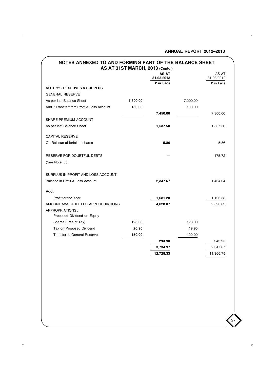$\bar{t}_\perp$ 

| NOTES ANNEXED TO AND FORMING PART OF THE BALANCE SHEET |          | AS AT 31ST MARCH, 2013 (Contd.) |          |                     |
|--------------------------------------------------------|----------|---------------------------------|----------|---------------------|
|                                                        |          | AS AT<br>31.03.2013             |          | AS AT<br>31.03.2012 |
|                                                        |          | ₹ in Lacs                       |          | ₹ in Lacs           |
| <b>NOTE '2' - RESERVES &amp; SURPLUS</b>               |          |                                 |          |                     |
| <b>GENERAL RESERVE</b>                                 |          |                                 |          |                     |
| As per last Balance Sheet                              | 7,300.00 |                                 | 7,200.00 |                     |
| Add: Transfer from Profit & Loss Account               | 150.00   |                                 | 100.00   |                     |
|                                                        |          | 7,450.00                        |          | 7,300.00            |
| SHARE PREMIUM ACCOUNT                                  |          |                                 |          |                     |
| As per last Balance Sheet                              |          | 1,537.50                        |          | 1,537.50            |
| <b>CAPITAL RESERVE</b>                                 |          |                                 |          |                     |
| On Reissue of forfeited shares                         |          | 5.86                            |          | 5.86                |
| RESERVE FOR DOUBTFUL DEBTS                             |          |                                 |          | 175.72              |
| (See Note '5')                                         |          |                                 |          |                     |
| SURPLUS IN PROFIT AND LOSS ACCOUNT                     |          |                                 |          |                     |
| Balance in Profit & Loss Account                       |          | 2,347.67                        |          | 1,464.04            |
| Add:                                                   |          |                                 |          |                     |
| Profit for the Year                                    |          | 1,681.20                        |          | 1,126.58            |
| AMOUNT AVAILABLE FOR APPROPRIATIONS                    |          | 4,028.87                        |          | 2,590.62            |
| APPROPRIATIONS:                                        |          |                                 |          |                     |
| Proposed Dividend on Equity                            |          |                                 |          |                     |
| Shares (Free of Tax)                                   | 123.00   |                                 | 123.00   |                     |
| Tax on Proposed Dividend                               | 20.90    |                                 | 19.95    |                     |
| <b>Transfer to General Reserve</b>                     | 150.00   |                                 | 100.00   |                     |
|                                                        |          | 293.90                          |          | 242.95              |
|                                                        |          | 3,734.97                        |          | 2,347.67            |
|                                                        |          | 12,728.33                       |          | 11,366.75           |
|                                                        |          |                                 |          |                     |
|                                                        |          |                                 |          |                     |
|                                                        |          |                                 |          |                     |
|                                                        |          |                                 |          |                     |
|                                                        |          |                                 |          |                     |
|                                                        |          |                                 |          |                     |
|                                                        |          |                                 |          |                     |
|                                                        |          |                                 |          |                     |
|                                                        |          |                                 |          |                     |

 $\Box^1$ 

 $\sim$ 

27

 $\bar{c}$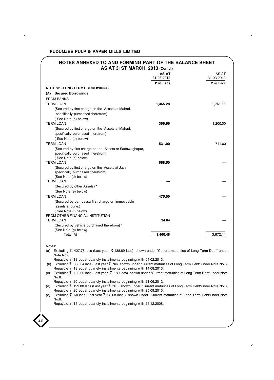### **NOTES ANNEXED TO AND FORMING PART OF THE BALANCE SHEET AS AT 31ST MARCH, 2013 (Contd.) AS AT** AS AT **31.03.2013** 31.03.2012  $\bar{\tau}$  in Lacs  $\bar{\tau}$  in Lacs **NOTE '3' - LONG TERM BORROWINGS (A) Secured Borrowings** FROM BANKS **TERM LOAN 1,365.28 1,761.11** (Secured by first charge on the Assets at Mahad, specifically purchased therefrom) ( See Note (a) below) TERM LOAN **366.66** 1,200.00 (Secured by first charge on the Assets at Mahad, specifically purchased therefrom) ( See Note (b) below) TERM LOAN **531.00** 711.00 (Secured by first charge on the Assets at Sadawaghapur, specifically purchased therefrom) ( See Note (c) below) TERM LOAN **688.50** — (Secured by first charge on the Assets at Jath specifically purchased therefrom) (See Note (d) below) TERM LOAN **—** — (Secured by other Assets) \* (See Note (e) below) **TERM LOAN** 475.00 (Secured by pari passu first charge on immoveable assets at pune.) ( See Note (f) below) FROM OTHER FINANCIAL INSTITUTION **TERM LOAN** 34.04 (Secured by vehicle purchased therefrom) \* (See Note (g) below) Total (A) **3,460.48** 3,672.11

#### Notes:

28

(a) Excluding  $\bar{\zeta}$ . 427.78 lacs (Last year  $\bar{\zeta}$ .138.89 lacs) shown under "Current maturities of Long Term Debt" under Note No.8.

Repayble in 18 equal quartely installments beginning with 04.02.2013.

(b) Excluding ₹. 833.34 lacs (Last year ₹. Nil) shown under "Current maturities of Long Term Debt" under Note No.8. Repayble in 18 equal quartely installments beginning with 14.08.2013.

(c) Excluding ₹. 180.00 lacs (Last year ₹. 180 lacs) shown under "Current maturities of Long Term Debt"under Note No.8.

Repayble in 20 equal quartely installments beginning with 21.06.2012.

(d) Excluding ₹. 129.00 lacs (Last year ₹. Nil) shown under "Current maturities of Long Term Debt"under Note No.8. Repayble in 20 equal quartely installments beginning with 25.09.2013.

(e) Excluding ₹. Nil lacs (Last year ₹. 93.68 lacs) shown under "Current maturities of Long Term Debt"under Note No.8.

r.

Repayble in 15 equal quartely installments beginning with 24.12.2008.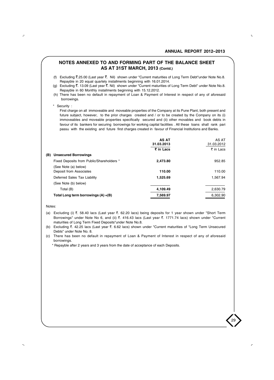29

# **NOTES ANNEXED TO AND FORMING PART OF THE BALANCE SHEET AS AT 31ST MARCH, 2013 (Contd.)**

- (f) Excluding ₹.25.00 (Last year ₹. Nil) shown under "Current maturities of Long Term Debt"under Note No.8. Repayble in 20 equal quartely installments beginning with 16.01.2014.
- (g) Excluding ₹. 13.09 (Last year ₹. Nil) shown under "Current maturities of Long Term Debt" under Note No.8. Repayble in 60 Monthly installments beginning with 15.12.2012.
- (h) There has been no default in repayment of Loan & Payment of Interest in respect of any of aforesaid borrowings.

#### \* Security :

First charge on all immoveable and moveable properties of the Company at its Pune Plant, both present and future subject, however, to the prior charges created and / or to be created by the Company on its (i) immoveables and moveable properties specifically secured and (ii) other movables and book debts in favour of its bankers for securing borrowings for working capital facilities . All these loans shall rank pari passu with the existing and future first charges created in favour of Financial Institutions and Banks.

|     |                                           | AS AT<br>31.03.2013 | AS AT<br>31.03.2012 |
|-----|-------------------------------------------|---------------------|---------------------|
|     |                                           | ₹ in Lacs           | ₹ in Lacs           |
| (B) | <b>Unsecured Borrowings</b>               |                     |                     |
|     | Fixed Deposits from Public/Shareholders * | 2,473.80            | 952.85              |
|     | (See Note (a) below)                      |                     |                     |
|     | Deposit from Associates                   | 110.00              | 110.00              |
|     | Deferred Sales Tax Liability              | 1,525.69            | 1.567.94            |
|     | (See Note (b) below)                      |                     |                     |
|     | Total (B)                                 | 4,109.49            | 2,630.79            |
|     | Total Long term borrowings (A) +(B)       | 7,569.97            | 6.302.90            |

#### Notes:

- (a) Excluding (i)  $\bar{z}$ . 58.40 lacs (Last year  $\bar{z}$ . 62.20 lacs) being deposits for 1 year shown under "Short Term Borrowings" under Note No 6, and (ii) ₹. 416.43 lacs (Last year ₹. 1771.74 lacs) shown under "Current maturities of Long Term Fixed Deposits"under Note No.8.
- (b) Excluding `. 42.25 lacs (Last year `. 6.62 lacs) shown under "Current maturities of "Long Term Unsecured Debts" under Note No. 8.
- (c) There has been no default in repayment of Loan & Payment of Interest in respect of any of aforesaid borrowings.

\* Repayble after 2 years and 3 years from the date of acceptance of each Deposits.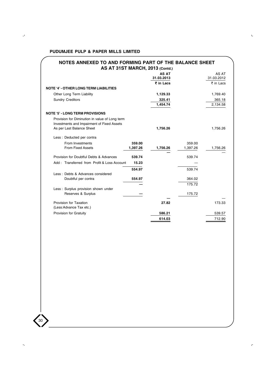| NOTES ANNEXED TO AND FORMING PART OF THE BALANCE SHEET                                       |          | AS AT 31ST MARCH, 2013 (Contd.) |          |                     |
|----------------------------------------------------------------------------------------------|----------|---------------------------------|----------|---------------------|
|                                                                                              |          | <b>AS AT</b><br>31.03.2013      |          | AS AT<br>31.03.2012 |
|                                                                                              |          | $\overline{\tau}$ in Lacs       |          | ₹ in Lacs           |
| <b>NOTE '4' - OTHER LONG TERM LIABILITIES</b>                                                |          |                                 |          |                     |
| Other Long Term Liability                                                                    |          | 1,129.33                        |          | 1,769.40            |
| <b>Sundry Creditors</b>                                                                      |          | 325.41                          |          | 365.18              |
|                                                                                              |          | 1,454.74                        |          | 2,134.58            |
| <b>NOTE '5' - LONG TERM PROVISIONS</b>                                                       |          |                                 |          |                     |
| Provision for Diminution in value of Long term<br>Investments and Impairment of Fixed Assets |          |                                 |          |                     |
| As per Last Balance Sheet                                                                    |          | 1,756.26                        |          | 1,756.26            |
| Less: Deducted per contra                                                                    |          |                                 |          |                     |
| From Investments                                                                             | 359.00   |                                 | 359.00   |                     |
| <b>From Fixed Assets</b>                                                                     | 1,397.26 | 1,756.26                        | 1,397.26 | 1,756.26            |
| Provision for Doubtful Debts & Advances                                                      | 539.74   |                                 |          |                     |
|                                                                                              |          |                                 | 539.74   |                     |
| Add: Transferred from Profit & Loss Account                                                  | 15.23    |                                 |          |                     |
| Less: Debts & Advances considered                                                            | 554.97   |                                 | 539.74   |                     |
| Doubtful per contra                                                                          | 554.97   |                                 | 364.02   |                     |
|                                                                                              |          |                                 | 175.72   |                     |
| Less: Surplus provision shown under                                                          |          |                                 |          |                     |
| Reserves & Surplus                                                                           |          |                                 | 175.72   |                     |
| Provision for Taxation                                                                       |          | 27.82                           |          | 173.33              |
| (Less:Advance Tax etc.)                                                                      |          |                                 |          |                     |
| Provision for Gratuity                                                                       |          | 586.21                          |          | 539.57              |
|                                                                                              |          | 614.03                          |          | 712.90              |
|                                                                                              |          |                                 |          |                     |

30

 $\bar{\gamma}$ 

 $\mathbb{L}^1$ 

у.

 $\bar{\mathbf{L}}$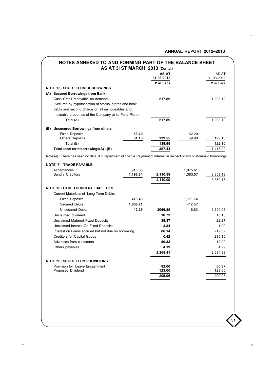$\bar{t}_\perp$ 

| <b>NOTE '6' - SHORT TERM BORROWINGS</b><br>(A) Secured Borrowings from Bank<br>Cash Credit repayable on demand<br>(Secured by hypothecation of stocks, stores and book<br>debts and second charge on all immoveables and<br>moveable properties of the Company at its Pune Plant)<br>Total (A) | AS AT 31ST MARCH, 2013 (Contd.) | AS AT<br>31.03.2013<br>₹ in Lacs<br>217.89 |          | AS AT<br>31.03.2012<br>₹ in Lacs |
|------------------------------------------------------------------------------------------------------------------------------------------------------------------------------------------------------------------------------------------------------------------------------------------------|---------------------------------|--------------------------------------------|----------|----------------------------------|
|                                                                                                                                                                                                                                                                                                |                                 |                                            |          |                                  |
|                                                                                                                                                                                                                                                                                                |                                 |                                            |          |                                  |
|                                                                                                                                                                                                                                                                                                |                                 |                                            |          |                                  |
|                                                                                                                                                                                                                                                                                                |                                 |                                            |          |                                  |
|                                                                                                                                                                                                                                                                                                |                                 |                                            |          | 1,293.12                         |
|                                                                                                                                                                                                                                                                                                |                                 |                                            |          |                                  |
|                                                                                                                                                                                                                                                                                                |                                 |                                            |          |                                  |
|                                                                                                                                                                                                                                                                                                |                                 |                                            |          |                                  |
|                                                                                                                                                                                                                                                                                                |                                 | 217.89                                     |          | 1,293.12                         |
| (B) Unsecured Borrowings from others                                                                                                                                                                                                                                                           |                                 |                                            |          |                                  |
| <b>Fixed Deposits</b>                                                                                                                                                                                                                                                                          | 58.40                           |                                            | 62.20    |                                  |
| <b>Others Deposits</b>                                                                                                                                                                                                                                                                         | 81.15                           | 139.55                                     | 59.90    | 122.10                           |
| Total (B)                                                                                                                                                                                                                                                                                      |                                 | 139.55                                     |          | 122.10                           |
| Total short term borrowings(A) +(B)                                                                                                                                                                                                                                                            |                                 | 357.44                                     |          | 1.415.22                         |
| Note (a): There has been no default in repayment of Loan & Payment of Interest in respect of any of aforesaid borrowings.                                                                                                                                                                      |                                 |                                            |          |                                  |
| <b>NOTE '7' - TRADE PAYABLE</b>                                                                                                                                                                                                                                                                |                                 |                                            |          |                                  |
| Acceptances                                                                                                                                                                                                                                                                                    | 915.65                          |                                            | 1,975.61 |                                  |
| <b>Sundry Creditors</b>                                                                                                                                                                                                                                                                        | 1,195.34                        | 2,110.99                                   | 1,383.57 | 3,359.18                         |
|                                                                                                                                                                                                                                                                                                |                                 | 2,110.99                                   |          | 3,359.18                         |
| <b>NOTE '8' - OTHER CURRENT LIABILITIES</b>                                                                                                                                                                                                                                                    |                                 |                                            |          |                                  |
| Current Maturities of Long Term Debts:                                                                                                                                                                                                                                                         |                                 |                                            |          |                                  |
| <b>Fixed Deposits</b>                                                                                                                                                                                                                                                                          | 416.43                          |                                            | 1,771.74 |                                  |
| <b>Secured Debts</b>                                                                                                                                                                                                                                                                           | 1,608.21                        |                                            | 412.57   |                                  |
| <b>Unsecured Debts</b>                                                                                                                                                                                                                                                                         | 42.25                           | 2066.89                                    | 6.62     | 2,190.93                         |
| Unclaimed dividend                                                                                                                                                                                                                                                                             |                                 | 16.73                                      |          | 15.13                            |
| Unclaimed Matured Fixed Deposits                                                                                                                                                                                                                                                               |                                 | 39.37                                      |          | 22.27                            |
| Unclaimed Interest On Fixed Deposits                                                                                                                                                                                                                                                           |                                 | 3.84                                       |          | 1.99                             |
| Interest on Loans accrued but not due on borrowing                                                                                                                                                                                                                                             |                                 | 86.14                                      |          | 212.32                           |
| Creditors for Capital Goods                                                                                                                                                                                                                                                                    |                                 | 0.42                                       |          | 235.10                           |
| Advances from customers                                                                                                                                                                                                                                                                        |                                 | 50.83                                      |          | 12.90                            |
| Others payables                                                                                                                                                                                                                                                                                |                                 | 4.19                                       |          | 4.29                             |
|                                                                                                                                                                                                                                                                                                |                                 | 2,268.41                                   |          | 2,694.93                         |
| <b>NOTE '9' - SHORT TERM PROVISIONS</b>                                                                                                                                                                                                                                                        |                                 |                                            |          |                                  |
| Provision for Leave Encashment                                                                                                                                                                                                                                                                 |                                 | 82.06                                      |          | 86.97                            |
| Proposed Dividend                                                                                                                                                                                                                                                                              |                                 | 123.00                                     |          | 123.00                           |
|                                                                                                                                                                                                                                                                                                |                                 | 205.06                                     |          | 209.97                           |
|                                                                                                                                                                                                                                                                                                |                                 |                                            |          |                                  |

 $\sim$ 

 $\frac{31}{1}$ 

 $\bar{c}$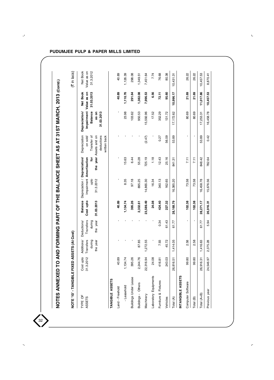| NOTE '10' - TANGIBLE FIXED ASSETS (At Cost) |                        |                                               |                                                |                                           |                                                                              |                      |                                                                                                 |                                                                                 |                        | (₹ in lacs)                          |
|---------------------------------------------|------------------------|-----------------------------------------------|------------------------------------------------|-------------------------------------------|------------------------------------------------------------------------------|----------------------|-------------------------------------------------------------------------------------------------|---------------------------------------------------------------------------------|------------------------|--------------------------------------|
| TYPE OF<br>ASSETS                           | Cost upto<br>31.3.2012 | Additions/<br>Transfers<br>during<br>the year | Transfers<br>the year<br>Deductions/<br>during | <b>Balance</b><br>Cost upto<br>31.03.2013 | Depreciation / Depreciation/<br>Impairment Amortisation<br>opto<br>31.3.2012 | $\tilde{\mathbf{e}}$ | deductions<br>Depreciation<br>the year Assets and on<br>Transfer of<br>on sold/<br>written back | Impairment Value as on<br><b>Balance</b><br>Depreciation<br>31.03.2013<br>as on | Net Book<br>31.03.2013 | Net Book<br>Value as on<br>31.3.2012 |
| TANGIBLE ASSETS                             |                        |                                               |                                                |                                           |                                                                              |                      |                                                                                                 |                                                                                 |                        |                                      |
| Land - Freehold                             | 40.89                  |                                               |                                                | 40.89                                     |                                                                              |                      |                                                                                                 |                                                                                 | 40.89                  | 40.89                                |
| - Leasehold                                 | 1,134.74               |                                               |                                                | 1,134.74                                  | 8.35                                                                         | 15.63                |                                                                                                 | 23.98                                                                           | 1,110.76               | 1,126.39                             |
| Buildings Under Lease                       | 395.26                 |                                               |                                                | 395.26                                    | 97.18                                                                        | 6.44                 |                                                                                                 | 103.62                                                                          | 291.64                 | 298.08                               |
| Buildings - Others                          | 2,244.76               | 87.85                                         |                                                | 2,332.61                                  | 895.25                                                                       | 55.28                |                                                                                                 | 950.53                                                                          | 1,382.08               | 1,349.51                             |
| Machinery                                   | 22,316.94              | 1,272.55                                      |                                                | 23,589.49                                 | 14,865.30                                                                    | 725.19               | (2.47)                                                                                          | 15,592.96                                                                       | 7,996.53               | 7,451.64                             |
| Laboratory Equipments                       | 24.08                  |                                               |                                                | 24.08                                     | 16.34                                                                        | 1.18                 |                                                                                                 | 17.52                                                                           | 6.56                   | 7.74                                 |
| Furniture & Fixtures                        | 416.81                 | 7.93                                          | 0.34                                           | 424.40                                    | 340.13                                                                       | 12.43                | 0.27                                                                                            | 352.29                                                                          | 72.11                  | 76.68                                |
| Vehicles                                    | 243.03                 | 45.72                                         | 61.43                                          | 227.32                                    | 162.65                                                                       | 25.16                | 56.09                                                                                           | 131.72                                                                          | 95.60                  | 80.38                                |
| Total (A)                                   | 26,816.51              | 1,414.05                                      | 61.77                                          | 28,168.79                                 | 16,385.20                                                                    | 841.31               | 53.89                                                                                           | 17, 172.62                                                                      | 10,996.17              | 10,431.31                            |
| INTANGIBLE ASSETS                           |                        |                                               |                                                |                                           |                                                                              |                      |                                                                                                 |                                                                                 |                        |                                      |
| Computer Software                           | 99.80                  | 2.58                                          |                                                | 102.38                                    | 73.58                                                                        | 7.11                 |                                                                                                 | 80.69                                                                           | 21.69                  | 26.22                                |
| Total (B)                                   | 99.80                  | 2.58                                          |                                                | 102.38                                    | 73.58                                                                        | 7.11                 |                                                                                                 | 80.69                                                                           | 21.69                  | 26.22                                |
| Total (A+B)                                 | 26,916.31              | 1,416.63                                      | 61.77                                          | 28,271.17                                 | 16,458.78                                                                    | 848.42               | 53.89                                                                                           | 17,253.31                                                                       | 11,017.86              | 10,457.53                            |
| Previous year                               | 24,546.97              | 2,375.28                                      | 5.94                                           | 26,916.31                                 | 15,676.56                                                                    | 782.64               | 0.42                                                                                            | 16,458.78                                                                       | 10,457.53              | 8,870.41                             |

 $\mathbb{L}^1$ 

 $\bar{\mathcal{A}}_1$ 

у.

 $\bar{\mathbf{L}}$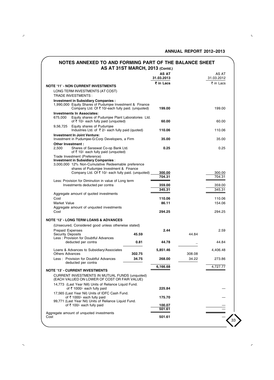|                            |                                                                                                                                                                                                                                 | AS AT 31ST MARCH, 2013 (Contd.) |                     |        |                     |
|----------------------------|---------------------------------------------------------------------------------------------------------------------------------------------------------------------------------------------------------------------------------|---------------------------------|---------------------|--------|---------------------|
|                            |                                                                                                                                                                                                                                 |                                 | AS AT<br>31.03.2013 |        | AS AT<br>31.03.2012 |
|                            |                                                                                                                                                                                                                                 |                                 | ₹ in Lacs           |        | ₹ in Lacs           |
|                            | <b>NOTE '11' - NON CURRENT INVESTMENTS</b>                                                                                                                                                                                      |                                 |                     |        |                     |
|                            | LONG TERM INVESTMENTS (AT COST)<br><b>TRADE INVESTMENTS:</b>                                                                                                                                                                    |                                 |                     |        |                     |
|                            | Investment in Subsidiary Companies :<br>1,990,000 Equity Shares of Pudumjee Investment & Finance<br>Company Ltd. Of ₹ 10/-each fully paid. (unquoted)                                                                           |                                 | 199.00              |        | 199.00              |
| 675,000                    | <b>Investments In Associates:</b><br>Equity shares of Pudumjee Plant Laboratories Ltd.<br>of ₹ 10/- each fully paid (unquoted)                                                                                                  |                                 | 60.00               |        | 60.00               |
| 9,56,725                   | Equity shares of Pudumjee<br>Industries Ltd. of ₹ 2/- each fully paid (quoted)                                                                                                                                                  |                                 | 110.06              |        | 110.06              |
|                            | <b>Investment In Joint Venture:</b><br>Investment in Pudumjee-G:Corp Developers, a Firm                                                                                                                                         |                                 | 35.00               |        | 35.00               |
| Other Investment:<br>2,500 | Shares of Saraswat Co-op Bank Ltd.                                                                                                                                                                                              |                                 | 0.25                |        | 0.25                |
|                            | of $\bar{\tau}$ 10/- each fully paid (unquoted)<br>Trade Investment (Preference)<br><b>Investment in Subsidiary Companies:</b><br>3,000,000 12% Non-Cumulative Redeemable preference<br>shares of Pudumjee Investment & Finance |                                 |                     |        |                     |
|                            | Company Ltd. Of ₹ 10/- each fully paid. (unquoted)                                                                                                                                                                              |                                 | 300.00              |        | 300.00              |
|                            |                                                                                                                                                                                                                                 |                                 | 704.31              |        | 704.31              |
|                            | Less: Provision for Diminution in value of Long term                                                                                                                                                                            |                                 |                     |        |                     |
|                            | Investments deducted per contra                                                                                                                                                                                                 |                                 | 359.00              |        | 359.00              |
|                            |                                                                                                                                                                                                                                 |                                 | 345.31              |        | 345.31              |
|                            | Aggregate amount of quoted investments                                                                                                                                                                                          |                                 |                     |        |                     |
| Cost                       |                                                                                                                                                                                                                                 |                                 | 110.06              |        | 110.06              |
| Market Value               |                                                                                                                                                                                                                                 |                                 | 86.11               |        | 154.06              |
| Cost                       | Aggregate amount of unquoted investments                                                                                                                                                                                        |                                 | 294.25              |        | 294.25              |
|                            | <b>NOTE '12' - LONG TERM LOANS &amp; ADVANCES</b>                                                                                                                                                                               |                                 |                     |        |                     |
|                            | (Unsecured, Considered good unless otherwise stated)                                                                                                                                                                            |                                 |                     |        |                     |
| <b>Prepaid Expenses</b>    |                                                                                                                                                                                                                                 |                                 | 2.44                |        | 2.59                |
| Security Deposits          | Less: Provision for Doubtful Advances                                                                                                                                                                                           | 45.59                           |                     | 44.84  |                     |
|                            | deducted per contra                                                                                                                                                                                                             | 0.81                            | 44.78               |        | 44.84               |
| <b>Others Advances</b>     | Loans & Advances to Subsidiary/Associates                                                                                                                                                                                       | 302.75                          | 5,851.46            | 308.08 | 4,406.48            |
|                            | Less: Provision for Doubtful Advances<br>deducted per contra                                                                                                                                                                    | 34.75                           | 268.00              | 34.22  | 273.86              |
|                            |                                                                                                                                                                                                                                 |                                 | 6,166.68            |        | 4,727.77            |
|                            | <b>NOTE '13' - CURRENT INVESTMENTS</b>                                                                                                                                                                                          |                                 |                     |        |                     |
|                            | CURRENT INVESTMENTS IN MUTUAL FUNDS (unquoted)<br>(EACH VALUED ON LOWER OF COST OR FAIR VALUE)                                                                                                                                  |                                 |                     |        |                     |
|                            | 14,773 (Last Year Nill) Units of Reliance Liquid Fund.<br>of ₹ 1000/- each fully paid                                                                                                                                           |                                 | 225.84              |        |                     |
|                            | 17,565 (Last Year Nil) Units of IDFC Cash Fund.<br>of ₹ 1000/- each fully paid                                                                                                                                                  |                                 | 175.70              |        |                     |
|                            |                                                                                                                                                                                                                                 |                                 |                     |        |                     |
|                            | 99,771 (Last Year Nil) Units of Reliance Liquid Fund.                                                                                                                                                                           |                                 |                     |        |                     |
|                            | of ₹ 100/- each fully paid                                                                                                                                                                                                      |                                 | 100.07              |        |                     |
|                            | Aggregate amount of unquoted investments                                                                                                                                                                                        |                                 | 501.61              |        |                     |

 $\bar{\omega}$ 

 $\bar{\mathbf{r}}_{\perp}$ 

r.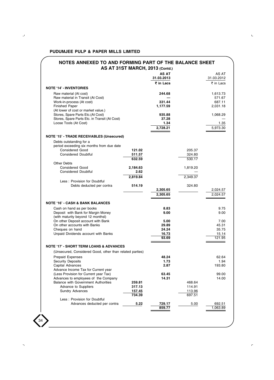$\mathbb{L}^1$ 

 $\frac{1}{2}$ 

# **NOTES ANNEXED TO AND FORMING PART OF THE BALANCE SHEET AS AT 31ST MARCH, 2013 (Contd.)**

 $\bar{\mathbf{L}}$ 

у.

|                                                                    |          | ₹ in Lacs            |          | ₹ in Lacs                                         |
|--------------------------------------------------------------------|----------|----------------------|----------|---------------------------------------------------|
| <b>NOTE '14' - INVENTORIES</b>                                     |          |                      |          |                                                   |
| Raw material (At cost)                                             |          | 244.68               |          | 1,613.73                                          |
| Raw material in Transit (At Cost)                                  |          |                      |          | 571.67                                            |
| Work-in-process (At cost)                                          |          | 331.44               |          | 687.11                                            |
| <b>Finished Paper</b>                                              |          | 1,177.59             |          | 2,031.18                                          |
| (At lower of cost or market value.)                                |          |                      |          |                                                   |
| Stores, Spare Parts Etc.(At Cost)                                  |          | 935.88               |          | 1,068.29                                          |
| Stores, Spare Parts Etc. in Transit (At Cost)                      |          | 37.28                |          |                                                   |
| Loose Tools (At Cost)                                              |          | 1.34                 |          | 1.35                                              |
|                                                                    |          | 2,728.21             |          | 5,973.30                                          |
|                                                                    |          |                      |          |                                                   |
| <b>NOTE '15' - TRADE RECEIVABLES (Unsecured)</b>                   |          |                      |          |                                                   |
| Debts outstanding for a                                            |          |                      |          |                                                   |
| period exceeding six months from due date                          |          |                      |          |                                                   |
| <b>Considered Good</b>                                             | 121.02   |                      | 205.37   |                                                   |
| <b>Considered Doubtful</b>                                         | 511.57   |                      | 324.80   |                                                   |
|                                                                    | 632.59   |                      | 530.17   |                                                   |
| Other Debts                                                        |          |                      |          |                                                   |
| <b>Considered Good</b>                                             | 2,184.63 |                      | 1,819.20 |                                                   |
| Considered Doubtful                                                | 2.62     |                      |          |                                                   |
|                                                                    | 2,819.84 |                      | 2,349.37 |                                                   |
| Less: Provision for Doubtful<br>Debts deducted per contra          |          |                      |          |                                                   |
|                                                                    | 514.19   |                      | 324.80   |                                                   |
|                                                                    |          | 2,305.65<br>2,305.65 |          | 2,024.57<br>2,024.57                              |
|                                                                    |          |                      |          |                                                   |
|                                                                    |          |                      |          |                                                   |
| <b>NOTE '16' - CASH &amp; BANK BALANCES</b>                        |          |                      |          |                                                   |
|                                                                    |          |                      |          |                                                   |
| Cash on hand as per books                                          |          | 8.83                 |          | 9.75                                              |
| Deposit with Bank for Margin Money                                 |          | 9.00                 |          |                                                   |
| (with maturity beyond 12 monthsl)                                  |          |                      |          |                                                   |
| On other Deposit account with Bank<br>On other accounts with Banks |          | 5.00<br>29.89        |          |                                                   |
|                                                                    |          | 24.24                |          |                                                   |
| Cheques on hand<br>Unpaid Dividends account with Banks             |          | 16.73                |          |                                                   |
|                                                                    |          | 93.69                |          |                                                   |
|                                                                    |          |                      |          | 9.00<br>7.00<br>45.31<br>35.75<br>15.14<br>121.95 |
| <b>NOTE '17' - SHORT TERM LOANS &amp; ADVANCES</b>                 |          |                      |          |                                                   |
| (Unsecured, Considered Good, other than related parties)           |          |                      |          |                                                   |
| <b>Prepaid Expenses</b>                                            |          | 48.24                |          |                                                   |
| <b>Security Deposits</b>                                           |          | 1.73                 |          | 62.64<br>1.94                                     |
| Capital Advances                                                   |          | 2.87                 |          |                                                   |
| Advance Income Tax for Current year                                |          |                      |          |                                                   |
| (Less Provision for Current year Tax)                              |          | 63.45                |          |                                                   |
| Advances to employees of the Company                               |          | 14.31                |          |                                                   |
| <b>Balance with Government Authorities</b>                         | 259.81   |                      | 468.64   |                                                   |
| <b>Advance to Suppliers</b>                                        | 317.13   |                      | 114.91   |                                                   |
| Sundry Advances                                                    | 157.45   |                      | 113.96   |                                                   |
|                                                                    | 734.39   |                      | 697.51   | 193.80<br>99.00<br>14.00                          |
| Less: Provision for Doubtful                                       |          |                      |          |                                                   |
| Advances deducted per contra                                       | 5.22     | 729.17<br>859.77     | 5.00     | 692.51<br>1,063.89                                |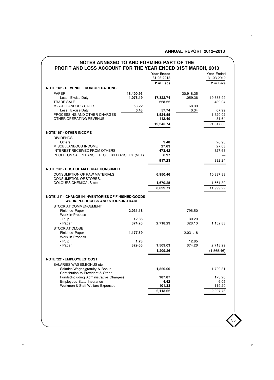| NOTES ANNEXED TO AND FORMING PART OF THE<br>PROFIT AND LOSS ACCOUNT FOR THE YEAR ENDED 31ST MARCH, 2013                   |                       |                                 |                       |                          |
|---------------------------------------------------------------------------------------------------------------------------|-----------------------|---------------------------------|-----------------------|--------------------------|
|                                                                                                                           |                       | <b>Year Ended</b><br>31.03.2013 |                       | Year Ended<br>31.03.2012 |
|                                                                                                                           |                       | ₹ in Lacs                       |                       | ₹ in Lacs                |
| <b>NOTE '18' - REVENUE FROM OPERATIONS</b>                                                                                |                       |                                 |                       |                          |
| <b>PAPER</b><br>Less: Excise Duty                                                                                         | 18,400.93<br>1,078.19 | 17,322.74                       | 20,918.35<br>1,059.36 | 19,858.99                |
| <b>TRADE SALE</b>                                                                                                         |                       | 228.22                          |                       | 489.24                   |
| MISCELLANEOUS SALES<br>Less: Excise Duty                                                                                  | 58.22<br>0.48         | 57.74                           | 68.33<br>0.34         | 67.99                    |
| PROCESSING AND OTHER CHARGES                                                                                              |                       | 1,524.55                        |                       | 1,320.02                 |
| OTHER OPERATING REVENUE                                                                                                   |                       | 112.49                          |                       | 81.64                    |
|                                                                                                                           |                       | 19,245.74                       |                       | 21,817.88                |
|                                                                                                                           |                       |                                 |                       |                          |
| <b>NOTE '19' - OTHER INCOME</b>                                                                                           |                       |                                 |                       |                          |
| <b>DIVIDENDS</b>                                                                                                          |                       |                                 |                       |                          |
| <b>Others</b>                                                                                                             |                       | 9.48                            |                       | 26.93                    |
| MISCELLANEOUS INCOME                                                                                                      |                       | 27.63                           |                       | 27.63                    |
| <b>INTEREST RECEIVED FROM OTHERS</b><br>PROFIT ON SALE/TRANSFER OF FIXED ASSETS (NET)                                     |                       | 473.42<br>6.97                  |                       | 327.68                   |
|                                                                                                                           |                       | 517.23                          |                       | 382.24                   |
|                                                                                                                           |                       |                                 |                       |                          |
| <b>NOTE '20' - COST OF MATERIAL CONSUMED</b>                                                                              |                       |                                 |                       |                          |
| <b>CONSUMPTION OF RAW MATERIALS</b><br><b>CONSUMPTION OF STORES.</b>                                                      |                       | 6,950.46                        |                       | 10,337.83                |
| COLOURS, CHEMICALS etc.                                                                                                   |                       | 1,679.25                        |                       | 1,661.39                 |
|                                                                                                                           |                       | 8,629.71                        |                       | 11,999.22                |
| NOTE '21' - CHANGE IN INVENTORIES OF FINISHED GOODS<br><b>WORK-IN-PROCESS AND STOCK-IN-TRADE</b><br>STOCK AT COMMENCEMENT |                       |                                 |                       |                          |
| <b>Finished Paper</b><br><b>Work-in-Process</b>                                                                           | 2,031.18              |                                 | 796.50                |                          |
| - Pulp                                                                                                                    | 12.85                 |                                 | 30.23                 |                          |
| - Paper                                                                                                                   | 674.26                | 2,718.29                        | 326.10                | 1,152.83                 |
| <b>STOCK AT CLOSE</b>                                                                                                     |                       |                                 |                       |                          |
| <b>Finished Paper</b>                                                                                                     | 1,177.59              |                                 | 2,031.18              |                          |
| Work-in-Process                                                                                                           |                       |                                 |                       |                          |
| - Pulp<br>- Paper                                                                                                         | 1.78<br>329.66        | 1,509.03                        | 12.85<br>674.26       | 2,718.29                 |
|                                                                                                                           |                       | 1.209.26                        |                       | (1,565.46)               |
|                                                                                                                           |                       |                                 |                       |                          |
| <b>NOTE '22' - EMPLOYEES' COST</b>                                                                                        |                       |                                 |                       |                          |
| SALARIES, WAGES, BONUS etc.                                                                                               |                       |                                 |                       |                          |
| Salaries, Wages, gratuity & Bonus<br>Contribution to Provident & Other                                                    |                       | 1,820.00                        |                       | 1,799.31                 |
| Funds(Including Administrative Charges)                                                                                   |                       | 187.87                          |                       | 173.20                   |
| Employees State Insurance                                                                                                 |                       | 4.42                            |                       | 6.05                     |
| Workmen & Staff Welfare Expenses                                                                                          |                       | 101.33                          |                       | 119.20                   |
|                                                                                                                           |                       | 2,113.62                        |                       | 2,097.76                 |
|                                                                                                                           |                       |                                 |                       |                          |

 $\Box^1$ 

 $\sim$ 

35

 $\bar{c}$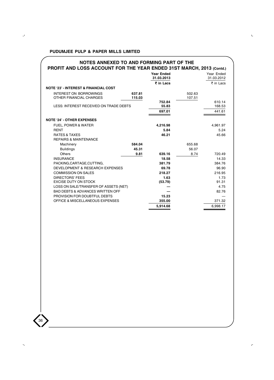| NOTES ANNEXED TO AND FORMING PART OF THE<br>PROFIT AND LOSS ACCOUNT FOR THE YEAR ENDED 31ST MARCH, 2013 (Contd.) |                  |                                 |                  |                          |
|------------------------------------------------------------------------------------------------------------------|------------------|---------------------------------|------------------|--------------------------|
|                                                                                                                  |                  | <b>Year Ended</b><br>31.03.2013 |                  | Year Ended<br>31.03.2012 |
|                                                                                                                  |                  | $\bar{z}$ in Lacs               |                  | ₹ in Lacs                |
| <b>NOTE '23' - INTEREST &amp; FINANCIAL COST</b>                                                                 |                  |                                 |                  |                          |
| <b>INTEREST ON BORROWINGS</b><br>OTHER FINANCIAL CHARGES                                                         | 637.81<br>115.03 |                                 | 502.63<br>107.51 |                          |
|                                                                                                                  |                  | 752.84                          |                  | 610.14                   |
| LESS: INTEREST RECEIVED ON TRADE DEBTS                                                                           |                  | 55.83                           |                  | 168.53                   |
|                                                                                                                  |                  | 697.01                          |                  | 441.61                   |
| <b>NOTE '24' - OTHER EXPENSES</b>                                                                                |                  |                                 |                  |                          |
| FUEL, POWER & WATER                                                                                              |                  | 4,216.98                        |                  | 4,961.97                 |
| <b>RENT</b>                                                                                                      |                  | 5.84                            |                  | 5.24                     |
| <b>RATES &amp; TAXES</b>                                                                                         |                  | 46.21                           |                  | 45.66                    |
| <b>REPAIRS &amp; MAINTENANCE</b>                                                                                 |                  |                                 |                  |                          |
| Machinery                                                                                                        | 584.04           |                                 | 655.68           |                          |
| <b>Buildings</b>                                                                                                 | 45.31            |                                 | 56.07            |                          |
| Others                                                                                                           | 9.81             | 639.16                          | 8.74             | 720.49                   |
| <b>INSURANCE</b>                                                                                                 |                  | 18.58                           |                  | 14.33                    |
| PACKING,CARTAGE,CUTTING,                                                                                         |                  | 381.79                          |                  | 384.76                   |
| <b>DEVELOPMENT &amp; RESEARCH EXPENSES</b>                                                                       |                  | 69.78                           |                  | 96.90                    |
| <b>COMMISSION ON SALES</b>                                                                                       |                  | 218.27                          |                  | 216.95                   |
| DIRECTORS' FEES                                                                                                  |                  | 1.63                            |                  | 1.73                     |
| <b>EXCISE DUTY ON STOCK</b>                                                                                      |                  | (53.79)                         |                  | 91.31                    |
| LOSS ON SALE/TRANSFER OF ASSETS (NET)                                                                            |                  |                                 |                  | 4.75                     |
| <b>BAD DEBTS &amp; ADVANCES WRITTEN OFF</b>                                                                      |                  |                                 |                  | 82.76                    |
| PROVISION FOR DOUBTFUL DEBTS                                                                                     |                  | 15.23                           |                  |                          |
| <b>OFFICE &amp; MISCELLANEOUS EXPENSES</b>                                                                       |                  | 355.00                          |                  | 371.32                   |
|                                                                                                                  |                  | 5.914.68                        |                  | 6,998.17                 |

 $\bar{\mathbf{r}}_{\mu}$ 

у.

36

 $\bar{\gamma}$ 

 $\mathbb{L}^1$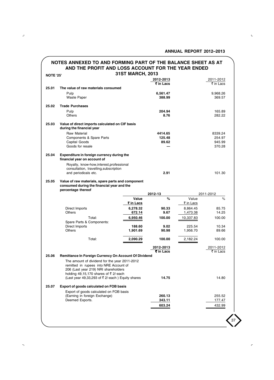## **NOTES ANNEXED TO AND FORMING PART OF THE BALANCE SHEET AS AT AND THE PROFIT AND LOSS ACCOUNT FOR THE YEAR ENDED** NOTE '25'

 $\bar{\omega}$ 

 $\overline{\phantom{a}}$ 

|       |                                                                                                                                                                                                                                              |           | 2012-2013 |           | 2011-2012 |
|-------|----------------------------------------------------------------------------------------------------------------------------------------------------------------------------------------------------------------------------------------------|-----------|-----------|-----------|-----------|
|       |                                                                                                                                                                                                                                              |           | ₹ in Lacs |           | ₹ in Lacs |
| 25.01 | The value of raw materials consumed                                                                                                                                                                                                          |           |           |           |           |
|       | Pulp                                                                                                                                                                                                                                         |           | 6,561.47  |           | 9,968.26  |
|       | <b>Waste Paper</b>                                                                                                                                                                                                                           |           | 388.99    |           | 369.57    |
| 25.02 | <b>Trade Purchases</b>                                                                                                                                                                                                                       |           |           |           |           |
|       | Pulp                                                                                                                                                                                                                                         |           | 204.94    |           | 165.89    |
|       | Others                                                                                                                                                                                                                                       |           | 8.76      |           | 282.22    |
| 25.03 | Value of direct imports calculated on CIF basis<br>during the financial year                                                                                                                                                                 |           |           |           |           |
|       | Raw Material                                                                                                                                                                                                                                 |           | 4414.65   |           | 8339.24   |
|       | Components & Spare Parts                                                                                                                                                                                                                     |           | 125.48    |           | 254.97    |
|       | Capital Goods                                                                                                                                                                                                                                |           | 89.62     |           | 945.99    |
|       | Goods for resale                                                                                                                                                                                                                             |           |           |           | 370.28    |
| 25.04 | Expenditure in foreign currency during the<br>financial year on account of                                                                                                                                                                   |           |           |           |           |
|       | Royalty, know-how, interest, professional                                                                                                                                                                                                    |           |           |           |           |
|       | consultation, travelling, subscription                                                                                                                                                                                                       |           |           |           |           |
|       | and periodicals etc.                                                                                                                                                                                                                         |           | 2.91      |           | 101.30    |
| 25.05 | Value of raw materials, spare parts and component<br>consumed during the financial year and the<br>percentage thereof                                                                                                                        |           |           |           |           |
|       |                                                                                                                                                                                                                                              |           | 2012-13   |           | 2011-2012 |
|       |                                                                                                                                                                                                                                              | Value     | %         | Value     | $\%$      |
|       |                                                                                                                                                                                                                                              | ₹ in Lacs |           | ₹ in Lacs |           |
|       | Direct Imports                                                                                                                                                                                                                               | 6,278.32  | 90.33     | 8,864.45  | 85.75     |
|       | <b>Others</b>                                                                                                                                                                                                                                | 672.14    | 9.67      | 1,473.38  | 14.25     |
|       | Total:                                                                                                                                                                                                                                       | 6,950.46  | 100.00    | 10,337.83 | 100.00    |
|       | Spare Parts & Components:                                                                                                                                                                                                                    |           |           |           |           |
|       | Direct Imports                                                                                                                                                                                                                               | 188.60    | 9.02      | 225.54    | 10.34     |
|       | Others                                                                                                                                                                                                                                       | 1,901.69  | 90.98     | 1,956.70  | 89.66     |
|       | Total:                                                                                                                                                                                                                                       | 2,090.29  | 100.00    | 2,182.24  | 100.00    |
|       |                                                                                                                                                                                                                                              |           | 2012-2013 |           | 2011-2012 |
|       |                                                                                                                                                                                                                                              |           | ₹ in Lacs |           | ₹ in Lacs |
| 25.06 | Remittance In Foreign Currency On Account Of Dividend<br>The amount of dividend for the year 2011-2012<br>remitted in rupees into NRE Account of<br>206 (Last year 219) NRI shareholders<br>holding 49,15,170 shares of $\bar{\tau}$ 2/-each |           |           |           |           |
|       | (Last year 49,33,293 of ₹2/-each) Equity shares                                                                                                                                                                                              |           | 14.75     |           | 14.80     |
| 25.07 | Export of goods calculated on FOB basis                                                                                                                                                                                                      |           |           |           |           |
|       | Export of goods calculated on FOB basis                                                                                                                                                                                                      |           |           |           |           |
|       | (Earning in foreign Exchange)                                                                                                                                                                                                                |           | 260.13    |           | 255.52    |
|       | Deemed Exports.                                                                                                                                                                                                                              |           | 343.11    |           | 177.47    |
|       |                                                                                                                                                                                                                                              |           | 603.24    |           | 432.99    |
|       |                                                                                                                                                                                                                                              |           |           |           |           |
|       |                                                                                                                                                                                                                                              |           |           |           |           |

37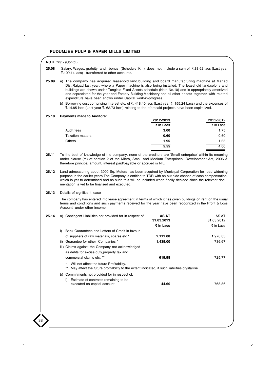### **NOTE '25'** - (Contd.)

- 25.08 Salary, Wages, gratuity and bonus (Schedule 'K') does not include a sum of  $\bar{z}$ .88.62 lacs (Last year `.109.14 lacs) transferred to other accounts.
- **25.09** a) The company has acquired leasehold land,building and board manufacturing machine at Mahad Dist.Raigad last year, where a Paper machine is also being installed. The leasehold land,colony and buildings are shown under Tangible Fixed Assets schedule (Note No.10) and is appropriately amortized and depreciated for the year and Factory Building,Machinery and all other assets together with related expenditure have been shown under Capital work-in-progress.
	- b) Borrowing cost comprising interest etc. of  $\bar{\tau}$ . 418.40 lacs (Last year  $\bar{\tau}$ . 155.24 Lacs) and the expenses of `.14.85 lacs (Last year `. 62.73 lacs) relating to the aforesaid projects have been capitalized.

#### **25.10 Payments made to Auditors:**

|                         | 2012-2013 | 2011-2012 |
|-------------------------|-----------|-----------|
|                         | ₹ in Lacs | ₹ in Lacs |
| Audit fees              | 3.00      | 1.75      |
| <b>Taxation matters</b> | 0.60      | 0.60      |
| <b>Others</b>           | 1.95      | 1.65      |
|                         | 5.55      | 4.00      |

- **25.11** To the best of knowledge of the company, none of the creditors are 'Small enterprise' within its meaning under clause (m) of section 2 of the Micro, Small and Medium Enterprises Development Act, 2006 & therefore principal amount, interest paid/payable or accrued is NIL.
- **25.12** Land admeasuring about 3000 Sq. Meters has been acquired by Municipal Corporation for road widening purpose in the earlier years.The Company is entitled to TDR with an out side chance of cash compensation, which is yet to determined and as such this will be included when finally decided since the relevant documentation is yet to be finalised and executed.

#### **25.13** Details of significant lease

38

The company has entered into lease agreement in terms of which it has given buildings on rent on the usual terms and conditions and such payments received for the year have been recognized in the Profit & Loss Account under other income.

| 25.14 |    | a) Contingent Liabilities not provided for in respect of:                                              | <b>AS AT</b> | AS AT      |
|-------|----|--------------------------------------------------------------------------------------------------------|--------------|------------|
|       |    |                                                                                                        | 31.03.2013   | 31.03.2012 |
|       |    |                                                                                                        | ₹ in Lacs    | ₹ in Lacs  |
|       | i) | Bank Guarantees and Letters of Credit in favour                                                        |              |            |
|       |    | of suppliers of raw materials, spares etc.*                                                            | 2,111.08     | 1,976.85   |
|       |    | ii) Guarantee for other Companies *                                                                    | 1,435.00     | 736.67     |
|       |    | iii) Claims against the Company not acknowledged                                                       |              |            |
|       |    | as debts for excise duty, property tax and                                                             |              |            |
|       |    | commercial claims etc. **                                                                              | 619.98       | 725.77     |
|       |    | Will not affect the future Profitability.                                                              |              |            |
|       |    | $***$<br>May affect the future profitability to the extent indicated, if such liabilities crystallise. |              |            |
|       |    | b) Commitments not provided for in respect of:                                                         |              |            |
|       |    | Estimate of contracts remaining to be<br>i)                                                            |              |            |
|       |    | executed on capital account                                                                            | 44.60        | 768.86     |
|       |    |                                                                                                        |              |            |
|       |    |                                                                                                        |              |            |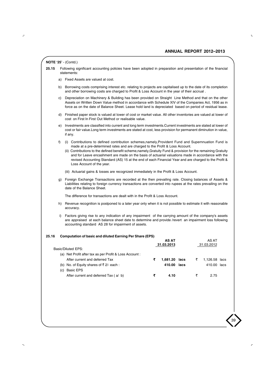|       |    | <b>NOTE '25' - (Contd.)</b>                                                                                                                                                                                                                                                                                                                                                                                                                                                                                                                       |   |               |  |   |               |             |
|-------|----|---------------------------------------------------------------------------------------------------------------------------------------------------------------------------------------------------------------------------------------------------------------------------------------------------------------------------------------------------------------------------------------------------------------------------------------------------------------------------------------------------------------------------------------------------|---|---------------|--|---|---------------|-------------|
| 25.15 |    | Following significant accounting policies have been adopted in preparation and presentation of the financial<br>statements:                                                                                                                                                                                                                                                                                                                                                                                                                       |   |               |  |   |               |             |
|       |    | a) Fixed Assets are valued at cost.                                                                                                                                                                                                                                                                                                                                                                                                                                                                                                               |   |               |  |   |               |             |
|       |    | b) Borrowing costs comprising interest etc. relating to projects are capitalised up to the date of its completion<br>and other borrowing costs are charged to Profit & Loss Account in the year of their accrual.                                                                                                                                                                                                                                                                                                                                 |   |               |  |   |               |             |
|       | C) | Depreciation on Machinery & Building has been provided on Straight Line Method and that on the other<br>Assets on Written Down Value method in accordance with Schedule XIV of the Companies Act, 1956 as in<br>force as on the date of Balance Sheet. Lease hold land is depreciated based on period of residual lease.                                                                                                                                                                                                                          |   |               |  |   |               |             |
|       |    | d) Finished paper stock is valued at lower of cost or market value. All other inventories are valued at lower of<br>cost on First In First Out Method or realisable value.                                                                                                                                                                                                                                                                                                                                                                        |   |               |  |   |               |             |
|       |    | e) Investments are classified into current and long term investments. Current investments are stated at lower of<br>cost or fair value. Long term investments are stated at cost, less provision for permanent diminution in value,<br>if any.                                                                                                                                                                                                                                                                                                    |   |               |  |   |               |             |
|       | f) | (i) Contributions to defined contribution schemes, namely, Provident Fund and Supernnuation Fund is<br>made at a pre-determined rates and are charged to the Profit & Loss Account.<br>(ii) Contributions to the defined benefit scheme, namely, Gratuity Fund & provision for the remaining Gratuity<br>and for Leave encashment are made on the basis of actuarial valuations made in accordance with the<br>revised Accounting Standard (AS) 15 at the end of each Financial Year and are charged to the Profit &<br>Loss Account of the year. |   |               |  |   |               |             |
|       |    | (iii) Actuarial gains & losses are recognized immediately in the Profit & Loss Account.                                                                                                                                                                                                                                                                                                                                                                                                                                                           |   |               |  |   |               |             |
|       |    | g) Foreign Exchange Transactions are recorded at the then prevailing rate. Closing balances of Assets &<br>Liabilities relating to foreign currency transactions are converted into rupees at the rates prevailing on the<br>date of the Balance Sheet.                                                                                                                                                                                                                                                                                           |   |               |  |   |               |             |
|       |    | The difference for transactions are dealt with in the Profit & Loss Account.                                                                                                                                                                                                                                                                                                                                                                                                                                                                      |   |               |  |   |               |             |
|       |    | h) Revenue recognition is postponed to a later year only when it is not possible to estimate it with reasonable<br>accuracy.                                                                                                                                                                                                                                                                                                                                                                                                                      |   |               |  |   |               |             |
|       | i) | Factors giving rise to any indication of any impairment of the carrying amount of the company's assets<br>are appraised at each balance sheet date to determine and provide /revert an impairment loss following<br>accounting standard AS 28 for impairment of assets.                                                                                                                                                                                                                                                                           |   |               |  |   |               |             |
| 25.16 |    | <b>Computation of basic and diluted Earning Per Share (EPS)</b>                                                                                                                                                                                                                                                                                                                                                                                                                                                                                   |   |               |  |   |               |             |
|       |    |                                                                                                                                                                                                                                                                                                                                                                                                                                                                                                                                                   |   | AS AT         |  |   | AS AT         |             |
|       |    | <b>Basic/Diluted EPS:</b>                                                                                                                                                                                                                                                                                                                                                                                                                                                                                                                         |   | 31.03.2013    |  |   | 31.03.2012    |             |
|       |    | (a) Net Profit after tax as per Profit & Loss Account :                                                                                                                                                                                                                                                                                                                                                                                                                                                                                           |   |               |  |   |               |             |
|       |    |                                                                                                                                                                                                                                                                                                                                                                                                                                                                                                                                                   | ₹ | 1,681.20 lacs |  | ₹ | 1,126.58 lacs |             |
|       |    | After current and deferred Tax                                                                                                                                                                                                                                                                                                                                                                                                                                                                                                                    |   |               |  |   |               |             |
|       |    | (b) No. of Equity shares of $\overline{z}$ 2/- each :                                                                                                                                                                                                                                                                                                                                                                                                                                                                                             |   | 410.00 lacs   |  |   |               | 410.00 lacs |
|       |    | (c) Basic EPS                                                                                                                                                                                                                                                                                                                                                                                                                                                                                                                                     |   |               |  |   |               |             |

 $\bar{\omega}$ 

r.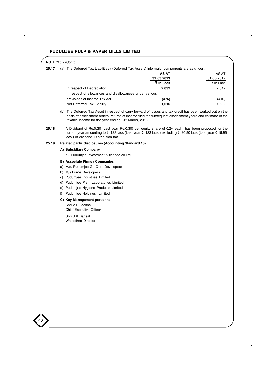**NOTE '25'** - (Contd.)

**25.17** (a) The Deferred Tax Liabilities / (Deferred Tax Assets) into major components are as under :

| AS AT<br>31.03.2013                                      | AS AT<br>31.03.2012<br>₹ in Lacs |
|----------------------------------------------------------|----------------------------------|
| 2.092                                                    | 2.042                            |
| In respect of allowances and disallowances under various |                                  |
| (476)                                                    | (410)                            |
| 1.616                                                    | 1.632                            |
|                                                          | ₹ in Lacs                        |

 $\bar{L}$ 

V.

(b) The Deferred Tax Asset in respect of carry forward of losses and tax credit has been worked out on the basis of assessment orders, returns of income filed for subsequent assessment years and estimate of the taxable income for the year ending 31<sup>st</sup> March, 2013.

- **25.18** A Dividend of Re.0.30 (Last year Re.0.30) per equity share of ₹.2/- each has been proposed for the current year amounting to ₹. 123 lacs (Last year ₹. 123 lacs) excluding ₹. 20.90 lacs (Last year ₹ 19.95 lacs ) of dividend Distribution tax.
- **25.19 Related party disclosures (Accounting Standard 18) :**

### **A) Subsidiary Company**

- a) Pudumjee Investment & finance co.Ltd. **B) Associate Firms / Companies**
- a) M/s. Pudumjee-G : Corp Developers
- b) M/s.Prime Developers.
- c) Pudumjee Industries Limited.
- d) Pudumjee Plant Laboratories Limited.
- e) Pudumjee Hygiene Products Limited.
- f) Pudumjee Holdings Limited.
- **C) Key Management personnel**

Shri.V.P.Leekha Chief Executive Officer Shri.S.K.Bansal

Wholetime Director

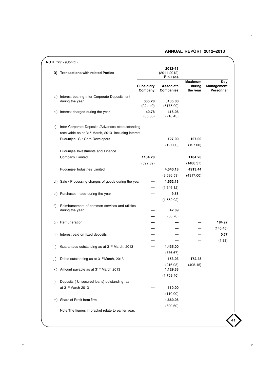|         | D) Transactions with related Parties                             |                              | 2012-13<br>$(2011 - 2012)$<br>₹ in Lacs |                                      |                                |
|---------|------------------------------------------------------------------|------------------------------|-----------------------------------------|--------------------------------------|--------------------------------|
|         |                                                                  | <b>Subsidiary</b><br>Company | <b>Associate</b><br>Companies           | <b>Maximum</b><br>during<br>the year | Key<br>Management<br>Personnel |
|         | a) Interest bearing Inter Corporate Deposits lent                |                              |                                         |                                      |                                |
|         | during the year                                                  | 665.28<br>(924.40)           | 3135.00<br>(5175.00)                    |                                      |                                |
|         | b) Interest charged during the year                              | 40.78<br>(65.33)             | 416.08<br>(218.43)                      |                                      |                                |
| C)      | Inter Corporate Deposits /Advances etc.outstanding               |                              |                                         |                                      |                                |
|         | receivable as at 31 <sup>st</sup> March, 2013 including interest |                              |                                         |                                      |                                |
|         | Pudumjee- G : Corp Developers                                    |                              | 127.00                                  | 127.00                               |                                |
|         |                                                                  |                              | (127.00)                                | (127.00)                             |                                |
|         | Pudumjee Investments and Finance                                 |                              |                                         |                                      |                                |
|         | Company Limited                                                  | 1184.28                      |                                         | 1184.28                              |                                |
|         |                                                                  | (592.89)                     |                                         | (1488.37)                            |                                |
|         | Pudumjee Industries Limited                                      |                              | 4,540.18                                | 4913.44                              |                                |
|         |                                                                  |                              | (3,686.59)                              | (4317.00)                            |                                |
|         | d) Sale / Processing charges of goods during the year            |                              | 1,652.13                                |                                      |                                |
|         |                                                                  |                              | (1,646.12)                              |                                      |                                |
|         | e) Purchases made during the year                                |                              | 9.58                                    |                                      |                                |
|         |                                                                  |                              | (1,559.02)                              |                                      |                                |
| f)      | Reimbursement of common services and utilities                   |                              |                                         |                                      |                                |
|         | during the year.                                                 |                              | 42.89                                   |                                      |                                |
|         |                                                                  |                              | (88.76)                                 |                                      |                                |
|         | g) Remuneration                                                  |                              |                                         |                                      | 184.92                         |
|         |                                                                  |                              |                                         |                                      | (145.45)                       |
|         | h) Interest paid on fixed deposits                               |                              |                                         |                                      | 0.57                           |
|         |                                                                  |                              |                                         |                                      | (1.83)                         |
| i)      | Guarantees outstanding as at 31 <sup>st</sup> March, 2013        |                              | 1,435.00                                |                                      |                                |
|         |                                                                  |                              | (736.67)                                |                                      |                                |
| j)      | Debts outstanding as at 31 <sup>st</sup> March, 2013             |                              | 153.03                                  | 172.48                               |                                |
|         | k) Amount payable as at 31 <sup>st</sup> March 2013              |                              | (216.08)<br>1,129.33                    | (405.15)                             |                                |
|         |                                                                  |                              | (1,769.40)                              |                                      |                                |
| $\vert$ | Deposits (Unsecured loans) outstanding as                        |                              |                                         |                                      |                                |
|         | at 31st March 2013                                               |                              | 110.00                                  |                                      |                                |
|         |                                                                  |                              | (110.00)                                |                                      |                                |
|         | m) Share of Profit from firm                                     |                              | 1,660.06                                |                                      |                                |
|         |                                                                  |                              | (690.60)                                |                                      |                                |
|         | Note: The figures in bracket relate to earlier year.             |                              |                                         |                                      |                                |

 $\omega$ 

 $\overline{a}$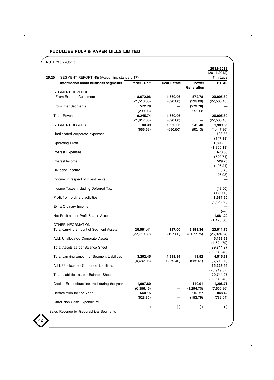| 25.20 | SEGMENT REPORTING (Accounting standard 17)   |              |                    |            | 2012-2013<br>$(2011 - 2012)$<br>₹ in Lacs |
|-------|----------------------------------------------|--------------|--------------------|------------|-------------------------------------------|
|       | Information about business segments.         | Paper - Unit | <b>Real Estate</b> | Power      | <b>TOTAL</b>                              |
|       | <b>SEGMENT REVENUE</b>                       |              |                    | Generation |                                           |
|       | <b>From External Customers</b>               | 18,672.96    | 1,660.06           | 572.78     | 20,905.80                                 |
|       |                                              | (21, 518.80) | (690.60)           | (299.08)   | (22,508.48)                               |
|       | From Inter Segments                          | 572.78       |                    | (572.78)   |                                           |
|       |                                              | (299.08)     |                    | 299.08     |                                           |
|       | <b>Total Revenue</b>                         | 19,245.74    | 1,660.06           |            | 20,905.80                                 |
|       |                                              | (21, 817.88) | (690.60)           |            | (22,508.48)                               |
|       | <b>SEGMENT RESULTS</b>                       | 80.39        | 1,660.06           | 249.40     | 1,989.85                                  |
|       |                                              | (666.63)     | (690.60)           | (90.13)    | (1,447.36)                                |
|       | Unallocated corporate expenses               |              |                    |            | 186.55                                    |
|       |                                              |              |                    |            | (147.18)                                  |
|       | <b>Operating Profit</b>                      |              |                    |            | 1,803.30                                  |
|       |                                              |              |                    |            | (1,300.18)                                |
|       | Interest Expenses                            |              |                    |            | 673.83                                    |
|       |                                              |              |                    |            | (520.74)                                  |
|       | Interest Income                              |              |                    |            | 529.25                                    |
|       |                                              |              |                    |            | (496.21)                                  |
|       | Dividend Income                              |              |                    |            | 9.48<br>(26.93)                           |
|       | Income in respect of Investments             |              |                    |            |                                           |
|       |                                              |              |                    |            |                                           |
|       | Income Taxes including Deferred Tax          |              |                    |            | (13.00)                                   |
|       |                                              |              |                    |            | (176.00)                                  |
|       | Profit from ordinary activities              |              |                    |            | 1,681.20                                  |
|       |                                              |              |                    |            | (1, 126.58)                               |
|       | Extra Ordinary Income                        |              |                    |            |                                           |
|       |                                              |              |                    |            | $(-)$                                     |
|       | Net Profit as per Profit & Loss Account      |              |                    |            | 1,681.20                                  |
|       |                                              |              |                    |            | (1, 126.58)                               |
|       | OTHER INFORMATION                            |              |                    |            |                                           |
|       | Total carrying amount of Segment Assets      | 20,591.41    | 127.00             | 2,893.34   | 23,611.75                                 |
|       |                                              | (22, 719.89) | (127.00)           | (3,077.75) | (25, 924.64)                              |
|       | Add: Unallocated Corporate Assets            |              |                    |            | 6,133.22<br>(4,624.79)                    |
|       | Total Assets as per Balance Sheet            |              |                    |            | 29,744.97                                 |
|       |                                              |              |                    |            | (30, 549.43)                              |
|       | Total carrying amount of Segment Liabilities | 3,262.45     | 1,239.34           | 13.52      | 4,515.31                                  |
|       |                                              | (4, 482.05)  | (1,879.40)         | (238.61)   | (6,600.06)                                |
|       | Add: Unallocated Corporate Liabilities       |              |                    |            | 25,229.66                                 |
|       |                                              |              |                    |            | (23,949.37)                               |
|       | Total Liabilities as per Balance Sheet       |              |                    |            | 29,744.97                                 |
|       |                                              |              |                    |            | (30, 549.43)                              |
|       | Capital Expenditure incurred during the year | 1,097.80     |                    | 110.91     | 1,208.71                                  |
|       |                                              | (6,356.16)   |                    | (1,294.70) | (7,650.86)                                |
|       | Depreciation for the Year                    | 640.15       |                    | 208.27     | 848.42                                    |
|       |                                              | (628.85)     |                    | (153.79)   | (782.64)                                  |
|       | Other Non Cash Expenditure                   |              |                    |            |                                           |
|       |                                              | $(\cdot)$    | $(\cdot)$          | $(\cdot)$  |                                           |
|       | Sales Revenue by Geographical Segments       |              |                    |            |                                           |

 $\bar{\mathbb{Q}}$ 

## **PUDUMJEE PULP & PAPER MILLS LIMITED**

 $\omega^{\dagger}$ 

 $\overline{a}$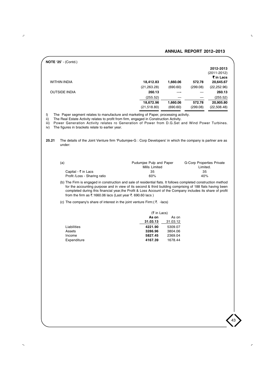### **ANNUAL REPORT 2012–2013**

|                                                                                                                                                                                                                                                                           |                                          |                      |                                              | 2012-2013                |
|---------------------------------------------------------------------------------------------------------------------------------------------------------------------------------------------------------------------------------------------------------------------------|------------------------------------------|----------------------|----------------------------------------------|--------------------------|
|                                                                                                                                                                                                                                                                           |                                          |                      |                                              | $(2011 - 2012)$          |
|                                                                                                                                                                                                                                                                           |                                          |                      |                                              | ₹ in Lacs                |
| <b>WITHIN INDIA</b>                                                                                                                                                                                                                                                       | 18,412.83                                | 1,660.06             | 572.78                                       | 20,645.67                |
|                                                                                                                                                                                                                                                                           | (21, 263.28)                             | (690.60)             | (299.08)                                     | (22, 252.96)             |
| <b>OUTSIDE INDIA</b>                                                                                                                                                                                                                                                      | 260.13                                   |                      |                                              | 260.13                   |
|                                                                                                                                                                                                                                                                           | (255.52)                                 |                      |                                              | (255.52)                 |
|                                                                                                                                                                                                                                                                           | 18,672.96<br>(21, 518.80)                | 1,660.06<br>(690.60) | 572.78<br>(299.08)                           | 20,905.80<br>(22,508.48) |
| The Paper segment relates to manufacture and marketing of Paper, processing activity.                                                                                                                                                                                     |                                          |                      |                                              |                          |
| The Real Estate Activity relates to profit from firm, engaged in Construction Activity.<br>ii)<br>Power Generation Activity relates ro Generation of Power from D.G.Set and Wind Power Turbines.<br>iii)<br>The figures in brackets relate to earlier year.<br>iv)        |                                          |                      |                                              |                          |
| 25.21<br>The details of the Joint Venture firm 'Pudumjee-G : Corp Developers' in which the company is partner are as<br>under:                                                                                                                                            |                                          |                      |                                              |                          |
| (a)                                                                                                                                                                                                                                                                       | Pudumjee Pulp and Paper<br>Mills Limited |                      | <b>G-Corp Properties Private</b><br>Limited. |                          |
| Capital - ₹ in Lacs                                                                                                                                                                                                                                                       | 35                                       |                      | 35                                           |                          |
| Profit /Loss - Sharing ratio                                                                                                                                                                                                                                              | 60%                                      |                      | 40%                                          |                          |
| for the accounting purpose and in view of its second & third building comprising of 188 flats having been                                                                                                                                                                 |                                          |                      |                                              |                          |
| completed during this financial year, the Profit & Loss Account of the Company includes its share of profit<br>from the firm as ₹.1660.06 lacs (Last year ₹. 690.60 lacs)<br>(c) The company's share of interest in the joint venture Firm: ( $\overline{\zeta}$ . -lacs) |                                          |                      |                                              |                          |
|                                                                                                                                                                                                                                                                           | $(5 \in \text{Ln}$ Lacs)                 |                      |                                              |                          |
|                                                                                                                                                                                                                                                                           | As on                                    | As on                |                                              |                          |
|                                                                                                                                                                                                                                                                           | 31.03.13                                 | 31.03.12             |                                              |                          |
| Liabilities                                                                                                                                                                                                                                                               | 4221.90                                  | 5309.07              |                                              |                          |
| Assets<br>Income                                                                                                                                                                                                                                                          | 3286.96                                  | 3804.06              |                                              |                          |
| Expenditure                                                                                                                                                                                                                                                               | 5827.45<br>4167.39                       | 2369.04<br>1678.44   |                                              |                          |
|                                                                                                                                                                                                                                                                           |                                          |                      |                                              |                          |
|                                                                                                                                                                                                                                                                           |                                          |                      |                                              |                          |
|                                                                                                                                                                                                                                                                           |                                          |                      |                                              |                          |
|                                                                                                                                                                                                                                                                           |                                          |                      |                                              |                          |
|                                                                                                                                                                                                                                                                           |                                          |                      |                                              |                          |
|                                                                                                                                                                                                                                                                           |                                          |                      |                                              |                          |
|                                                                                                                                                                                                                                                                           |                                          |                      |                                              |                          |
|                                                                                                                                                                                                                                                                           |                                          |                      |                                              |                          |
|                                                                                                                                                                                                                                                                           |                                          |                      |                                              |                          |
|                                                                                                                                                                                                                                                                           |                                          |                      |                                              |                          |

 $\omega$ 

 $\overline{a}$ 

 $\epsilon$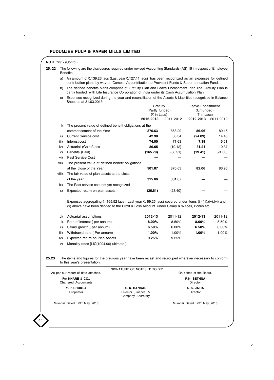## 44 **25. 22** The following are the disclosures required under revised Accounting Standards (AS) 15 in respect of Employee Benefits : a) An amount of  $\bar{\zeta}$ .139.23 lacs (Last year  $\bar{\zeta}$ .127.11 lacs) has been recognized as an expenses for defined contribution plans by way of Company's contribution to Provident Funds & Super annuation Fund. b) The defined benefits plans comprise of Gratuity Plan and Leave Encashment Plan.The Gratuity Plan is partly funded with Life Insurance Corporation of India under its Cash Accumulation Plan. c) Expenses recognized during the year and reconciliation of the Assets & Liabilities recognized in Balance Sheet as at 31.03.2013 : Gratuity Leave Encashment (Partly funded) (Unfunded)  $(\bar{\tau}$  in Lacs)  $(\bar{\tau}$  in Lacs) **2012-2013** 2011-2012 **2012-2013** 2011-2012 I) The present value of defined benefit obligations at the commencement of the Year **870.63** 868.29 **86.96** 80.16 ii) Current Service cost **42.98** 38.34 **(24.09)** 14.45 iii) Interest cost **74.00** 71.63 **7.39** 6.61 iv) Actuarial (Gain)/Loss **80.05** (19.12) **31.21** 10.37 v) Benefits (Paid) **(165.79)** (88.51) **(19.41)** (24.63) vi) Past Service Cost **—** — **—** vii) The present value of defined benefit obligations at the close of the Year **901.87** 870.63 **82.06** 86.96 viii) The fair value of plan assets at the close of the year **315.66** 331.07 **—** ix) The Past service cost not yet recognized x) Expected return on plan assets (26.61) (28.40) Expenses aggregating  $\bar{\tau}$ . 165.52 lacs (Last year  $\bar{\tau}$ . 69.25 lacs) covered under items (ii),(iii),(iv),(vi) and (x) above have been debited to the Profit & Loss Account under Salary & Wages, Bonus etc. d) Actuarial assumptions **2012-13** 2011-12 **2012-13** 2011-12 I) Rate of interest ( per annum) **8.00%** 8.50% **8.00%** 8.50% ii) Salary growth ( per annum) **6.50%** 6.00% **6.50%** 6.00% iii) Withdrawal rate ( Per annum) **1.00%** 1.00% **1.00%** 1.00% iv) Expected return on Plan Assets **9.25%** 9.25% v) Mortality rates [LIC(1994.96) ultimate ] **25.23** The items and figures for the previous year have been recast and regrouped wherever necessary to conform to this year's presentation. **NOTE '25'** - (Contd.) SIGNATURE OF NOTES '1' TO '25' As per our report of date attached. On behalf of the Board, For **KHARE & CO.,** R.N. SETHNA Chartered Accountants Director **Y. P. SHUKLA S. K. BANSAL A. K. JATIA** Proprietor **Director (Finance) & Director** Director Company Secretary Mumbai, Dated : 23<sup>rd</sup> May, 2013 May, 2013 Mumbai, Dated : 23<sup>rd</sup> May, 2013

V.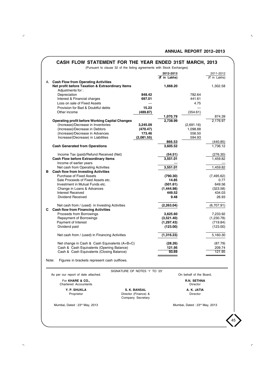|       |                                                                                                                |                                           | 2012-2013<br>(₹ in Lakhs) |                               | 2011-2012<br>(₹ in Lakhs) |
|-------|----------------------------------------------------------------------------------------------------------------|-------------------------------------------|---------------------------|-------------------------------|---------------------------|
|       |                                                                                                                |                                           |                           |                               |                           |
|       | A. Cash Flow from Operating Activities<br>Net profit before Taxation & Extraordinary Items<br>Adjustments for: |                                           | 1,668.20                  |                               | 1,302.58                  |
|       | Depreciation                                                                                                   | 848.42                                    |                           | 782.64                        |                           |
|       | Interest & Financial charges                                                                                   | 697.01                                    |                           | 441.61                        |                           |
|       |                                                                                                                |                                           |                           |                               |                           |
|       | Loss on sale of Fixed Assets                                                                                   |                                           |                           | 4.75                          |                           |
|       | Provision for Bad & Doubtful debts                                                                             | 15.23                                     |                           |                               |                           |
|       | Other income                                                                                                   | (489.87)                                  |                           | (354.61)                      |                           |
|       |                                                                                                                |                                           | 1,070.79                  |                               | 874.39                    |
|       | <b>Operating profit before Working Capital Changes</b>                                                         |                                           | 2,738.99                  |                               | 2,176.97                  |
|       | (Increase)/Decrease in Inventories                                                                             | 3,245.09                                  |                           | (2,691.16)                    |                           |
|       | (Increase)/Decrease in Debtors                                                                                 | (470.47)                                  |                           | 1,098.88                      |                           |
|       | (Increase)/Decrease in Advances                                                                                | 173.46                                    |                           | 556.50                        |                           |
|       | Increase/(Decrease) in Liabilities                                                                             | (2,081.55)                                |                           | 594.93                        |                           |
|       |                                                                                                                |                                           | 866.53                    |                               | (440.85)                  |
|       | <b>Cash Generated from Operations</b>                                                                          |                                           | 3,605.52                  |                               | 1,736.12                  |
|       |                                                                                                                |                                           |                           |                               |                           |
|       | Income Tax (paid)/Refund Received (Net)                                                                        |                                           | (54.51)                   |                               | (276.30)                  |
|       | Cash Flow before Extraordinary Items                                                                           |                                           | 3,551.01                  |                               | 1,459.82                  |
|       | Income of earlier years                                                                                        |                                           |                           |                               |                           |
|       | Net cash from Operating Activities                                                                             |                                           | 3,551.01                  |                               | 1,459.82                  |
| в     | <b>Cash flow from Investing Activities</b>                                                                     |                                           |                           |                               |                           |
|       | <b>Purchase of Fixed Assets</b>                                                                                |                                           | (790.30)                  |                               | (7, 495.62)               |
|       | Sale Proceeds of Fixed Assets etc.                                                                             |                                           | 14.85                     |                               | 0.77                      |
|       |                                                                                                                |                                           |                           |                               |                           |
|       | Investment in Mutual Funds etc.                                                                                |                                           | (501.61)                  |                               | 649.56                    |
|       | Change in Loans & Advances                                                                                     |                                           | (1,444.98)                |                               | (323.58)                  |
|       | Interest Received                                                                                              |                                           | 449.52                    |                               | 434.03                    |
|       | Dividend Received                                                                                              |                                           | 9.48                      |                               | 26.93                     |
|       | Net cash from / (used) in Investing Activities                                                                 |                                           | (2,263.04)                |                               | (6,707.91)                |
| С     | <b>Cash flow from Financing Activities</b>                                                                     |                                           |                           |                               |                           |
|       | Proceeds from Borrowings                                                                                       |                                           | 3,625.60                  |                               | 7,233.92                  |
|       | Repayment of Borrowings                                                                                        |                                           | (3,521.40)                |                               | (1,230.78)                |
|       | Payment of Interest                                                                                            |                                           | (1, 297.43)               |                               | (719.84)                  |
|       | Dividend paid                                                                                                  |                                           | (123.00)                  |                               | (123.00)                  |
|       |                                                                                                                |                                           |                           |                               |                           |
|       | Net cash from / (used) in Financing Activities                                                                 |                                           | (1,316.23)                |                               | 5,160.30                  |
|       | Net change in Cash & Cash Equivalents (A+B+C)                                                                  |                                           | (28.26)                   |                               | (87.79)                   |
|       | Cash & Cash Equivalents (Opening Balance)                                                                      |                                           | 121.95                    |                               | 209.74                    |
|       | Cash & Cash Equivalents (Closing Balance)                                                                      |                                           | 93.69                     |                               | 121.95                    |
|       |                                                                                                                |                                           |                           |                               |                           |
| Note: | Figures in brackets represent cash outflows.                                                                   |                                           |                           |                               |                           |
|       |                                                                                                                | SIGNATURE OF NOTES '1' TO '25'            |                           |                               |                           |
|       | As per our report of date attached.                                                                            |                                           |                           | On behalf of the Board,       |                           |
|       | For KHARE & CO.,<br>Chartered Accountants                                                                      |                                           |                           | R.N. SETHNA<br>Director       |                           |
|       | Y. P. SHUKLA                                                                                                   | S. K. BANSAL                              |                           | A. K. JATIA                   |                           |
|       | Proprietor                                                                                                     | Director (Finance) &<br>Company Secretary |                           | Director                      |                           |
|       | Mumbai, Dated: 23rd May, 2013                                                                                  |                                           |                           | Mumbai, Dated: 23rd May, 2013 |                           |

 $\bar{\omega}$ 

 $\sim$ 

 $\bar{c}$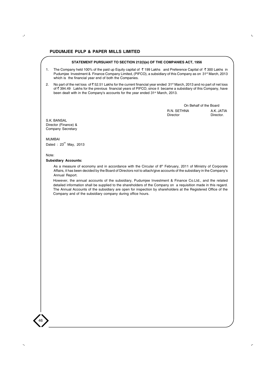### **STATEMENT PURSUANT TO SECTION 212(l)(e) OF THE COMPANIES ACT, 1956**

- 1. The Company held 100% of the paid up Equity capital of  $\bar{\tau}$  199 Lakhs and Preference Capital of  $\bar{\tau}$  300 Lakhs in Pudumjee Investment & Finance Company Limited, (PIFCO), a subsidiary of this Company as on 31<sup>st</sup> March, 2013 which is the financial year end of both the Companies.
- 2. No part of the net loss of ₹52.51 Lakhs for the current financial year ended 31<sup>st</sup> March, 2013 and no part of net loss of  $\bar{x}$  394.49 Lakhs for the previous financial years of PIFCO, since it became a subsidiary of this Company, have been dealt with in the Company's accounts for the year ended 31<sup>st</sup> March, 2013.

On Behalf of the Board

R.N. SETHNA A.K. JATIA Director Director.

 $\bar{L}$ 

r.

S.K. BANSAL Director (Finance) & Company Secretary

#### MUMBAI

Dated : 23<sup>rd</sup> May, 2013

#### Note:

L)

#### **Subsidiary Accounts:**

As a measure of economy and in accordance with the Circular of  $8<sup>th</sup>$  February, 2011 of Ministry of Corporate Affairs, it has been decided by the Board of Directors not to attach/give accounts of the subsidiary in the Company's Annual Report.

However, the annual accounts of the subsidiary, Pudumjee Investment & Finance Co.Ltd., and the related detailed information shall be supplied to the shareholders of the Company on a requisition made in this regard. The Annual Accounts of the subsidiary are open for inspection by shareholders at the Registered Office of the Company and of the subsidiary company during office hours.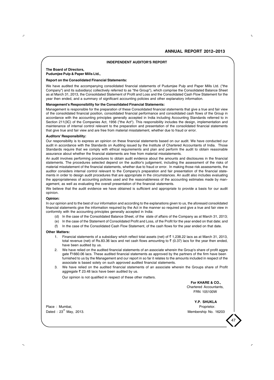### **INDEPENDENT AUDITOR'S REPORT**

#### **The Board of Directors,**

**Pudumjee Pulp & Paper Mills Ltd.,**

### **Report on the Consolidated Financial Statements:**

We have audited the accompanying consolidated financial statements of Pudumjee Pulp and Paper Mills Ltd. ("the Company") and its subsidiary( collectively referred to as "the Group"), which comprise the Consolidated Balance Sheet as at March 31, 2013, the Consolidated Statement of Profit and Loss and the Consolidated Cash Flow Statement for the year then ended, and a summary of significant accounting policies and other explanatory information.

#### **Management's Responsibility for the Consolidated Financial Statements:**

Management is responsible for the preparation of these Consolidated financial statements that give a true and fair view of the consolidated financial position, consolidated financial performance and consolidated cash flows of the Group in accordance with the accounting principles generally accepted in India including Accounting Standards referred to in Section 211(3C) of the Companies Act, 1956 ("the Act"). This responsibility includes the design, implementation and maintenance of internal control relevant to the preparation and presentation of the consolidated financial statements that give true and fair view and are free from material misstatement, whether due to fraud or error.

#### **Auditors' Responsibility:**

Our responsibility is to express an opinion on these financial statements based on our audit. We have conducted our audit in accordance with the Standards on Auditing issued by the Institute of Chartered Accountants of India. Those Standards require that we comply with ethical requirements and plan and perform the audit to obtain reasonable assurance about whether the financial statements are free from material misstatements.

An audit involves performing procedures to obtain audit evidence about the amounts and disclosures in the financial statements. The procedures selected depend on the auditor's judgement, including the assessment of the risks of material misstatement of the financial statements, whether due to fraud or error. In making those risk assessments, the auditor considers internal control relevant to the Company's preparation and fair presentation of the financial statements in order to design audit procedures that are appropriate in the circumstances. An audit also includes evaluating the appropriateness of accounting policies used and the reasonableness of the accounting estimates made by management, as well as evaluating the overall presentation of the financial statements.

We believe that the audit evidence we have obtained is sufficient and appropriate to provide a basis for our audit opinion.

#### **Opinion:**

In our opinion and to the best of our information and according to the explanations given to us, the aforesaid consolidated financial statements give the information required by the Act in the manner so required and give a true and fair view in conformity with the accounting principles generally accepted in India:

- (d) In the case of the Consolidated Balance Sheet, of the state of affairs of the Company as at March 31, 2013;
- (e) In the case of the Statement of Consolidated Profit and Loss, of the Profit for the year ended on that date; and
- (f) In the case of the Consolidated Cash Flow Statement, of the cash flows for the year ended on that date.

#### **Other Matters:**

- 1. Financial statements of a subsidiary which reflect total assets (net) of  $\bar{\tau}$  1,238.22 lacs as at March 31, 2013, total revenue (net) of Rs.83.36 lacs and net cash flows amounting to  $\bar{\tau}$  (0.37) lacs for the year then ended, have been audited by us.
- 2. We have relied on the audited financial statements of an associate wherein the Group's share of profit aggre gate ₹1660.06 lacs. These audited financial statements as approved by the partners of the firm have been furnished to us by the Management and our report in so far it relates to the amounts included in respect of the associate is based solely on such approved audited financial statements.
- 3. We have relied on the audited financial statements of an associate wherein the Groups share of Profit aggregate  $\bar{\tau}$  23.48 lacs have been audited by us.

Our opinion is not qualified in respect of these other matters.

**For KHARE & CO.,** Chartered Accountants, FRN 105100W

Place : Mumbai. **Proprietor.** Proprietor. **Proprietor.** Proprietor. **Proprietor.** Dated : 23<sup>rd</sup> May, 2013. No. 16203

 **Y.P. SHUKLA**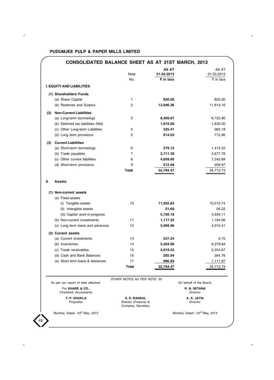$\mathbb{L}^1$ 

 $\frac{1}{2}$ 

|     |                                           | CONSOLIDATED BALANCE SHEET AS AT 31ST MARCH, 2013         |                     |                          |
|-----|-------------------------------------------|-----------------------------------------------------------|---------------------|--------------------------|
|     |                                           |                                                           | AS AT               | AS AT                    |
|     |                                           | <b>Note</b>                                               | 31.03.2013          | 31.03.2012               |
|     |                                           | No.                                                       | ₹ in lacs           | ₹ in lacs                |
|     | <b>I. EQUITY AND LIABILITIES</b>          |                                                           |                     |                          |
|     | (1) Shareholders' Funds                   |                                                           |                     |                          |
|     | (a) Share Capital                         | $\mathbf{1}$                                              | 820.00              | 820.00                   |
|     | (b) Reserves and Surplus                  | $\overline{2}$                                            | 13,046.36           | 11,814.10                |
| (2) | <b>Non-Current Liabilities</b>            |                                                           |                     |                          |
|     | (a) Long-term borrowings                  | 3                                                         | 8,409.97            | 6,722.90                 |
|     | (b) Deferred tax liabilities (Net)        |                                                           | 1,616.00            | 1,632.00                 |
|     | (c) Other Long-term Liabilities           | 4                                                         | 325.41              | 365.18                   |
|     | (d) Long term provisions                  | 5                                                         | 614.03              | 712.90                   |
|     | (3) Current Liabilities                   |                                                           |                     |                          |
|     | (a) Short-term borrowings                 | 6                                                         | 379.12              | 1,415.22                 |
|     | (b) Trade payables                        | 7                                                         | 2,711.30            | 3,677.78                 |
|     | (c) Other current liabilities             | 8                                                         | 4,659.60            | 7,342.68                 |
|     | (d) Short-term provisions                 | 9                                                         | 212.68              | 209.97                   |
|     |                                           | Total                                                     | 32,794.47           | 34,712.73                |
|     | (1) Non-current assets                    |                                                           |                     |                          |
|     | (a) Fixed assets                          |                                                           |                     |                          |
|     | (i) Tangible assets                       | 10                                                        | 11,055.83           | 10,515.74                |
|     | (ii) Intangible assets                    |                                                           | 21.69               | 26.22                    |
|     | (iii) Capital work-in-progress            |                                                           | 5,726.18            | 5,934.11                 |
|     | (b) Non-current investments               | 11                                                        | 1,117.25            | 1,194.06                 |
|     |                                           |                                                           |                     |                          |
|     | (c) Long term loans and advances          | 12                                                        | 5,099.96            |                          |
|     | (2) Current assets                        |                                                           |                     |                          |
|     | (a) Current investments                   | 13                                                        | 537.24              | 4,010.41<br>0.75         |
|     | (b) Inventories                           | 14                                                        | 5,504.06            | 9,379.84                 |
|     | (c) Trade receivables                     | 15                                                        | 2,619.43            | 2,254.87                 |
|     | (d) Cash and Bank Balances                | 16                                                        | 205.94              | 284.76                   |
|     | (e) Short term loans & Advances           | 17<br>Total                                               | 906.89<br>32,794.47 | 1,111.97<br>34,712.73    |
|     |                                           |                                                           |                     |                          |
|     | As per our report of date attached.       | OTHER NOTES AS PER NOTE '25'                              |                     | On behalf of the Board,  |
|     | For KHARE & CO.,<br>Chartered Accountants |                                                           |                     | R. N. SETHNA<br>Director |
|     | Y. P. SHUKLA<br>Proprietor                | S. K. BANSAL<br>Director (Finance) &<br>Company Secretary |                     | A. K. JATIA<br>Director  |

 $\bar{\mathbf{r}}_{\mu}$ 

ř.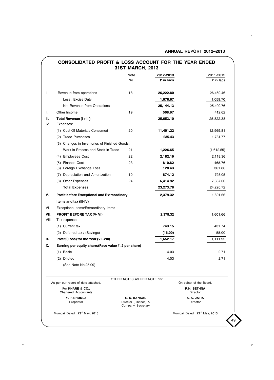$\bar{\mathbf{r}}_{\perp}$ 

|       |                                                       | Note                                                      | 2012-2013         | 2011-2012                     |
|-------|-------------------------------------------------------|-----------------------------------------------------------|-------------------|-------------------------------|
|       |                                                       | No.                                                       | $\bar{z}$ in lacs | $\bar{z}$ in lacs             |
| I.    | Revenue from operations                               | 18                                                        | 26,222.80         | 26,469.46                     |
|       | Less: Excise Duty                                     |                                                           | 1,078.67          | 1,059.70                      |
|       | Net Revenue from Operations                           |                                                           | 25,144.13         | 25,409.76                     |
| II.   | Other Income                                          | 19                                                        | 508.97            | 412.62                        |
| III.  | Total Revenue (I + II)                                |                                                           | 25,653.10         | 25,822.38                     |
| IV.   | Expenses:                                             |                                                           |                   |                               |
|       | (1) Cost Of Materials Consumed                        | 20                                                        | 11,401.22         | 12,969.81                     |
|       | (2) Trade Purchases                                   |                                                           | 235.43            | 1,731.77                      |
|       | (3) Changes in Inventories of Finished Goods,         |                                                           |                   |                               |
|       | Work-in-Process and Stock in Trade                    | 21                                                        | 1,226.65          | (1,612.55)                    |
|       | (4) Employees Cost                                    | 22                                                        | 2,182.19          | 2,118.36                      |
|       | (5) Finance Cost                                      | 23                                                        | 810.82            | 468.76                        |
|       | (6) Foreign Exchange Loss                             |                                                           | 128.43            | 361.86                        |
|       | (7) Depreciation and Amortization                     | 10                                                        | 874.12            | 795.05                        |
|       | (8) Other Expenses                                    | 24                                                        | 6,414.92          | 7,387.66                      |
|       | <b>Total Expenses</b>                                 |                                                           | 23,273.78         | 24,220.72                     |
| v.    | <b>Profit before Exceptional and Extraordinary</b>    |                                                           | 2,379.32          | 1,601.66                      |
|       | items and tax (III-IV)                                |                                                           |                   |                               |
| VI.   | Exceptional items/Extraordinary Items                 |                                                           |                   |                               |
| VII.  | PROFIT BEFORE TAX (V-VI)                              |                                                           | 2,379.32          | 1,601.66                      |
| VIII. | Tax expense:                                          |                                                           |                   |                               |
|       | (1) Current tax                                       |                                                           | 743.15            | 431.74                        |
|       | (2) Deferred tax / (Savings)                          |                                                           | (16.00)           | 58.00                         |
| IX.   | Profit/(Loss) for the Year (VII-VIII)                 |                                                           | 1,652.17          | 1,111.92                      |
| х.    | Earning per equity share: (Face value ₹. 2 per share) |                                                           |                   |                               |
|       | $(1)$ Basic                                           |                                                           | 4.03              | 2.71                          |
|       | (2) Diluted                                           |                                                           | 4.03              | 2.71                          |
|       | (See Note No.25.09)                                   |                                                           |                   |                               |
|       |                                                       | OTHER NOTES AS PER NOTE '25'                              |                   |                               |
|       | As per our report of date attached.                   |                                                           |                   | On behalf of the Board,       |
|       | For KHARE & CO.,<br>Chartered Accountants             |                                                           |                   | R.N. SETHNA<br>Director       |
|       | Y. P. SHUKLA<br>Proprietor                            | S. K. BANSAL<br>Director (Finance) &<br>Company Secretary |                   | A. K. JATIA<br>Director       |
|       | Mumbai, Dated: 23rd May, 2013                         |                                                           |                   | Mumbai, Dated: 23rd May, 2013 |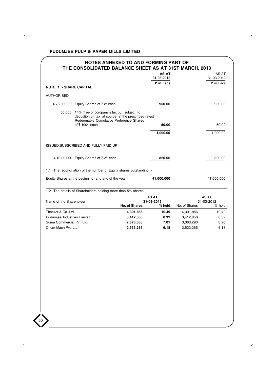$\bar{\omega}^{\dagger}$ 

 $\bar{\mathcal{A}}_1$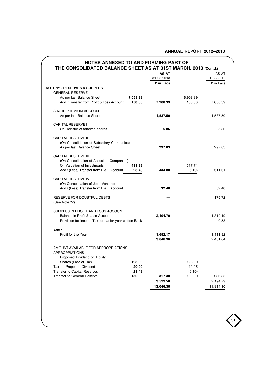$\bar{\mathbf{L}}$ 

|                                                        |          | AS AT<br>31.03.2013 |          | AS AT<br>31.03.2012 |
|--------------------------------------------------------|----------|---------------------|----------|---------------------|
|                                                        |          | ₹ in Lacs           |          | ₹ in Lacs           |
| <b>NOTE '2' - RESERVES &amp; SURPLUS</b>               |          |                     |          |                     |
| <b>GENERAL RESERVE</b>                                 |          |                     |          |                     |
| As per last Balance Sheet                              | 7,058.39 |                     | 6,958.39 |                     |
| Add: Transfer from Profit & Loss Account               | 150.00   | 7,208.39            | 100.00   | 7,058.39            |
| SHARE PREMIUM ACCOUNT                                  |          |                     |          |                     |
| As per last Balance Sheet                              |          | 1,537.50            |          | 1,537.50            |
| <b>CAPITAL RESERVE I</b>                               |          |                     |          |                     |
| On Reissue of forfeited shares                         |          | 5.86                |          | 5.86                |
| <b>CAPITAL RESERVE II</b>                              |          |                     |          |                     |
| (On Consolidation of Subsidiary Companies)             |          |                     |          |                     |
| As per last Balance Sheet                              |          | 297.83              |          | 297.83              |
| <b>CAPITAL RESERVE III</b>                             |          |                     |          |                     |
| (On Consolidation of Associate Companies)              |          |                     |          |                     |
| On Valuation of Investments                            | 411.32   |                     | 517.71   |                     |
| Add / (Less) Transfer from P & L Account               | 23.48    | 434.80              | (6.10)   | 511.61              |
| <b>CAPITAL RESERVE IV</b>                              |          |                     |          |                     |
| (On Consolidation of Joint Venture)                    |          |                     |          |                     |
| Add / (Less) Transfer from P & L Account               |          | 32.40               |          | 32.40               |
| RESERVE FOR DOUBTFUL DEBTS                             |          |                     |          | 175.72              |
| (See Note '5')                                         |          |                     |          |                     |
| SURPLUS IN PROFIT AND LOSS ACCOUNT                     |          |                     |          |                     |
| Balance in Profit & Loss Account                       |          | 2,194.79            |          | 1,319.19            |
| Provision for income Tax for earlier year written Back |          |                     |          | 0.53                |
| Add:                                                   |          |                     |          |                     |
| Profit for the Year                                    |          | 1,652.17            |          | 1,111.92            |
|                                                        |          | 3,846.96            |          | 2,431.64            |
| AMOUNT AVAILABLE FOR APPROPRIATIONS                    |          |                     |          |                     |
| APPROPRIATIONS:                                        |          |                     |          |                     |
| Proposed Dividend on Equity                            |          |                     |          |                     |
| Shares (Free of Tax)                                   | 123.00   |                     | 123.00   |                     |
| Tax on Proposed Dividend                               | 20.90    |                     | 19.95    |                     |
| Transfer to Capital Reserves                           | 23.48    |                     | (6.10)   |                     |
| <b>Transfer to General Reserve</b>                     | 150.00   | 317.38              | 100.00   | 236.85              |
|                                                        |          | 3,529.58            |          | 2,194.79            |
|                                                        |          | 13,046.36           |          | 11,814.10           |

 $\Box^1$ 

 $\sim$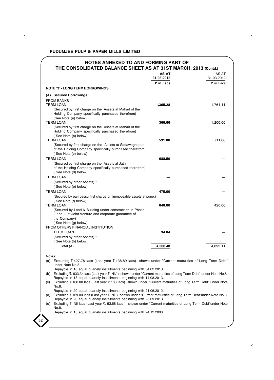| NOTES ANNEXED TO AND FORMING PART OF<br>THE CONSOLIDATED BALANCE SHEET AS AT 31ST MARCH, 2013 (Contd.) |                   |            |
|--------------------------------------------------------------------------------------------------------|-------------------|------------|
|                                                                                                        | <b>AS AT</b>      | AS AT      |
|                                                                                                        | 31.03.2013        | 31.03.2012 |
|                                                                                                        | $\bar{z}$ in Lacs | ₹ in Lacs  |
| <b>NOTE '3' - LONG TERM BORROWINGS</b>                                                                 |                   |            |
| (A) Secured Borrowings                                                                                 |                   |            |
| <b>FROM BANKS</b>                                                                                      |                   |            |
| <b>TERM LOAN</b>                                                                                       | 1,365.28          | 1,761.11   |
| (Secured by first charge on the Assets at Mahad of the                                                 |                   |            |
| Holding Company specifically purchased therefrom)                                                      |                   |            |
| (See Note (a) below)                                                                                   |                   |            |
| <b>TERM LOAN</b>                                                                                       | 366.66            | 1,200.00   |
| (Secured by first charge on the Assets at Mahad of the                                                 |                   |            |
| Holding Company specifically purchased therefrom)                                                      |                   |            |
| (See Note (b) below)                                                                                   |                   |            |
| <b>TERM LOAN</b>                                                                                       | 531.00            | 711.00     |
| (Secured by first charge on the Assets at Sadawaghapur                                                 |                   |            |
| of the Holding Company specifically purchased therefrom)                                               |                   |            |
| (See Note (c) below)                                                                                   |                   |            |
| <b>TERM LOAN</b>                                                                                       | 688.50            |            |
| (Secured by first charge on the Assets at Jath                                                         |                   |            |
| of the Holding Company specifically purchased therefrom)                                               |                   |            |
| (See Note (d) below)                                                                                   |                   |            |
| <b>TERM LOAN</b>                                                                                       |                   |            |
| (Secured by other Assets) *                                                                            |                   |            |
| (See Note (e) below)                                                                                   |                   |            |
| <b>TERM LOAN</b>                                                                                       | 475.00            |            |
| (Secured by pari passu first charge on immoveable assets at pune.)                                     |                   |            |
| (See Note (f) below)                                                                                   |                   |            |
| <b>TERM LOAN</b>                                                                                       | 840.00            | 420.00     |
| (Secured by Land & Building under construction in Phase                                                |                   |            |
| II and III of Joint Venture and corporate guarantee of                                                 |                   |            |
| the Company)                                                                                           |                   |            |
| (See Note (g) below)                                                                                   |                   |            |
| <b>FROM OTHERS FINANCIAL INSTITUTION</b>                                                               |                   |            |
| <b>TERM LOAN</b>                                                                                       | 34.04             |            |
| (Secured by other Assets) *                                                                            |                   |            |
| (See Note (h) below)                                                                                   |                   |            |
| Total (A)                                                                                              | 4.300.48          | 4,092.11   |
|                                                                                                        |                   |            |

 $\bar{L}$ 

r.

Notes:

 $\mathbb{E}^1$ 

52

(a) Excluding ₹.427.78 lacs (Last year ₹.138.89 lacs) shown under "Current maturities of Long Term Debt" under Note No.8.

Repayble in 18 equal quartely installments beginning with 04.02.2013.

(b) Excluding `. 833.34 lacs (Last year `. Nil/-) shown under "Current maturities of Long Term Debt" under Note No.8. Repayble in 18 equal quartely installments beginning with 14.08.2013.

(c) Excluding `.180.00 lacs (Last year `.180 lacs) shown under "Current maturities of Long Term Debt" under Note No.8.

Repayble in 20 equal quartely installments beginning with 21.06.2012.

(d) Excluding `.129.00 lacs (Last year `. Nil ) shown under "Current maturities of Long Term Debt"under Note No.8. Repayble in 20 equal quartely installments beginning with 25.09.2013.

(e) Excluding `. Nil lacs (Last year `. 93.68 lacs ) shown under "Current maturities of Long Term Debt"under Note No.8.

Repayble in 15 equal quartely installments beginning with 24.12.2008.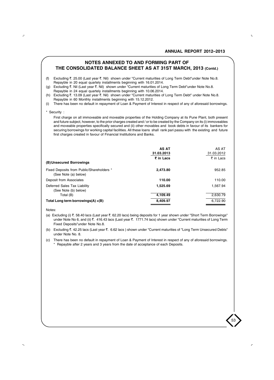53

### **NOTES ANNEXED TO AND FORMING PART OF THE CONSOLIDATED BALANCE SHEET AS AT 31ST MARCH, 2013 (Contd.)**

- (f) Excluding ₹. 25.00 (Last year ₹. Nil) shown under "Current maturities of Long Term Debt"under Note No.8. Repayble in 20 equal quartely installments beginning with 16.01.2014.
- (g) Excluding `. Nil (Last year `. Nil) shown under "Current maturities of Long Term Debt"under Note No.8. Repayble in 24 equal quartely installments beginning with 10.06.2014.
- (h) Excluding `. 13.09 (Last year `. Nil) shown under "Current maturities of Long Term Debt" under Note No.8. Repayble in 60 Monthly installments beginning with 15.12.2012.
- (i) There has been no default in repayment of Loan & Payment of Interest in respect of any of aforesaid borrowings.

\* Security :

First charge on all immoveable and moveable properties of the Holding Company at its Pune Plant, both present and future subject, however, to the prior charges created and / or to be created by the Company on its (i) immoveables and moveable properties specifically secured and (ii) other movables and book debts in favour of its bankers for securing borrowings for working capital facilities. All these loans shall rank pari passu with the existing and future first charges created in favour of Financial Institutions and Banks.

| (B) Unsecured Borrowings                                          | <b>AS AT</b><br>31.03.2013<br>₹ in Lacs | AS AT<br>31.03.2012<br>₹ in Lacs |
|-------------------------------------------------------------------|-----------------------------------------|----------------------------------|
| Fixed Deposits from Public/Shareholders *<br>(See Note (a) below) | 2,473.80                                | 952.85                           |
| Deposit from Associates                                           | 110.00                                  | 110.00                           |
| Deferred Sales Tax Liability<br>(See Note (b) below)              | 1,525.69                                | 1.567.94                         |
| Total (B)                                                         | 4,109.49                                | 2,630.79                         |
| Total Long term borrowings $(A) + (B)$                            | 8,409.97                                | 6,722.90                         |

#### Notes:

- (a) Excluding (i)  $\bar{\xi}$ . 58.40 lacs (Last year  $\bar{\xi}$ . 62.20 lacs) being deposits for 1 year shown under "Short Term Borrowings" under Note No 6, and (ii)  $\bar{x}$ . 416.43 lacs (Last year  $\bar{x}$ . 1771.74 lacs) shown under "Current maturities of Long Term Fixed Deposits"under Note No.8.
- (b) Excluding `. 42.25 lacs (Last year `. 6.62 lacs ) shown under "Current maturities of "Long Term Unsecured Debts" under Note No. 8.
- (c) There has been no default in repayment of Loan & Payment of Interest in respect of any of aforesaid borrowings. \* Repayble after 2 years and 3 years from the date of acceptance of each Deposits.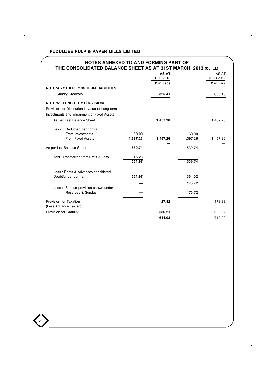| NOTES ANNEXED TO AND FORMING PART OF<br>THE CONSOLIDATED BALANCE SHEET AS AT 31ST MARCH, 2013 (Contd.) |                 |                            |          |                     |
|--------------------------------------------------------------------------------------------------------|-----------------|----------------------------|----------|---------------------|
|                                                                                                        |                 | <b>AS AT</b><br>31.03.2013 |          | AS AT<br>31.03.2012 |
|                                                                                                        |                 | ₹ in Lacs                  |          | ₹ in Lacs           |
| <b>NOTE '4' - OTHER LONG TERM LIABILITIES</b>                                                          |                 |                            |          |                     |
| <b>Sundry Creditors</b>                                                                                |                 | 325.41                     |          | 365.18              |
| <b>NOTE '5' - LONG TERM PROVISIONS</b>                                                                 |                 |                            |          |                     |
| Provision for Diminution in value of Long term                                                         |                 |                            |          |                     |
| Investments and Impairment of Fixed Assets                                                             |                 |                            |          |                     |
| As per Last Balance Sheet                                                                              |                 | 1,457.26                   |          | 1,457.26            |
| Less: Deducted per contra                                                                              |                 |                            |          |                     |
| From Investments                                                                                       | 60.00           |                            | 60.00    |                     |
| <b>From Fixed Assets</b>                                                                               | 1,397.26        | 1,457.26                   | 1,397.26 | 1,457.26            |
| As per last Balance Sheet                                                                              | 539.74          |                            | 539.74   |                     |
| Add: Transferred from Profit & Loss                                                                    | 15.23<br>554.97 |                            | 539.74   |                     |
|                                                                                                        |                 |                            |          |                     |
| Less: Debts & Advances considered                                                                      |                 |                            |          |                     |
| Doubtful per contra                                                                                    | 554.97          |                            | 364.02   |                     |
|                                                                                                        |                 |                            | 175.72   |                     |
| Less: Surplus provision shown under                                                                    |                 |                            |          |                     |
| Reserves & Surplus                                                                                     |                 |                            | 175.72   |                     |
| Provision for Taxation                                                                                 |                 | 27.82                      |          | 173.33              |
| (Less:Advance Tax etc.)                                                                                |                 |                            |          |                     |
| Provision for Gratuity                                                                                 |                 | 586.21                     |          | 539.57              |
|                                                                                                        |                 | 614.03                     |          | 712.90              |
|                                                                                                        |                 |                            |          |                     |

 $\bar{\mathbf{r}}_{\mu}$ 

ř.

54

 $\bar{\gamma}$ 

 $\mathbb{L}^1$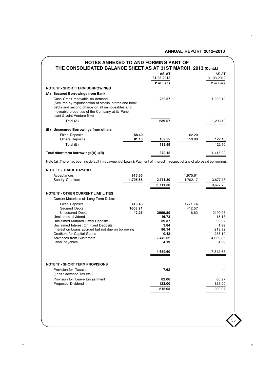| NOTES ANNEXED TO AND FORMING PART OF<br>THE CONSOLIDATED BALANCE SHEET AS AT 31ST MARCH, 2013 (Contd.)                                                                                                                                                                                                                    |                            |                                                                                    |                           |                                                                                       |
|---------------------------------------------------------------------------------------------------------------------------------------------------------------------------------------------------------------------------------------------------------------------------------------------------------------------------|----------------------------|------------------------------------------------------------------------------------|---------------------------|---------------------------------------------------------------------------------------|
|                                                                                                                                                                                                                                                                                                                           |                            | AS AT                                                                              |                           | AS AT                                                                                 |
|                                                                                                                                                                                                                                                                                                                           |                            | 31.03.2013                                                                         |                           | 31.03.2012                                                                            |
|                                                                                                                                                                                                                                                                                                                           |                            | ₹ in Lacs                                                                          |                           | ₹ in Lacs                                                                             |
| <b>NOTE '6' - SHORT TERM BORROWINGS</b>                                                                                                                                                                                                                                                                                   |                            |                                                                                    |                           |                                                                                       |
| (A) Secured Borrowings from Bank                                                                                                                                                                                                                                                                                          |                            |                                                                                    |                           |                                                                                       |
| Cash Credit repayable on demand<br>(Secured by hypothecation of stocks, stores and book<br>debts and second charge on all immoveables and<br>moveable properties of the Company at its Pune<br>plant & Joint Venture firm)                                                                                                |                            | 239.57                                                                             |                           | 1,293.12                                                                              |
| Total (A)                                                                                                                                                                                                                                                                                                                 |                            | 239.57                                                                             |                           | 1.293.12                                                                              |
| (B) Unsecured Borrowings from others                                                                                                                                                                                                                                                                                      |                            |                                                                                    |                           |                                                                                       |
| <b>Fixed Deposits</b>                                                                                                                                                                                                                                                                                                     | 58.40                      |                                                                                    | 62.20                     |                                                                                       |
| <b>Others Deposits</b>                                                                                                                                                                                                                                                                                                    | 81.15                      | 139.55                                                                             | 59.90                     | 122.10                                                                                |
| Total (B)                                                                                                                                                                                                                                                                                                                 |                            | 139.55                                                                             |                           | 122.10                                                                                |
| Total short term borrowings(A) +(B)                                                                                                                                                                                                                                                                                       |                            | 379.12                                                                             |                           | 1,415.22                                                                              |
| <b>NOTE '7' - TRADE PAYABLE</b>                                                                                                                                                                                                                                                                                           |                            |                                                                                    |                           |                                                                                       |
| Acceptances                                                                                                                                                                                                                                                                                                               | 915.65                     |                                                                                    | 1,975.61                  |                                                                                       |
| <b>Sundry Creditors</b>                                                                                                                                                                                                                                                                                                   | 1,795.65                   | 2,711.30                                                                           | 1.702.17                  | 3,677.78                                                                              |
| <b>NOTE '8' - OTHER CURRENT LIABILITIES</b><br>Current Maturities of Long Term Debts:                                                                                                                                                                                                                                     |                            | 2,711.30                                                                           |                           | 3,677.78                                                                              |
| <b>Fixed Deposits</b><br><b>Secured Debts</b><br><b>Unsecured Debts</b><br>Unclaimed dividend<br>Unclaimed Matured Fixed Deposits<br>Unclaimed Interest On Fixed Deposits<br>Interest on Loans accrued but not due on borrowing<br><b>Creditors for Capital Goods</b><br><b>Advances from Customers</b><br>Other payables | 416.43<br>1608.21<br>42.25 | 2066.89<br>16.73<br>39.37<br>3.84<br>86.14<br>0.42<br>2,442.02<br>4.19<br>4,659.60 | 1771.74<br>412.57<br>6.62 | 2190.93<br>15.13<br>22.27<br>1.99<br>213.32<br>235.10<br>4,659.65<br>4.29<br>7,342.68 |
| <b>NOTE '9' - SHORT TERM PROVISIONS</b>                                                                                                                                                                                                                                                                                   |                            |                                                                                    |                           |                                                                                       |
| Provision for Taxation<br>(Less: Advance Tax etc.)                                                                                                                                                                                                                                                                        |                            | 7.62                                                                               |                           |                                                                                       |
| Provision for Leave Encashment                                                                                                                                                                                                                                                                                            |                            | 82.06                                                                              |                           | 86.97                                                                                 |
| Proposed Dividend                                                                                                                                                                                                                                                                                                         |                            | 123.00<br>212.68                                                                   |                           | 123.00<br>209.97                                                                      |

 $\bar{\omega}$ 

 $\bar{\mathbf{L}}$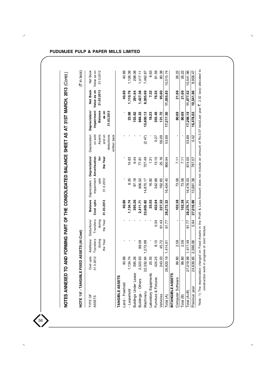| NOTE '10' - TANGIBLE FIXEI |                                    | DASSETS (At Cost)       |                          |                      |                                                         |               |                            |                             |                         | $(3\bar{5} \text{ in } 1\bar{5})$ |
|----------------------------|------------------------------------|-------------------------|--------------------------|----------------------|---------------------------------------------------------|---------------|----------------------------|-----------------------------|-------------------------|-----------------------------------|
| TYPE OF<br>ASSETS          | Cost upto<br>31.3.2012             | Additions/<br>Transfers | Transfers<br>Deductions/ | Balance<br>Cost upto | Depreciation / Depreciation/<br>Impairment Amortisation |               | Depreciation<br>on sold    | Impairment<br>Depreciation/ | Value as on<br>Net Book | Value as on<br>Net Book           |
|                            |                                    | during<br>the Year      | the Year<br>during       | 31.03.2013           | 31.3.2012<br>upto                                       | ē<br>the Year | Assets<br>and on           | <b>Balance</b><br>as on     | 31.03.2013              | 31.3.2012                         |
|                            |                                    |                         |                          |                      |                                                         |               | deductions<br>written back | 31.03.2013                  |                         |                                   |
| <b>TANGIBLE ASSETS</b>     |                                    |                         |                          |                      |                                                         |               |                            |                             |                         |                                   |
| Land - Freehold            | 89<br>$\overline{a}$               |                         |                          | 40.89                |                                                         |               |                            |                             | 40.89                   | 40.89                             |
| - Leasehold                | $\overline{7}$<br>1,134.           |                         |                          | 1,134.74             | 8.35                                                    | 15.63         |                            | 23.98                       | 1,110.76                | 1,126.39                          |
| Buildings Under Lease      | $\mathcal{S}^{\mathcal{C}}$<br>395 |                         |                          | 395.26               | 97.18                                                   | 6.44          |                            | 103.62                      | 291.64                  | 298.08                            |
| Buildings - Others         | 3<br>2,323                         | 88.08                   |                          | 2,411.71             | 906.52                                                  | 77.81         |                            | 984.33                      | 1,427.38                | 1,417.11                          |
| Machinery                  | sġ<br>22,332.                      | 1,272.98                |                          | 23,605.82            | 14,870.17                                               | 727.49        | (2.47)                     | 15,600.13                   | 8,005.69                | 7,462.67                          |
| Laboratory Equipments      | 55.<br>25                          |                         |                          | 25.55                | 16.92                                                   | 1.31          |                            | 18.23                       | 7.32                    | 8.63                              |
| Furniture & Fixtures       | ξģ<br>424                          | 8.13                    | 0.34                     | 432.04               | 342.66                                                  | 13.10         | 0.27                       | 355.49                      | 76.55                   | 81.59                             |
| Vehicles                   | 243.03                             | 45.72                   | 61.43                    | 227.32               | 162.65                                                  | 25.16         | 56.09                      | 131.72                      | 95.60                   | 80.38                             |
| Total (A)                  | 26,920.19                          | 1,414.91                | 61.77                    | 28,273.33            | 16,404.45                                               | 866.94        | 53.89                      | 17,217.50                   | 11,055.83               | 10,515.74                         |
| <b>INTANGIBLE ASSETS</b>   |                                    |                         |                          |                      |                                                         |               |                            |                             |                         |                                   |
| Computer Software          | 80<br>ஜ                            | 2.58                    | ٠                        | 102.38               | 73.58                                                   | 7.11          |                            | 80.69                       | 21.69                   | 26.22                             |
| Total (B)                  | 80<br>8                            | 2.58                    |                          | 102.38               | 73.58                                                   | 7.11          |                            | 80.69                       | 21.69                   | 26.22                             |
| Total $(A+B)$              | 99<br>27,019.                      | 1,417.49                | 61.77                    | 28,375.71            | 16,478.03                                               | 874.05        | 53.89                      | 17,298.19                   | 11,077.52               | 10,541.96                         |
| Previous year              | $\overline{85}$<br>24,639.         | 2,386.08                | 5.94                     | 27,019.99            | 15,681.38                                               | 797.07        | 0.42                       | 16,478.03                   | 10,541.96               | 8,958.47                          |

 $\bar{\mathbf{L}}$ 

у.

## **PUDUMJEE PULP & PAPER MILLS LIMITED**

56

 $\bar{\gamma}$ 

 $\mathbb{L}^1$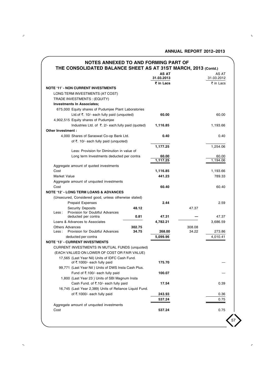| NOTES ANNEXED TO AND FORMING PART OF<br>THE CONSOLIDATED BALANCE SHEET AS AT 31ST MARCH, 2013 (Contd.) |        |                     |        |                     |
|--------------------------------------------------------------------------------------------------------|--------|---------------------|--------|---------------------|
|                                                                                                        |        | AS AT<br>31.03.2013 |        | AS AT<br>31.03.2012 |
|                                                                                                        |        | ₹ in Lacs           |        | ₹ in Lacs           |
| <b>NOTE '11' - NON CURRENT INVESTMENTS</b>                                                             |        |                     |        |                     |
| LONG TERM INVESTMENTS (AT COST)                                                                        |        |                     |        |                     |
| TRADE INVESTMENTS: (EQUITY)                                                                            |        |                     |        |                     |
| <b>Investments In Associates:</b>                                                                      |        |                     |        |                     |
| 675,000 Equity shares of Pudumjee Plant Laboratories                                                   |        |                     |        |                     |
| Ltd.of ₹. 10/- each fully paid (unquoted)                                                              |        | 60.00               |        | 60.00               |
| 4,902,515 Equity shares of Pudumjee                                                                    |        |                     |        |                     |
| Industries Ltd. of ₹. 2/- each.fully paid (quoted)                                                     |        | 1,116.85            |        | 1,193.66            |
| Other Investment:                                                                                      |        |                     |        |                     |
| 4,000 Shares of Saraswat Co-op Bank Ltd.                                                               |        | 0.40                |        | 0.40                |
| of ₹. 10/- each fully paid (unquoted)                                                                  |        |                     |        |                     |
|                                                                                                        |        | 1,177.25            |        | 1,254.06            |
| Less: Provision for Diminution in value of                                                             |        |                     |        |                     |
| Long term Investments deducted per contra                                                              |        | 60.00<br>1,117.25   |        | 60.00<br>1,194.06   |
| Aggregate amount of quoted investments                                                                 |        |                     |        |                     |
| Cost                                                                                                   |        | 1,116.85            |        | 1,193.66            |
| <b>Market Value</b>                                                                                    |        | 441.23              |        | 789.33              |
| Aggregate amount of unquoted investments                                                               |        |                     |        |                     |
| Cost                                                                                                   |        | 60.40               |        | 60.40               |
| <b>NOTE '12' - LONG TERM LOANS &amp; ADVANCES</b>                                                      |        |                     |        |                     |
| (Unsecured, Considered good, unless otherwise stated)                                                  |        |                     |        |                     |
| <b>Prepaid Expenses</b>                                                                                |        | 2.44                |        | 2.59                |
| <b>Security Deposits</b>                                                                               | 48.12  |                     | 47.37  |                     |
| Provision for Doubtful Advances<br>Less :                                                              |        |                     |        |                     |
| deducted per contra                                                                                    | 0.81   | 47.31               |        | 47.37               |
| Loans & Advances to Associates                                                                         |        | 4,782.21            |        | 3,686.59            |
| <b>Others Advances</b>                                                                                 | 302.75 |                     | 308.08 |                     |
| Provision for Doubtful Advances<br>Less :                                                              | 34.75  | 268.00              | 34.22  | 273.86              |
| deducted per contra                                                                                    |        | 5,099.96            |        | 4,010.41            |
| <b>NOTE '13' - CURRENT INVESTMENTS</b>                                                                 |        |                     |        |                     |
| CURRENT INVESTMENTS IN MUTUAL FUNDS (unquoted)                                                         |        |                     |        |                     |
| (EACH VALUED ON LOWER OF COST OR FAIR VALUE)                                                           |        |                     |        |                     |
| 17,565 (Last Year Nil) Units of IDFC Cash Fund.<br>of $\zeta$ .1000/- each fully paid                  |        | 175.70              |        |                     |
| 99,771 (Last Year Nil) Units of DWS Insta Cash Plus.                                                   |        |                     |        |                     |
| Fund of ₹.100/- each fully paid                                                                        |        | 100.07              |        |                     |
| 1,800 (Last Year 23) Units of SBI Magnum Insta                                                         |        |                     |        |                     |
| Cash Fund. of ₹.10/- each fully paid                                                                   |        | 17.54               |        | 0.39                |
| 16,745 (Last Year 2,389) Units of Reliance Liquid Fund.                                                |        |                     |        |                     |
| of ₹.1000/- each fully paid                                                                            |        | 243.93              |        | 0.36                |
|                                                                                                        |        | 537.24              |        | 0.75                |
| Aggregate amount of unquoted investments                                                               |        |                     |        |                     |
| Cost                                                                                                   |        | 537.24              |        | 0.75                |
|                                                                                                        |        |                     |        |                     |

 $\bar{\omega}$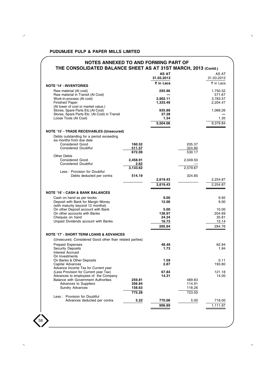$\mathbb{L}^1$ 

 $\frac{1}{2}$ 

|                                                                                    |                  | AS AT<br>31.03.2013 |          | AS AT<br>31.03.2012 |
|------------------------------------------------------------------------------------|------------------|---------------------|----------|---------------------|
|                                                                                    |                  | ₹ in Lacs           |          | ₹ in Lacs           |
| <b>NOTE '14' - INVENTORIES</b>                                                     |                  | 293.96              |          |                     |
| Raw material (At cost)<br>Raw material in Transit (At Cost)                        |                  |                     |          | 1,750.52<br>571.67  |
| Work-in-process (At cost)                                                          |                  | 2,902.11            |          | 3,783.57            |
| <b>Finished Paper</b><br>(At lower of cost or market value.)                       |                  | 1,333.49            |          | 2,204.47            |
| Stores, Spare Parts Etc.(At Cost)                                                  |                  | 935.88              |          | 1,068.26            |
| Stores, Spare Parts Etc. (At Cost) in Transit<br>Loose Tools (At Cost)             |                  | 37.28<br>1.34       |          |                     |
|                                                                                    |                  | 5,504.06            |          | 9,379.84            |
|                                                                                    |                  |                     |          |                     |
| <b>NOTE '15' - TRADE RECEIVABLES (Unsecured)</b>                                   |                  |                     |          |                     |
| Debts outstanding for a period exceeding<br>six months from due date               |                  |                     |          |                     |
| <b>Considered Good</b>                                                             | 160.52           |                     | 205.37   |                     |
| <b>Considered Doubtful</b>                                                         | 511.57<br>672.09 |                     | 324.80   |                     |
| <b>Other Debts</b>                                                                 |                  |                     | 530.17   |                     |
| <b>Considered Good</b>                                                             | 2,458.91         |                     | 2,049.50 |                     |
| <b>Considered Doubtful</b>                                                         | 2.62<br>3,133.62 |                     | 2,579.67 |                     |
| Less: Provision for Doubtful                                                       |                  |                     |          |                     |
| Debts deducted per contra                                                          | 514.19           | 2,619.43            | 324.80   | 2,254.87            |
|                                                                                    |                  | 2,619.43            |          | 2,254.87            |
|                                                                                    |                  |                     |          |                     |
| <b>NOTE '16' - CASH &amp; BANK BALANCES</b>                                        |                  |                     |          |                     |
| Cash on hand as per books<br>Deposit with Bank for Margin Money                    |                  | 9.00<br>12.00       |          |                     |
| (with maturity beyond 12 monthsl)                                                  |                  |                     |          |                     |
| On other Deposit account with Bank<br>On other accounts with Banks                 |                  | 5.00<br>138.97      |          | 10.00<br>204.89     |
| Cheques on hand                                                                    |                  | 24.24               |          | 35.81               |
| Unpaid Dividends account with Banks                                                |                  | 16.73               |          | 15.14               |
|                                                                                    |                  | 205.94              |          | 284.76              |
| <b>NOTE '17' - SHORT TERM LOANS &amp; ADVANCES</b>                                 |                  |                     |          |                     |
| (Unsecured, Considered Good other than related parties)                            |                  |                     |          |                     |
| <b>Prepaid Expenses</b>                                                            |                  | 48.49               |          | 62.94               |
| <b>Security Deposits</b><br><b>Interest Accrued</b>                                |                  | 1.73                |          |                     |
| On Investments                                                                     |                  |                     |          |                     |
| On Banks & Other Deposits<br>Capital Advances                                      |                  | 1.59<br>2.87        |          | 0.11<br>193.80      |
| Advance Income Tax for Current year                                                |                  |                     |          |                     |
| (Less Provision for Current year Tax)                                              |                  | 67.84               |          | 121.18              |
| Advances to employees of the Company<br><b>Balance with Government Authorities</b> | 259.81           | 14.31               | 489.83   | 14.00               |
| <b>Advances to Suppliers</b>                                                       | 356.84           |                     | 114.91   |                     |
| <b>Sundry Advances</b>                                                             | 158.63           |                     | 118.26   |                     |
| Less: Provision for Doubtful                                                       | 775.28           |                     | 723.00   |                     |
| Advances deducted per contra                                                       | 5.22             | 770.06              | 5.00     | 718.00              |
|                                                                                    |                  | 906.89              |          | 1,111.97            |
|                                                                                    |                  |                     |          |                     |

 $\bar{\mathbf{L}}$ 

у.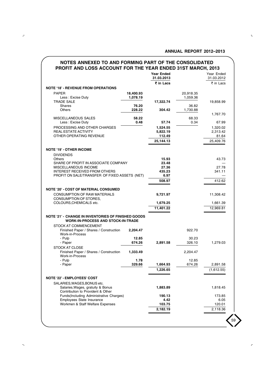| NOTES ANNEXED TO AND FORMING PART OF THE CONSOLIDATED<br>PROFIT AND LOSS ACCOUNT FOR THE YEAR ENDED 31ST MARCH, 2013             |                       |                                 |                       |                          |
|----------------------------------------------------------------------------------------------------------------------------------|-----------------------|---------------------------------|-----------------------|--------------------------|
|                                                                                                                                  |                       | <b>Year Ended</b><br>31.03.2013 |                       | Year Ended<br>31.03.2012 |
|                                                                                                                                  |                       | ₹ in Lacs                       |                       | ₹ in Lacs                |
| <b>NOTE '18' - REVENUE FROM OPERATIONS</b>                                                                                       |                       |                                 |                       |                          |
| <b>PAPER</b><br>Less: Excise Duty                                                                                                | 18,400.93<br>1,078.19 |                                 | 20,918.35<br>1,059.36 |                          |
| <b>TRADE SALE</b><br><b>Shares</b>                                                                                               | 76.20                 | 17,322.74                       | 36.82                 | 19,858.99                |
| <b>Others</b>                                                                                                                    | 228.22                | 304.42                          | 1,730.88              | 1,767.70                 |
| <b>MISCELLANEOUS SALES</b><br>Less: Excise Duty                                                                                  | 58.22<br>0.48         | 57.74                           | 68.33<br>0.34         | 67.99                    |
| PROCESSING AND OTHER CHARGES                                                                                                     |                       | 1,524.55                        |                       | 1,320.02                 |
| <b>REAL ESTATE ACTIVITY</b><br>OTHER OPERATING REVENUE                                                                           |                       | 5,822.19<br>112.49              |                       | 2,313.42<br>81.64        |
|                                                                                                                                  |                       | 25,144.13                       |                       | 25,409.76                |
|                                                                                                                                  |                       |                                 |                       |                          |
| <b>NOTE '19' - OTHER INCOME</b><br><b>DIVIDENDS</b>                                                                              |                       |                                 |                       |                          |
| <b>Others</b>                                                                                                                    |                       | 15.93                           |                       | 43.73                    |
| SHARE OF PROFIT IN ASSOCIATE COMPANY                                                                                             |                       | 23.48                           |                       |                          |
| MISCELLANEOUS INCOME<br><b>INTEREST RECEIVED FROM OTHERS</b>                                                                     |                       | 27.36<br>435.23                 |                       | 27.78<br>341.11          |
| PROFIT ON SALE/TRANSFER OF FIXED ASSETS (NET)                                                                                    |                       | 6.97                            |                       |                          |
|                                                                                                                                  |                       | 508.97                          |                       | 412.62                   |
| <b>NOTE '20' - COST OF MATERIAL CONSUMED</b><br><b>CONSUMPTION OF RAW MATERIALS</b>                                              |                       | 9,721.97                        |                       | 11,308.42                |
| CONSUMPTION OF STORES.<br>COLOURS, CHEMICALS etc.                                                                                |                       | 1,679.25                        |                       | 1,661.39                 |
|                                                                                                                                  |                       | 11,401.22                       |                       | 12,969.81                |
| <b>NOTE '21' - CHANGE IN INVENTORIES OF FINISHED GOODS</b><br><b>WORK-IN-PROCESS AND STOCK-IN-TRADE</b><br>STOCK AT COMMENCEMENT |                       |                                 |                       |                          |
| Finished Paper / Shares / Construction<br>Work-in-Process                                                                        | 2,204.47              |                                 | 922.70                |                          |
| - Pulp                                                                                                                           | 12.85<br>674.26       | 2,891.58                        | 30.23                 |                          |
| - Paper<br><b>STOCK AT CLOSE</b><br>Finished Paper / Shares / Construction                                                       | 1,333.49              |                                 | 326.10<br>2,204.47    | 1,279.03                 |
| Work-in-Process                                                                                                                  |                       |                                 |                       |                          |
| - Pulp                                                                                                                           | 1.78                  |                                 | 12.85                 |                          |
| - Paper                                                                                                                          | 329.66                | 1,664.93                        | 674.26                | 2,891.58                 |
|                                                                                                                                  |                       | 1,226.65                        |                       | (1,612.55)               |
| <b>NOTE '22' - EMPLOYEES' COST</b>                                                                                               |                       |                                 |                       |                          |
| SALARIES, WAGES, BONUS etc.<br>Salaries, Wages, gratuity & Bonus                                                                 |                       | 1,883.89                        |                       | 1,818.45                 |
| Contribution to Provident & Other<br>Funds(Including Administrative Charges)                                                     |                       | 190.13                          |                       | 173.85                   |
| Employees State Insurance                                                                                                        |                       | 4.42                            |                       | 6.05                     |
| Workmen & Staff Welfare Expenses                                                                                                 |                       | 103.75                          |                       | 120.01                   |
|                                                                                                                                  |                       | 2,182.19                        |                       | 2,118.36                 |
|                                                                                                                                  |                       |                                 |                       | 59                       |

 $\bar{\omega}$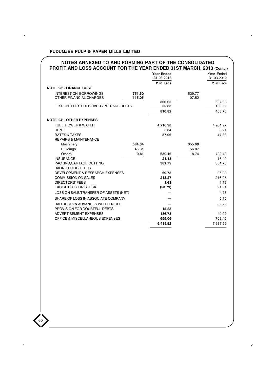| NOTES ANNEXED TO AND FORMING PART OF THE CONSOLIDATED<br>PROFIT AND LOSS ACCOUNT FOR THE YEAR ENDED 31ST MARCH, 2013 (Contd.) |        |                                 |        |                          |
|-------------------------------------------------------------------------------------------------------------------------------|--------|---------------------------------|--------|--------------------------|
|                                                                                                                               |        | <b>Year Ended</b><br>31.03.2013 |        | Year Ended<br>31.03.2012 |
|                                                                                                                               |        | ₹ in Lacs                       |        | ₹ in Lacs                |
| <b>NOTE '23' - FINANCE COST</b>                                                                                               |        |                                 |        |                          |
| <b>INTEREST ON BORROWINGS</b>                                                                                                 | 751.60 |                                 | 529.77 |                          |
| OTHER FINANCIAL CHARGES                                                                                                       | 115.05 |                                 | 107.52 |                          |
|                                                                                                                               |        | 866.65                          |        | 637.29                   |
| LESS: INTEREST RECEIVED ON TRADE DEBTS                                                                                        |        | 55.83                           |        | 168.53                   |
|                                                                                                                               |        | 810.82                          |        | 468.76                   |
| <b>NOTE '24' - OTHER EXPENSES</b>                                                                                             |        |                                 |        |                          |
| FUEL, POWER & WATER                                                                                                           |        | 4,216.98                        |        | 4,961.97                 |
| <b>RENT</b>                                                                                                                   |        | 5.84                            |        | 5.24                     |
| <b>RATES &amp; TAXES</b>                                                                                                      |        | 57.06                           |        | 47.83                    |
| <b>REPAIRS &amp; MAINTENANCE</b>                                                                                              |        |                                 |        |                          |
| Machinery                                                                                                                     | 584.04 |                                 | 655.68 |                          |
| <b>Buildings</b>                                                                                                              | 45.31  |                                 | 56.07  |                          |
| Others                                                                                                                        | 9.81   | 639.16                          | 8.74   | 720.49                   |
| <b>INSURANCE</b>                                                                                                              |        | 21.18                           |        | 16.49                    |
| PACKING, CARTAGE, CUTTING,                                                                                                    |        | 381.79                          |        | 384.76                   |
| <b>BALING, FREIGHT ETC.</b>                                                                                                   |        |                                 |        |                          |
| <b>DEVELOPMENT &amp; RESEARCH EXPENSES</b>                                                                                    |        | 69.78                           |        | 96.90                    |
| <b>COMMISSION ON SALES</b>                                                                                                    |        | 218.27                          |        | 216.95                   |
| <b>DIRECTORS' FEES</b>                                                                                                        |        | 1.63                            |        | 1.73                     |
| <b>EXCISE DUTY ON STOCK</b>                                                                                                   |        | (53.79)                         |        | 91.31                    |
| LOSS ON SALE/TRANSFER OF ASSETS (NET)                                                                                         |        |                                 |        | 4.75                     |
| SHARE OF LOSS IN ASSOCIATE COMPANY                                                                                            |        |                                 |        | 6.10                     |
| <b>BAD DEBTS &amp; ADVANCES WRITTEN OFF</b>                                                                                   |        |                                 |        | 82.79                    |
| PROVISION FOR DOUBTFUL DEBTS                                                                                                  |        | 15.23                           |        |                          |
| <b>ADVERTISEMENT EXPENSES</b>                                                                                                 |        | 186.73                          |        | 40.92                    |
| <b>OFFICE &amp; MISCELLANEOUS EXPENSES</b>                                                                                    |        | 655.06                          |        | 709.46                   |
|                                                                                                                               |        | 6.414.92                        |        | 7,387.66                 |
|                                                                                                                               |        |                                 |        |                          |

 $\bar{\mathbf{L}}$ 

у.

60

 $\bar{\gamma}$ 

 $\mathbb{L}^1$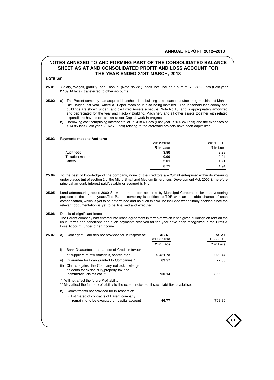61

### **NOTES ANNEXED TO AND FORMING PART OF THE CONSOLIDATED BALANCE SHEET AS AT AND CONSOLIDATED PROFIT AND LOSS ACCOUNT FOR THE YEAR ENDED 31ST MARCH, 2013**

| <b>NOTE '25'</b> |  |
|------------------|--|
|------------------|--|

- **25.01** Salary, Wages, gratuity and bonus (Note No 22) does not include a sum of ₹. 88.62 lacs (Last year ₹.109.14 lacs) transferred to other accounts.
- **25.02** a) The Parent company has acquired leasehold land,building and board manufacturing machine at Mahad Dist.Raigad last year, where a Paper machine is also being installed . The leasehold land,colony and buildings are shown under Tangible Fixed Assets schedule (Note No.10) and is appropriately amortized and depreciated for the year and Factory Building, Machinery and all other assets together with related expenditure have been shown under Capital work-in-progress.
	- b) Borrowing cost comprising interest etc. of ₹. 418.40 lacs (Last year ₹.155.24 Lacs) and the expenses of ₹.14.85 lacs (Last year ₹. 62.73 lacs) relating to the aforesaid projects have been capitalized.

#### **25.03 Payments made to Auditors:**

|                         | 2012-2013                 | 2011-2012 |
|-------------------------|---------------------------|-----------|
|                         | $\overline{\tau}$ in Lacs | ₹ in Lacs |
| Audit fees              | 3.80                      | 2.29      |
| <b>Taxation matters</b> | 0.90                      | 0.94      |
| <b>Others</b>           | 2.01                      | 1.71      |
|                         | 6.71                      | 4.94      |

- **25.04** To the best of knowledge of the company, none of the creditors are 'Small enterprise' within its meaning under clause (m) of section 2 of the Micro,Small and Medium Enterprises Development Act, 2006 & therefore principal amount, interest paid/payable or accrued is NIL.
- **25.05** Land admeasuring about 3000 Sq.Meters has been acquired by Municipal Corporation for road widening purpose in the earlier years.The Parent company is entitled to TDR with an out side chance of cash compensation, which is yet to be determined and as such this will be included when finally decided since the relevant documentation is yet to be finalised and executed.

#### **25.06** Details of significant lease

The Parent company has entered into lease agreement in terms of which it has given buildings on rent on the usual terms and conditions and such payments received for the year have been recognized in the Profit & Loss Account under other income.

| 25.07 | a)   | Contingent Liabilities not provided for in respect of:                                                                                          | <b>AS AT</b><br>31.03.2013 | AS AT<br>31.03.2012 |
|-------|------|-------------------------------------------------------------------------------------------------------------------------------------------------|----------------------------|---------------------|
|       |      |                                                                                                                                                 | ₹ in Lacs                  | ₹ in Lacs           |
|       | i)   | Bank Guarantees and Letters of Credit in favour                                                                                                 |                            |                     |
|       |      | of suppliers of raw materials, spares etc.*                                                                                                     | 2.481.73                   | 2.020.44            |
|       | ii)  | Guarantee for Loan granted to Companies *                                                                                                       | 69.57                      | 77.55               |
|       | iii) | Claims against the Company not acknowledged<br>as debts for excise duty, property tax and<br>commercial claims etc. **                          | 750.14                     | 866.92              |
|       |      | * Will not affect the future Profitability.<br>** May affect the future profitability to the extent indicated, if such liabilities crystallise. |                            |                     |
|       | b)   | Commitments not provided for in respect of:                                                                                                     |                            |                     |
|       |      | i) Estimated of contracts of Parent company<br>remaining to be executed on capital account                                                      | 46.77                      | 768.86              |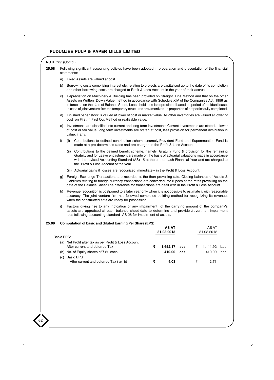### **NOTE '25'** (Contd.)

 $\bar{\omega}$ 

 $62$ 

 $\bar{\gamma}$ 

| 25.08 |            | Following significant accounting policies have been adopted in preparation and presentation of the financial<br>statements:                                                                                                                                                                                                                                                                                                                   |
|-------|------------|-----------------------------------------------------------------------------------------------------------------------------------------------------------------------------------------------------------------------------------------------------------------------------------------------------------------------------------------------------------------------------------------------------------------------------------------------|
|       |            | a) Fixed Assets are valued at cost.                                                                                                                                                                                                                                                                                                                                                                                                           |
|       | b)         | Borrowing costs comprising interest etc. relating to projects are capitalised up to the date of its completion<br>and other borrowing costs are charged to Profit & Loss Account in the year of their accrual.                                                                                                                                                                                                                                |
|       | C)         | Depreciation on Machinery & Building has been provided on Straight Line Method and that on the other<br>Assets on Written Down Value method in accordance with Schedule XIV of the Companies Act, 1956 as<br>in force as on the date of Balance Sheet. Lease hold land is depreciated based on period of residual lease.<br>In case of joint venture firm the temporary structures are amortized in proportion of properties fully completed. |
|       | d)         | Finished paper stock is valued at lower of cost or market value. All other inventories are valued at lower of<br>cost on First In First Out Method or realisable value.                                                                                                                                                                                                                                                                       |
|       | e)         | Investments are classified into current and long term investments. Current investments are stated at lower<br>of cost or fair value. Long term investments are stated at cost, less provision for permanent diminution in<br>value, if any.                                                                                                                                                                                                   |
|       | f)         | Contributions to defined contribution schemes, namely, Provident Fund and Supernnuation Fund is<br>(i)<br>made at a pre-determined rates and are charged to the Profit & Loss Account.                                                                                                                                                                                                                                                        |
|       |            | (ii) Contributions to the defined benefit scheme, namely, Gratuity Fund & provision for the remaining<br>Gratuity and for Leave encashment are made on the basis of actuarial valuations made in accordance<br>with the revised Accounting Standard (AS) 15 at the end of each Financial Year and are charged to<br>the Profit & Loss Account of the year                                                                                     |
|       |            | (iii) Actuarial gains & losses are recognized immediately in the Profit & Loss Account.                                                                                                                                                                                                                                                                                                                                                       |
|       | g)         | Foreign Exchange Transactions are recorded at the then prevailing rate. Closing balances of Assets &<br>Liabilities relating to foreign currency transactions are converted into rupees at the rates prevailing on the<br>date of the Balance Sheet. The difference for transactions are dealt with in the Profit & Loss Account.                                                                                                             |
|       | h)         | Revenue recognition is postponed to a later year only when it is not possible to estimate it with reasonable<br>accuracy. The joint venture firm has followed completed building method for recognizing its revenue,<br>when the constructed flats are ready for possession.                                                                                                                                                                  |
|       | i)         | Factors giving rise to any indication of any impairment of the carrying amount of the company's<br>assets are appraised at each balance sheet date to determine and provide /revert an impairment<br>loss following accounting standard AS 28 for impairment of assets.                                                                                                                                                                       |
| 25.09 |            | <b>Computation of basic and diluted Earning Per Share (EPS)</b><br>AS AT                                                                                                                                                                                                                                                                                                                                                                      |
|       |            | <b>AS AT</b><br>31.03.2013<br>31.03.2012                                                                                                                                                                                                                                                                                                                                                                                                      |
|       | Basic EPS: |                                                                                                                                                                                                                                                                                                                                                                                                                                               |
|       |            | (a) Net Profit after tax as per Profit & Loss Account :<br>After current and deferred Tax<br>₹<br>1,652.17 lacs<br>₹<br>1,111.92 lacs                                                                                                                                                                                                                                                                                                         |
|       |            | (b) No. of Equity shares of $\overline{5}$ 2/- each :<br>410.00 lacs<br>410.00 lacs                                                                                                                                                                                                                                                                                                                                                           |
|       |            | (c) Basic EPS<br>2.71<br>After current and deferred Tax (a/b)<br>₹<br>4.03<br>₹                                                                                                                                                                                                                                                                                                                                                               |
|       |            |                                                                                                                                                                                                                                                                                                                                                                                                                                               |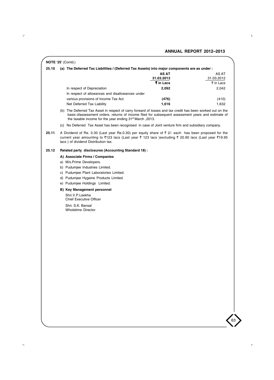$\bar{L}$ 

**NOTE '25'** (Contd.)

 $\mathbb{E}^1$ 

| 25.10 | (a) The Deferred Tax Liabilities / (Deferred Tax Assets) into major components are as under : |            |            |
|-------|-----------------------------------------------------------------------------------------------|------------|------------|
|       |                                                                                               | AS AT      | AS AT      |
|       |                                                                                               | 31.03.2013 | 31.03.2012 |
|       |                                                                                               | ₹ in Lacs  | ₹ in Lacs  |
|       | In respect of Depreciation                                                                    | 2.092      | 2,042      |
|       | In respect of allowances and disallowances under                                              |            |            |
|       | various provisions of Income Tax Act.                                                         | (476)      | (410)      |
|       | Net Deferred Tax Liability                                                                    | 1.616      | 1.632      |

(b) The Deferred Tax Asset in respect of carry forward of losses and tax credit has been worked out on the basis ofassessment orders, returns of income filed for subsequent assessment years and estimate of the taxable income for the year ending 31<sup>st</sup> March , 2013.

(c) No Deferred Tax Asset has been recognised in case of Joint venture firm and subsidiary company.

**25.11** A Dividend of Re. 0.30 (Last year Re.0.30) per equity share of  $\bar{\tau}$  2/- each has been proposed for the current year amounting to ₹123 lacs (Last year ₹ 123 lacs )excluding ₹ 20.90 lacs (Last year ₹19.95 lacs ) of dividend Distribution tax.

### **25.12 Related party disclosures (Accounting Standard 18) :**

- **A) Associate Firms / Companies**
- a) M/s.Prime Developers.
- b) Pudumjee Industries Limited.
- c) Pudumjee Plant Laboratories Limited.
- d) Pudumjee Hygeine Products Limited.
- e) Pudumjee Holdings Limited.
- **B) Key Management personnel** Shri.V.P.Leekha

Chief Executive Officer

Shri. S.K. Bansal Wholetime Director

63

r.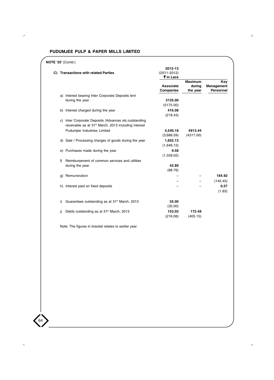|    | C) Transactions with related Parties                                                                                      | 2012-13<br>$(2011 - 2012)$<br>₹ in Lacs |                                      |                                       |
|----|---------------------------------------------------------------------------------------------------------------------------|-----------------------------------------|--------------------------------------|---------------------------------------|
|    |                                                                                                                           | Associate<br>Companies                  | <b>Maximum</b><br>during<br>the year | Key<br>Management<br><b>Personnel</b> |
|    | a) Interest bearing Inter Corporate Deposits lent<br>during the year                                                      | 3135.00<br>(5175.00)                    |                                      |                                       |
|    | b) Interest charged during the year                                                                                       | 416.08<br>(218.43)                      |                                      |                                       |
|    | c) Inter Corporate Deposits /Advances etc.outstanding<br>receivable as at 31 <sup>st</sup> March, 2013 including interest |                                         |                                      |                                       |
|    | Pudumjee Industries Limited                                                                                               | 4,540.18<br>(3,686.59)                  | 4913.44<br>(4317.00)                 |                                       |
|    | d) Sale / Processing charges of goods during the year                                                                     | 1,652.13<br>(1,646.12)                  |                                      |                                       |
|    | e) Purchases made during the year                                                                                         | 9.58<br>(1,559.02)                      |                                      |                                       |
| f) | Reimbursement of common services and utilities<br>during the year.                                                        | 42.89<br>(88.76)                        |                                      |                                       |
|    | g) Remuneration                                                                                                           | $\overline{\phantom{0}}$                |                                      | 184.92<br>(145.45)                    |
|    | h) Interest paid on fixed deposits                                                                                        |                                         |                                      | 0.57<br>(1.83)                        |
| i) | Guarantees outstanding as at 31 <sup>st</sup> March, 2013                                                                 | 35.00<br>(35.00)                        |                                      |                                       |
| i) | Debts outstanding as at 31 <sup>st</sup> March, 2013                                                                      | 153.03<br>(216.08)                      | 172.48<br>(405.15)                   |                                       |
|    | Note: The figures in bracket relates to earlier year.                                                                     |                                         |                                      |                                       |

 $\bar{\mathbf{L}}$ 

ř.



 $\bar{\gamma}$ 

 $\mathbb{L}^1$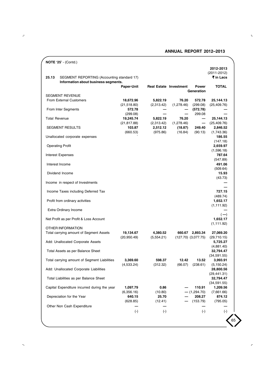|                                                              |                       |                               |            |                            | 2012-2013                    |
|--------------------------------------------------------------|-----------------------|-------------------------------|------------|----------------------------|------------------------------|
| 25.13<br>SEGMENT REPORTING (Accounting standard 17)          |                       |                               |            |                            | $(2011 - 2012)$<br>₹ in Lacs |
| Information about business segments.                         |                       |                               |            |                            |                              |
|                                                              | Paper-Unit            | <b>Real Estate Investment</b> |            | <b>Power</b><br>Generation | <b>TOTAL</b>                 |
| <b>SEGMENT REVENUE</b>                                       |                       |                               |            |                            |                              |
| <b>From External Customers</b>                               | 18,672.96             | 5,822.19                      | 76.20      | 572.78                     | 25,144.13                    |
| From Inter Segments                                          | (21,518.80)<br>572.78 | (2,313.42)                    | (1,278.46) | (299.08)<br>(572.78)       | (25, 409.76)                 |
|                                                              | (299.08)              |                               |            | 299.08                     |                              |
| <b>Total Revenue</b>                                         | 19,245.74             | 5,822.19                      | 76.20      | —                          | 25,144.13                    |
|                                                              | (21, 817.88)          | (2,313.42)                    | (1,278.46) | —                          | (25, 409.76)                 |
| <b>SEGMENT RESULTS</b>                                       | 103.87                | 2,512.12                      | (18.87)    | 249.40                     | 2,846.52                     |
|                                                              | (660.53)              | (975.86)                      | (16.84)    | (90.13)                    | (1,743.36)                   |
| Unallocated corporate expenses                               |                       |                               |            |                            | 186.55                       |
|                                                              |                       |                               |            |                            | (147.18)                     |
| <b>Operating Profit</b>                                      |                       |                               |            |                            | 2,659.97                     |
| <b>Interest Expenses</b>                                     |                       |                               |            |                            | (1,596.18)<br>787.64         |
|                                                              |                       |                               |            |                            | (547.89)                     |
| Interest Income                                              |                       |                               |            |                            | 491.06                       |
|                                                              |                       |                               |            |                            | (509.64)                     |
| Dividend Income                                              |                       |                               |            |                            | 15.93                        |
|                                                              |                       |                               |            |                            | (43.73)                      |
| Income in respect of Investments                             |                       |                               |            |                            |                              |
| Income Taxes including Deferred Tax                          |                       |                               |            |                            | 727.15                       |
|                                                              |                       |                               |            |                            | (489.74)                     |
| Profit from ordinary activities                              |                       |                               |            |                            | 1,652.17                     |
|                                                              |                       |                               |            |                            | (1, 111.92)                  |
| Extra Ordinary Income                                        |                       |                               |            |                            |                              |
|                                                              |                       |                               |            |                            | $(-)$                        |
| Net Profit as per Profit & Loss Account                      |                       |                               |            |                            | 1,652.17                     |
|                                                              |                       |                               |            |                            | (1, 111.92)                  |
| OTHER INFORMATION<br>Total carrying amount of Segment Assets | 19,134.67             | 4,380.52                      | 660.67     | 2,893.34                   | 27,069.20                    |
|                                                              | (20,950.49)           | (5,554.21)                    |            | $(127.70)$ $(3,077.75)$    | (29,710.15)                  |
| Add: Unallocated Corporate Assets                            |                       |                               |            |                            | 5,725.27                     |
|                                                              |                       |                               |            |                            | (4,881.40)                   |
| Total Assets as per Balance Sheet                            |                       |                               |            |                            | 32,794.47                    |
|                                                              |                       |                               |            |                            | (34, 591.55)                 |
| Total carrying amount of Segment Liabilities                 | 3,369.60              | 598.37                        | 12.42      | 13.52                      | 3,993.91                     |
|                                                              | (4,533.24)            | (312.32)                      | (66.07)    | (238.61)                   | (5, 150.24)                  |
| Add: Unallocated Corporate Liabilities                       |                       |                               |            |                            | 28,800.56                    |
| Total Liabilities as per Balance Sheet                       |                       |                               |            |                            | (29, 441.31)<br>32,794.47    |
|                                                              |                       |                               |            |                            | (34,591.55)                  |
| Capital Expenditure incurred during the year                 | 1,097.79              | 0.86                          |            | 110.91                     | 1,209.56                     |
|                                                              | (6,356.16)            | (10.80)                       |            | $- (1,294.70)$             | (7,661.66)                   |
| Depreciation for the Year                                    | 640.15                | 25.70                         |            | 208.27                     | 874.12                       |
|                                                              | (628.85)              | (12.41)                       |            | (153.79)                   | (795.05)                     |
| Other Non Cash Expenditure                                   |                       |                               |            |                            |                              |
|                                                              | $(\cdot)$             | $(\cdot)$                     |            | $(\cdot)$                  | $(\cdot)$                    |

 $\bar{\omega}$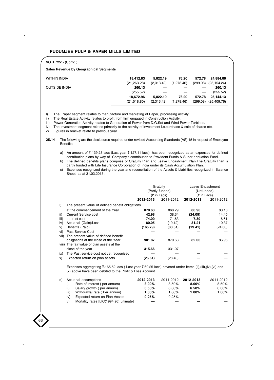| <b>NOTE '25' - (Contd.)</b>            |              |            |            |          |              |
|----------------------------------------|--------------|------------|------------|----------|--------------|
| Sales Revenue by Geographical Segments |              |            |            |          |              |
| <b>WITHIN INDIA</b>                    | 18,412.83    | 5,822.19   | 76.20      | 572.78   | 24,884.00    |
|                                        | (21, 263.28) | (2,313.42) | (1,278.46) | (299.08) | (25, 154.24) |
| <b>OUTSIDE INDIA</b>                   | 260.13       |            |            |          | 260.13       |
|                                        | (255.52)     |            |            |          | (255.52)     |
|                                        | 18,672.96    | 5,822.19   | 76.20      | 572.78   | 25,144.13    |
|                                        | (21,518.80)  | (2,313.42) | (1,278.46) | (299.08) | (25, 409.76) |
|                                        |              |            |            |          |              |

I) The Paper segment relates to manufacture and marketing of Paper, processing activity.

ii) The Real Estate Activity relates to profit from firm engaged in Construction Activity.

iii) Power Generation Activity relates to Generation of Power from D.G.Set and Wind Power Turbines.

iv) The Investment segment relates primarily to the activity of investment i.e.purchase & sale of shares etc.

v) Figures in bracket relate to previous year.

**25.14** The following are the disclosures required under revised Accounting Standards (AS) 15 in respect of Employee Benefits :

- a) An amount of  $\bar{\tau}$  139.23 lacs (Last year  $\bar{\tau}$  127.11 lacs) has been recognized as an expenses for defined contribution plans by way of Company's contribution to Provident Funds & Super annuation Fund.
- b) The defined benefits plans comprise of Gratuity Plan and Leave Encashment Plan.The Gratuity Plan is partly funded with Life Insurance Corporation of India under its Cash Accumulation Plan.

c) Expenses recognized during the year and reconciliation of the Assets & Liabilities recognized in Balance Sheet as at 31.03.2013 :

|         |                                                                                                                                                                       |           | Gratuity<br>(Partly funded)<br>(₹ in Lacs) | Leave Encashment<br>(Unfunded)<br>$(5 \in \text{Ln}$ Lacs) |           |
|---------|-----------------------------------------------------------------------------------------------------------------------------------------------------------------------|-----------|--------------------------------------------|------------------------------------------------------------|-----------|
|         |                                                                                                                                                                       | 2012-2013 | 2011-2012                                  | 2012-2013                                                  | 2011-2012 |
| $\vert$ | The present value of defined benefit obligations                                                                                                                      |           |                                            |                                                            |           |
|         | at the commencement of the Year                                                                                                                                       | 870.63    | 868.29                                     | 86.96                                                      | 80.16     |
| ii)     | <b>Current Service cost</b>                                                                                                                                           | 42.98     | 38.34                                      | (24.09)                                                    | 14.45     |
| iii)    | Interest cost                                                                                                                                                         | 74.00     | 71.63                                      | 7.39                                                       | 6.61      |
| iv)     | Actuarial (Gain)/Loss                                                                                                                                                 | 80.05     | (19.12)                                    | 31.21                                                      | 10.37     |
| V)      | Benefits (Paid)                                                                                                                                                       | (165.79)  | (88.51)                                    | (19.41)                                                    | (24.63)   |
| vi)     | Past Service Cost                                                                                                                                                     |           |                                            |                                                            |           |
| vii)    | The present value of defined benefit                                                                                                                                  |           |                                            |                                                            |           |
|         | obligations at the close of the Year                                                                                                                                  | 901.87    | 870.63                                     | 82.06                                                      | 86.96     |
|         | viii) The fair value of plan assets at the                                                                                                                            |           |                                            |                                                            |           |
|         | close of the year                                                                                                                                                     | 315.66    | 331.07                                     |                                                            |           |
| ix)     | The Past service cost not yet recognized                                                                                                                              |           |                                            |                                                            |           |
| X)      | Expected return on plan assets                                                                                                                                        | (26.61)   | (28.40)                                    |                                                            |           |
|         | Expenses aggregating ₹.165.52 lacs (Last year ₹.69.25 lacs) covered under items (ii),(iii),(iv),(vi) and<br>(x) above have been debited to the Profit & Loss Account. |           |                                            |                                                            |           |
| d)      | Actuarial assumptions                                                                                                                                                 | 2012-2013 | 2011-2012                                  | 2012-2013                                                  | 2011-2012 |
|         | Rate of interest (per annum)<br>D.                                                                                                                                    | 8.00%     | 8.50%                                      | $8.00\%$                                                   | 8.50%     |
|         | ii)<br>Salary growth (per annum)                                                                                                                                      | 6.50%     | 6.00%                                      | 6.50%                                                      | 6.00%     |

iii) Withdrawal rate ( Per annum) **1.00%** 1.00% **1.00%** 1.00% iv) Expected return on Plan Assets **9.25%** 9.25%

ii) Salary growth ( per annum) **6.50%** 6.00% **6.50%** 6.00%

v) Mortality rates [LIC(1994.96) ultimate]



L.

 $\bar{L}$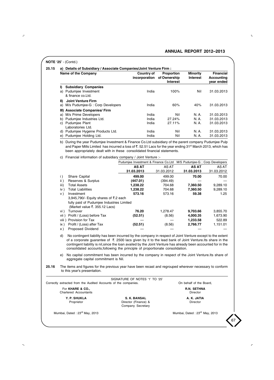í.

67

### **NOTE '25'** - (Contd.)

 $\overline{a}$ 

|     | Name of the Company                      | Country of | Proportion<br>incorporation of Ownership<br>Interest | <b>Minority</b><br>Interest | <b>Financial</b><br>Accounting<br>year ended |
|-----|------------------------------------------|------------|------------------------------------------------------|-----------------------------|----------------------------------------------|
|     | <b>Subsidiary Companies</b>              |            |                                                      |                             |                                              |
| a)  | Pudumjee Investment<br>& finance co.Ltd. | India      | 100%                                                 | Nil                         | 31.03.2013                                   |
| II) | Joint Venture Firm                       |            |                                                      |                             |                                              |
| a)  | M/s Pudumiee-G: Corp Developers          | India      | 60%                                                  | 40%                         | 31.03.2013                                   |
|     | III) Associate Companies/ Firm           |            |                                                      |                             |                                              |
| a)  | M/s Prime Developers                     | India      | Nil                                                  | N.A.                        | 31.03.2013                                   |
| b)  | Pudumjee Industries Ltd.                 | India      | 27.24%                                               | N. A.                       | 31.03.2013                                   |
| C)  | Pudumjee Plant<br>Laboratories Ltd.      | India      | 27.11%                                               | N.A.                        | 31.03.2013                                   |
| d)  | Pudumjee Hygeine Products Ltd.           | India      | Nil                                                  | N. A.                       | 31.03.2013                                   |
| e)  | Pudumiee Holding Ltd.                    | India      | Nil                                                  | N. A.                       | 31.03.2013                                   |

b) During the year Pudumjee Investment & Finance Co.Ltd subsidiary of the parent company Pudumjee Pulp and Paper Mills Limited has incurred a loss of ₹. 52.51 Lacs for the year ending 31<sup>st</sup> March 2013, which has been appropriately dealt with in these consolidated financial statements.

c) Financial information of subsidiary company / Joint Venture :-

|       |                                           | Pudumiee Investment & Finance Co.Ltd |            | M/S Pudumiee-G: Corp Developers |            |
|-------|-------------------------------------------|--------------------------------------|------------|---------------------------------|------------|
|       |                                           | <b>AS AT</b>                         | AS AT      | <b>AS AT</b>                    | AS AT      |
|       |                                           | 31.03.2013                           | 31.03.2012 | 31.03.2013                      | 31.03.2012 |
| i)    | Share Capital                             | 499.00                               | 499.00     | 70.00                           | 70.00      |
| ii)   | Reserves & Surplus                        | (447.01)                             | (394.49)   |                                 |            |
| iii)  | <b>Total Assets</b>                       | 1.238.22                             | 704.68     | 7.360.50                        | 9,289.10   |
| iv)   | <b>Total Liabilities</b>                  | 1.238.22                             | 704.68     | 7,360.50                        | 9,289.10   |
| v)    | Investment                                | 573.16                               | 573.16     | 59.38                           | 1.25       |
|       | 3,945,790/- Equity shares of ₹.2 each     |                                      |            |                                 |            |
|       | fully paid of Pudumiee Industries Limited |                                      |            |                                 |            |
|       | (Market value ₹. 355.12 Lacs)             |                                      |            |                                 |            |
| vi)   | Turnover                                  | 76.20                                | 1,278.47   | 9,703.66                        | 3,855.70   |
| vii ) | Profit / (Loss) before Tax                | (52.51)                              | (8.56)     | 4,000.35                        | 1,673.90   |
|       | viii) Provision for Tax                   |                                      |            | 1.233.58                        | 522.89     |
| ix )  | Profit / (Loss) after Tax                 | (52.51)                              | (8.56)     | 2,766.77                        | 1,151.01   |
| x)    | <b>Proposed Dividend</b>                  |                                      |            |                                 |            |
|       |                                           |                                      |            |                                 |            |

d) No contingent liability has been incurred by the company in respect of Joint Venture except to the extent of a corporate guarantee of `. 2500 lacs given by it to the lead bank of Joint Venture.Its share in the contingent liability is nil,since the loan availed by the Joint Venture has already been accounted for in the consolidated accounts,following the principle of proportionate consolidation.

e) No capital commitment has been incurred by the company in respect of the Joint Venture.Its share of aggregate capital commitment is Nil.

**25.16** The items and figures for the previous year have been recast and regrouped wherever necessary to conform to this year's presentation.

|                                                                 | SIGNATURE OF NOTES '1' TO '25' |                               |
|-----------------------------------------------------------------|--------------------------------|-------------------------------|
| Correctly extracted from the Audited Accounts of the companies. |                                | On behalf of the Board.       |
| For KHARE & CO.,                                                |                                | R.N. SETHNA                   |
| Chartered Accountants                                           |                                | Director                      |
| <b>Y. P. SHUKLA</b>                                             | S. K. BANSAL                   | A. K. JATIA                   |
| Proprietor                                                      | Director (Finance) &           | Director                      |
|                                                                 | Company Secretary              |                               |
| Mumbai, Dated: 23rd May, 2013                                   |                                | Mumbai, Dated: 23rd May, 2013 |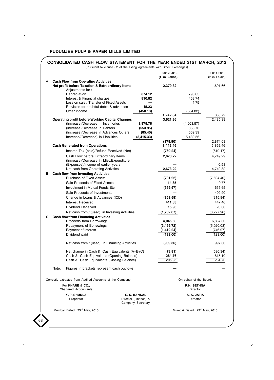$\mathbb{L}^1$ 

 $\bar{\gamma}$ 

| <b>Cash Flow from Operating Activities</b><br>Net profit before Taxation & Extraordinary Items<br>Adjustments for:<br>Depreciation<br>Interest & Financial charges<br>Loss on sale / Transfer of Fixed Assets<br>Provision for doubtful debts & advances<br>Other income<br><b>Operating profit before Working Capital Changes</b><br>(Increase)/Decrease in Inventories<br>(Increase)/Decrease in Debtors | 874.12<br>810.82<br>15.23<br>(458.13)<br>3,875.78                                                                                                                                                                                                                                                                                                                                                                                                                                                                                                                         | (₹ in Lakhs)<br>2,379.32<br>1,242.04<br>3.621.36                                                                                                                                                                                                                                            | 795.05<br>468.74<br>4.75<br>(384.82)                                                                                                                                | (₹ in Lakhs)<br>1,601.66 |
|------------------------------------------------------------------------------------------------------------------------------------------------------------------------------------------------------------------------------------------------------------------------------------------------------------------------------------------------------------------------------------------------------------|---------------------------------------------------------------------------------------------------------------------------------------------------------------------------------------------------------------------------------------------------------------------------------------------------------------------------------------------------------------------------------------------------------------------------------------------------------------------------------------------------------------------------------------------------------------------------|---------------------------------------------------------------------------------------------------------------------------------------------------------------------------------------------------------------------------------------------------------------------------------------------|---------------------------------------------------------------------------------------------------------------------------------------------------------------------|--------------------------|
|                                                                                                                                                                                                                                                                                                                                                                                                            |                                                                                                                                                                                                                                                                                                                                                                                                                                                                                                                                                                           |                                                                                                                                                                                                                                                                                             |                                                                                                                                                                     |                          |
|                                                                                                                                                                                                                                                                                                                                                                                                            |                                                                                                                                                                                                                                                                                                                                                                                                                                                                                                                                                                           |                                                                                                                                                                                                                                                                                             |                                                                                                                                                                     |                          |
|                                                                                                                                                                                                                                                                                                                                                                                                            |                                                                                                                                                                                                                                                                                                                                                                                                                                                                                                                                                                           |                                                                                                                                                                                                                                                                                             |                                                                                                                                                                     |                          |
|                                                                                                                                                                                                                                                                                                                                                                                                            |                                                                                                                                                                                                                                                                                                                                                                                                                                                                                                                                                                           |                                                                                                                                                                                                                                                                                             |                                                                                                                                                                     |                          |
|                                                                                                                                                                                                                                                                                                                                                                                                            |                                                                                                                                                                                                                                                                                                                                                                                                                                                                                                                                                                           |                                                                                                                                                                                                                                                                                             |                                                                                                                                                                     |                          |
|                                                                                                                                                                                                                                                                                                                                                                                                            |                                                                                                                                                                                                                                                                                                                                                                                                                                                                                                                                                                           |                                                                                                                                                                                                                                                                                             |                                                                                                                                                                     |                          |
|                                                                                                                                                                                                                                                                                                                                                                                                            |                                                                                                                                                                                                                                                                                                                                                                                                                                                                                                                                                                           |                                                                                                                                                                                                                                                                                             |                                                                                                                                                                     |                          |
|                                                                                                                                                                                                                                                                                                                                                                                                            |                                                                                                                                                                                                                                                                                                                                                                                                                                                                                                                                                                           |                                                                                                                                                                                                                                                                                             |                                                                                                                                                                     | 883.72                   |
|                                                                                                                                                                                                                                                                                                                                                                                                            |                                                                                                                                                                                                                                                                                                                                                                                                                                                                                                                                                                           |                                                                                                                                                                                                                                                                                             |                                                                                                                                                                     | 2,485.38                 |
|                                                                                                                                                                                                                                                                                                                                                                                                            | (553.95)                                                                                                                                                                                                                                                                                                                                                                                                                                                                                                                                                                  |                                                                                                                                                                                                                                                                                             | (4,003.57)<br>868.70                                                                                                                                                |                          |
| (Increase)/Decrease in Advances Others                                                                                                                                                                                                                                                                                                                                                                     | (85.40)                                                                                                                                                                                                                                                                                                                                                                                                                                                                                                                                                                   |                                                                                                                                                                                                                                                                                             | 569.39                                                                                                                                                              |                          |
| Increase/(Decrease) in Liabilities                                                                                                                                                                                                                                                                                                                                                                         | (3, 415.33)                                                                                                                                                                                                                                                                                                                                                                                                                                                                                                                                                               |                                                                                                                                                                                                                                                                                             | 5,439.56                                                                                                                                                            |                          |
|                                                                                                                                                                                                                                                                                                                                                                                                            |                                                                                                                                                                                                                                                                                                                                                                                                                                                                                                                                                                           | (178.90)                                                                                                                                                                                                                                                                                    |                                                                                                                                                                     | 2,874.08                 |
| <b>Cash Generated from Operations</b>                                                                                                                                                                                                                                                                                                                                                                      |                                                                                                                                                                                                                                                                                                                                                                                                                                                                                                                                                                           | 3,442.46                                                                                                                                                                                                                                                                                    |                                                                                                                                                                     | 5,359.46                 |
|                                                                                                                                                                                                                                                                                                                                                                                                            |                                                                                                                                                                                                                                                                                                                                                                                                                                                                                                                                                                           |                                                                                                                                                                                                                                                                                             |                                                                                                                                                                     | (610.17)                 |
|                                                                                                                                                                                                                                                                                                                                                                                                            |                                                                                                                                                                                                                                                                                                                                                                                                                                                                                                                                                                           |                                                                                                                                                                                                                                                                                             |                                                                                                                                                                     |                          |
|                                                                                                                                                                                                                                                                                                                                                                                                            |                                                                                                                                                                                                                                                                                                                                                                                                                                                                                                                                                                           |                                                                                                                                                                                                                                                                                             |                                                                                                                                                                     | 4,749.29                 |
|                                                                                                                                                                                                                                                                                                                                                                                                            |                                                                                                                                                                                                                                                                                                                                                                                                                                                                                                                                                                           |                                                                                                                                                                                                                                                                                             |                                                                                                                                                                     | 0.53                     |
|                                                                                                                                                                                                                                                                                                                                                                                                            |                                                                                                                                                                                                                                                                                                                                                                                                                                                                                                                                                                           |                                                                                                                                                                                                                                                                                             |                                                                                                                                                                     | 4,749.82                 |
|                                                                                                                                                                                                                                                                                                                                                                                                            |                                                                                                                                                                                                                                                                                                                                                                                                                                                                                                                                                                           |                                                                                                                                                                                                                                                                                             |                                                                                                                                                                     |                          |
|                                                                                                                                                                                                                                                                                                                                                                                                            |                                                                                                                                                                                                                                                                                                                                                                                                                                                                                                                                                                           |                                                                                                                                                                                                                                                                                             |                                                                                                                                                                     | (7,504.40)               |
|                                                                                                                                                                                                                                                                                                                                                                                                            |                                                                                                                                                                                                                                                                                                                                                                                                                                                                                                                                                                           |                                                                                                                                                                                                                                                                                             |                                                                                                                                                                     | 0.77                     |
|                                                                                                                                                                                                                                                                                                                                                                                                            |                                                                                                                                                                                                                                                                                                                                                                                                                                                                                                                                                                           |                                                                                                                                                                                                                                                                                             |                                                                                                                                                                     | 655.65                   |
|                                                                                                                                                                                                                                                                                                                                                                                                            |                                                                                                                                                                                                                                                                                                                                                                                                                                                                                                                                                                           |                                                                                                                                                                                                                                                                                             |                                                                                                                                                                     |                          |
|                                                                                                                                                                                                                                                                                                                                                                                                            |                                                                                                                                                                                                                                                                                                                                                                                                                                                                                                                                                                           |                                                                                                                                                                                                                                                                                             |                                                                                                                                                                     | 409.90                   |
|                                                                                                                                                                                                                                                                                                                                                                                                            |                                                                                                                                                                                                                                                                                                                                                                                                                                                                                                                                                                           |                                                                                                                                                                                                                                                                                             |                                                                                                                                                                     | (315.94)                 |
|                                                                                                                                                                                                                                                                                                                                                                                                            |                                                                                                                                                                                                                                                                                                                                                                                                                                                                                                                                                                           |                                                                                                                                                                                                                                                                                             |                                                                                                                                                                     | 447.46                   |
|                                                                                                                                                                                                                                                                                                                                                                                                            |                                                                                                                                                                                                                                                                                                                                                                                                                                                                                                                                                                           |                                                                                                                                                                                                                                                                                             |                                                                                                                                                                     | 28.60                    |
|                                                                                                                                                                                                                                                                                                                                                                                                            |                                                                                                                                                                                                                                                                                                                                                                                                                                                                                                                                                                           |                                                                                                                                                                                                                                                                                             |                                                                                                                                                                     | (6,277.96)               |
| <b>Cash flow from Financing Activities</b>                                                                                                                                                                                                                                                                                                                                                                 |                                                                                                                                                                                                                                                                                                                                                                                                                                                                                                                                                                           |                                                                                                                                                                                                                                                                                             |                                                                                                                                                                     |                          |
|                                                                                                                                                                                                                                                                                                                                                                                                            |                                                                                                                                                                                                                                                                                                                                                                                                                                                                                                                                                                           |                                                                                                                                                                                                                                                                                             |                                                                                                                                                                     | 6,887.80                 |
|                                                                                                                                                                                                                                                                                                                                                                                                            |                                                                                                                                                                                                                                                                                                                                                                                                                                                                                                                                                                           |                                                                                                                                                                                                                                                                                             |                                                                                                                                                                     | (5,020.03)               |
|                                                                                                                                                                                                                                                                                                                                                                                                            |                                                                                                                                                                                                                                                                                                                                                                                                                                                                                                                                                                           |                                                                                                                                                                                                                                                                                             |                                                                                                                                                                     | (746.97)                 |
|                                                                                                                                                                                                                                                                                                                                                                                                            |                                                                                                                                                                                                                                                                                                                                                                                                                                                                                                                                                                           |                                                                                                                                                                                                                                                                                             |                                                                                                                                                                     | (123.00)                 |
|                                                                                                                                                                                                                                                                                                                                                                                                            |                                                                                                                                                                                                                                                                                                                                                                                                                                                                                                                                                                           | (989.36)                                                                                                                                                                                                                                                                                    |                                                                                                                                                                     | 997.80                   |
|                                                                                                                                                                                                                                                                                                                                                                                                            |                                                                                                                                                                                                                                                                                                                                                                                                                                                                                                                                                                           | (78.81)                                                                                                                                                                                                                                                                                     |                                                                                                                                                                     | (530.34)                 |
|                                                                                                                                                                                                                                                                                                                                                                                                            |                                                                                                                                                                                                                                                                                                                                                                                                                                                                                                                                                                           | 284.76                                                                                                                                                                                                                                                                                      |                                                                                                                                                                     | 815.10                   |
|                                                                                                                                                                                                                                                                                                                                                                                                            |                                                                                                                                                                                                                                                                                                                                                                                                                                                                                                                                                                           | 205.95                                                                                                                                                                                                                                                                                      |                                                                                                                                                                     | 284.76                   |
| Note:                                                                                                                                                                                                                                                                                                                                                                                                      |                                                                                                                                                                                                                                                                                                                                                                                                                                                                                                                                                                           |                                                                                                                                                                                                                                                                                             |                                                                                                                                                                     |                          |
|                                                                                                                                                                                                                                                                                                                                                                                                            | Income Tax (paid)/Refund Received (Net)<br>Cash Flow before Extraordinary Items<br>(Increase)/Decrease in Misc. Expenditure<br>(Expenses)/Income of earlier years<br>Net cash from Operating Activities<br><b>Cash flow from Investing Activities</b><br><b>Purchase of Fixed Assets</b><br>Sale Proceeds of Fixed Assets<br>Investment in Mutual Funds Etc.<br>Sale Proceeds of Investments<br>Change in Loans & Advances (ICD)<br>Interest Received<br>Dividend Received<br>Proceeds from Borrowings<br>Repayment of Borrowings<br>Payment of Interest<br>Dividend paid | Net cash from / (used) in Investing Activities<br>Net cash from / (used) in Financing Activities<br>Net change in Cash & Cash Equivalents (A+B+C)<br>Cash & Cash Equivalents (Opening Balance)<br>Cash & Cash Equivalents (Closing Balance)<br>Figures in brackets represent cash outflows. | (769.24)<br>2,673.22<br>2,673.22<br>(791.22)<br>14.85<br>(559.97)<br>(853.59)<br>411.33<br>15.93<br>(1,762.67)<br>4,045.60<br>(3,499.72)<br>(1, 412.24)<br>(123.00) |                          |

 $\bar{\mathbf{L}}$ 

у.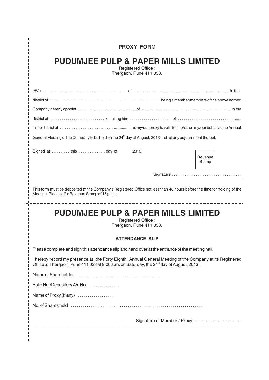|                                                  | Registered Office:<br>Thergaon, Pune 411 033.                                                                                                                                                                   |                  |
|--------------------------------------------------|-----------------------------------------------------------------------------------------------------------------------------------------------------------------------------------------------------------------|------------------|
|                                                  |                                                                                                                                                                                                                 |                  |
|                                                  |                                                                                                                                                                                                                 |                  |
|                                                  |                                                                                                                                                                                                                 |                  |
|                                                  |                                                                                                                                                                                                                 |                  |
|                                                  |                                                                                                                                                                                                                 |                  |
|                                                  |                                                                                                                                                                                                                 |                  |
|                                                  | General Meeting of the Company to be held on the 24 <sup>th</sup> day of August, 2013 and at any adjournment thereof.                                                                                           |                  |
|                                                  | 2013.                                                                                                                                                                                                           |                  |
|                                                  |                                                                                                                                                                                                                 | Revenue<br>Stamp |
|                                                  |                                                                                                                                                                                                                 |                  |
|                                                  |                                                                                                                                                                                                                 |                  |
| Meeting. Please affix Revenue Stamp of 15 paise. | This form must be deposited at the Company's Registered Office not less than 48 hours before the time for holding of the                                                                                        |                  |
|                                                  | <b>PUDUMJEE PULP &amp; PAPER MILLS LIMITED</b>                                                                                                                                                                  |                  |
|                                                  | <b>Registered Office:</b><br>Thergaon, Pune 411 033.                                                                                                                                                            |                  |
|                                                  | <b>ATTENDANCE SLIP</b>                                                                                                                                                                                          |                  |
|                                                  | Please complete and sign this attendance slip and hand over at the entrance of the meeting hall.                                                                                                                |                  |
|                                                  | I hereby record my presence at the Forty Eighth Annual General Meeting of the Company at its Registered<br>Office at Thergaon, Pune 411 033 at 9.00 a.m. on Saturday, the 24 <sup>th</sup> day of August, 2013. |                  |
|                                                  |                                                                                                                                                                                                                 |                  |
| Folio No./Depository A/c No.                     |                                                                                                                                                                                                                 |                  |
| Name of Proxy (If any)                           |                                                                                                                                                                                                                 |                  |
|                                                  |                                                                                                                                                                                                                 |                  |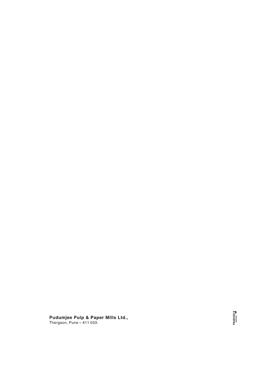Pudumjee Pulp & Paper Mills Ltd.,<br>Thergaon, Pune - 411 033.